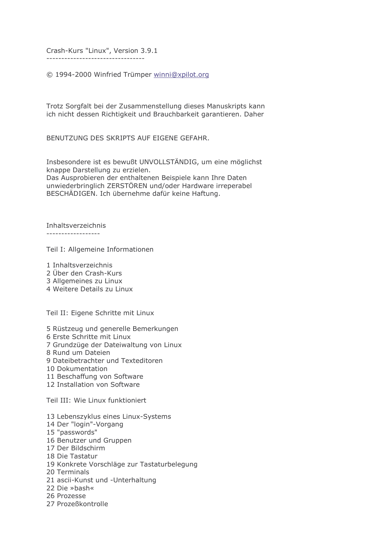Crash-Kurs "Linux", Version 3.9.1

----------------------------------

© 1994-2000 Winfried Trümper winni@xpilot.org

Trotz Sorgfalt bei der Zusammenstellung dieses Manuskripts kann ich nicht dessen Richtigkeit und Brauchbarkeit garantieren. Daher

BENUTZUNG DES SKRIPTS AUF EIGENE GEFAHR.

Insbesondere ist es bewußt UNVOLLSTÄNDIG, um eine möglichst knappe Darstellung zu erzielen. Das Ausprobieren der enthaltenen Beispiele kann Ihre Daten unwiederbringlich ZERSTÖREN und/oder Hardware irreperabel BESCHÄDIGEN. Ich übernehme dafür keine Haftung.

Inhaltsverzeichnis

------------------

Teil I: Allgemeine Informationen

- 1 Inhaltsverzeichnis
- 2 Über den Crash-Kurs
- 3 Allgemeines zu Linux
- 4 Weitere Details zu Linux

Teil II: Eigene Schritte mit Linux

- 5 Rüstzeug und generelle Bemerkungen
- 6 Erste Schritte mit Linux
- 7 Grundzüge der Dateiwaltung von Linux
- 8 Rund um Dateien
- 9 Dateibetrachter und Texteditoren
- 10 Dokumentation
- 11 Beschaffung von Software
- 12 Installation von Software

Teil III: Wie Linux funktioniert

- 13 Lebenszyklus eines Linux-Systems
- 14 Der "login"-Vorgang
- 15 "passwords"
- 16 Benutzer und Gruppen
- 17 Der Bildschirm
- 18 Die Tastatur
- 19 Konkrete Vorschläge zur Tastaturbelegung
- 20 Terminals
- 21 ascii-Kunst und -Unterhaltung
- 22 Die »bash«
- 26 Prozesse
- 27 Prozeßkontrolle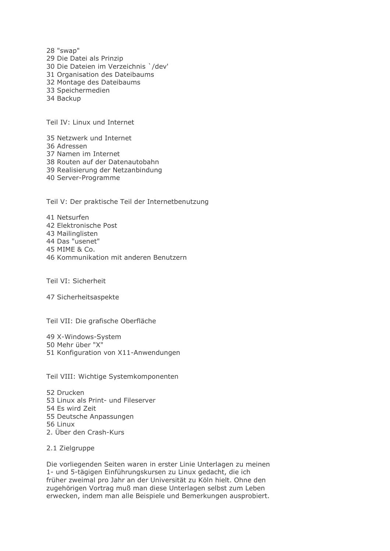28 "swap" 29 Die Datei als Prinzip 30 Die Dateien im Verzeichnis `/dev' 31 Organisation des Dateibaums 32 Montage des Dateibaums 33 Speichermedien 34 Backup

Teil IV: Linux und Internet

35 Netzwerk und Internet

- 36 Adressen
- 37 Namen im Internet
- 38 Routen auf der Datenautobahn
- 39 Realisierung der Netzanbindung
- 40 Server-Programme

Teil V: Der praktische Teil der Internetbenutzung

41 Netsurfen 42 Elektronische Post 43 Mailinglisten 44 Das "usenet" 45 MIME & Co. 46 Kommunikation mit anderen Benutzern

Teil VI: Sicherheit

47 Sicherheitsaspekte

Teil VII: Die grafische Oberfläche

49 X-Windows-System 50 Mehr über "X" 51 Konfiguration von X11-Anwendungen

Teil VIII: Wichtige Systemkomponenten

52 Drucken 53 Linux als Print- und Fileserver 54 Es wird Zeit 55 Deutsche Anpassungen 56 Linux 2. Über den Crash-Kurs

2.1 Zielaruppe

Die vorliegenden Seiten waren in erster Linie Unterlagen zu meinen 1- und 5-tägigen Einführungskursen zu Linux gedacht, die ich früher zweimal pro Jahr an der Universität zu Köln hielt. Ohne den zugehörigen Vortrag muß man diese Unterlagen selbst zum Leben erwecken, indem man alle Beispiele und Bemerkungen ausprobiert.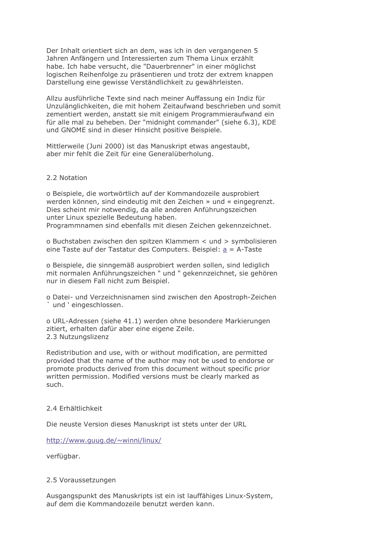Der Inhalt orientiert sich an dem, was ich in den vergangenen 5 Jahren Anfängern und Interessierten zum Thema Linux erzählt habe. Ich habe versucht, die "Dauerbrenner" in einer möglichst logischen Reihenfolge zu präsentieren und trotz der extrem knappen Darstellung eine gewisse Verständlichkeit zu gewährleisten.

Allzu ausführliche Texte sind nach meiner Auffassung ein Indiz für Unzulänglichkeiten, die mit hohem Zeitaufwand beschrieben und somit zementiert werden, anstatt sie mit einigem Programmieraufwand ein für alle mal zu beheben. Der "midnight commander" (siehe 6.3), KDE und GNOME sind in dieser Hinsicht positive Beispiele.

Mittlerweile (Juni 2000) ist das Manuskript etwas angestaubt, aber mir fehlt die Zeit für eine Generalüberholung.

## 2.2 Notation

o Beispiele, die wortwörtlich auf der Kommandozeile ausprobiert werden können, sind eindeutig mit den Zeichen » und « eingegrenzt. Dies scheint mir notwendig, da alle anderen Anführungszeichen unter Linux spezielle Bedeutung haben.

Programmnamen sind ebenfalls mit diesen Zeichen gekennzeichnet.

o Buchstaben zwischen den spitzen Klammern < und > symbolisieren eine Taste auf der Tastatur des Computers. Beispiel:  $a = A$ -Taste

o Beispiele, die sinngemäß ausprobiert werden sollen, sind lediglich mit normalen Anführungszeichen " und " gekennzeichnet, sie gehören nur in diesem Fall nicht zum Beispiel.

o Datei- und Verzeichnisnamen sind zwischen den Apostroph-Zeichen 'und 'eingeschlossen.

o URL-Adressen (siehe 41.1) werden ohne besondere Markierungen zitiert, erhalten dafür aber eine eigene Zeile. 2.3 Nutzungslizenz

Redistribution and use, with or without modification, are permitted provided that the name of the author may not be used to endorse or promote products derived from this document without specific prior written permission. Modified versions must be clearly marked as such.

## 2 4 Frhältlichkeit

Die neuste Version dieses Manuskript ist stets unter der URL

http://www.guug.de/~winni/linux/

verfügbar.

## 2.5 Voraussetzungen

Ausgangspunkt des Manuskripts ist ein ist lauffähiges Linux-System, auf dem die Kommandozeile benutzt werden kann.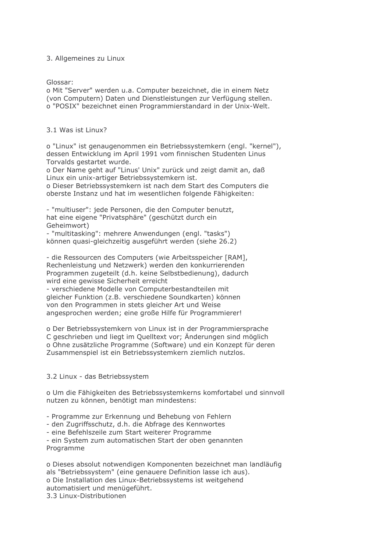## 3. Allgemeines zu Linux

Glossar:

o Mit "Server" werden u.a. Computer bezeichnet, die in einem Netz (von Computern) Daten und Dienstleistungen zur Verfügung stellen. o "POSIX" bezeichnet einen Programmierstandard in der Unix-Welt.

## 3.1 Was ist Linux?

o "Linux" ist genaugenommen ein Betriebssystemkern (engl. "kernel"), dessen Entwicklung im April 1991 vom finnischen Studenten Linus Torvalds gestartet wurde.

o Der Name geht auf "Linus' Unix" zurück und zeigt damit an, daß Linux ein unix-artiger Betriebssystemkern ist.

o Dieser Betriebssystemkern ist nach dem Start des Computers die oberste Instanz und hat im wesentlichen folgende Fähigkeiten:

- "multiuser": jede Personen, die den Computer benutzt, hat eine eigene "Privatsphäre" (geschützt durch ein Geheimwort)

- "multitasking": mehrere Anwendungen (engl. "tasks") können quasi-gleichzeitig ausgeführt werden (siehe 26.2)

- die Ressourcen des Computers (wie Arbeitsspeicher [RAM], Rechenleistung und Netzwerk) werden den konkurrierenden Programmen zugeteilt (d.h. keine Selbstbedienung), dadurch wird eine gewisse Sicherheit erreicht

- verschiedene Modelle von Computerbestandteilen mit gleicher Funktion (z.B. verschiedene Soundkarten) können von den Programmen in stets gleicher Art und Weise angesprochen werden; eine große Hilfe für Programmierer!

o Der Betriebssystemkern von Linux ist in der Programmiersprache C geschrieben und liegt im Quelltext vor; Änderungen sind möglich o Ohne zusätzliche Programme (Software) und ein Konzept für deren Zusammenspiel ist ein Betriebssystemkern ziemlich nutzlos.

# 3.2 Linux - das Betriebssystem

o Um die Fähigkeiten des Betriebssystemkerns komfortabel und sinnvoll nutzen zu können, benötigt man mindestens:

- Programme zur Erkennung und Behebung von Fehlern

- den Zugriffsschutz, d.h. die Abfrage des Kennwortes

- eine Befehlszeile zum Start weiterer Programme

- ein System zum automatischen Start der oben genannten Programme

o Dieses absolut notwendigen Komponenten bezeichnet man landläufig als "Betriebssystem" (eine genauere Definition lasse ich aus). o Die Installation des Linux-Betriebssystems ist weitgehend automatisiert und menügeführt.

3.3 Linux-Distributionen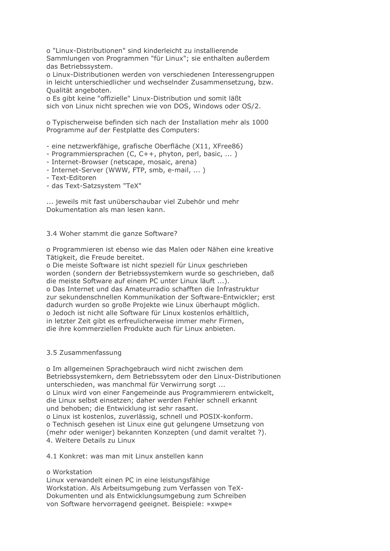o "Linux-Distributionen" sind kinderleicht zu installierende Sammlungen von Programmen "für Linux"; sie enthalten außerdem das Betriebssystem.

o Linux-Distributionen werden von verschiedenen Interessengruppen in leicht unterschiedlicher und wechselnder Zusammensetzung, bzw. Qualität angeboten.

o Es gibt keine "offizielle" Linux-Distribution und somit läßt sich von Linux nicht sprechen wie von DOS, Windows oder OS/2.

o Typischerweise befinden sich nach der Installation mehr als 1000 Programme auf der Festplatte des Computers:

- eine netzwerkfähige, grafische Oberfläche (X11, XFree86)

- Programmiersprachen (C, C++, phyton, perl, basic, ...)
- Internet-Browser (netscape, mosaic, arena)
- Internet-Server (WWW, FTP, smb, e-mail, ...)
- Text-Editoren
- das Text-Satzsystem "TeX"

... jeweils mit fast unüberschaubar viel Zubehör und mehr Dokumentation als man lesen kann.

## 3.4 Woher stammt die ganze Software?

o Programmieren ist ebenso wie das Malen oder Nähen eine kreative Tätigkeit, die Freude bereitet.

o Die meiste Software ist nicht speziell für Linux geschrieben worden (sondern der Betriebssystemkern wurde so geschrieben, daß die meiste Software auf einem PC unter Linux läuft ...). o Das Internet und das Amateurradio schafften die Infrastruktur zur sekundenschnellen Kommunikation der Software-Entwickler: erst dadurch wurden so große Projekte wie Linux überhaupt möglich. o Jedoch ist nicht alle Software für Linux kostenlos erhältlich, in letzter Zeit gibt es erfreulicherweise immer mehr Firmen, die ihre kommerziellen Produkte auch für Linux anbieten.

## 3.5 Zusammenfassung

o Im allgemeinen Sprachgebrauch wird nicht zwischen dem Betriebssystemkern, dem Betriebssytem oder den Linux-Distributionen unterschieden, was manchmal für Verwirrung sorgt ... o Linux wird von einer Fangemeinde aus Programmierern entwickelt, die Linux selbst einsetzen; daher werden Fehler schnell erkannt und behoben; die Entwicklung ist sehr rasant.

o Linux ist kostenlos, zuverlässig, schnell und POSIX-konform. o Technisch gesehen ist Linux eine gut gelungene Umsetzung von (mehr oder weniger) bekannten Konzepten (und damit veraltet ?). 4. Weitere Details zu Linux

4.1 Konkret: was man mit Linux anstellen kann

## o Workstation

Linux verwandelt einen PC in eine leistungsfähige Workstation. Als Arbeitsumgebung zum Verfassen von TeX-Dokumenten und als Entwicklungsumgebung zum Schreiben von Software hervorragend geeignet. Beispiele: »xwpe«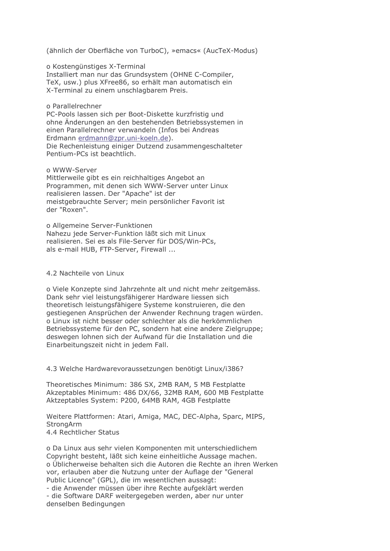(ähnlich der Oberfläche von TurboC), »emacs« (AucTeX-Modus)

o Kostengünstiges X-Terminal Installiert man nur das Grundsystem (OHNE C-Compiler, TeX, usw.) plus XFree86, so erhält man automatisch ein X-Terminal zu einem unschlagbarem Preis.

#### o Parallelrechner

PC-Pools lassen sich per Boot-Diskette kurzfristig und ohne Änderungen an den bestehenden Betriebssystemen in einen Parallelrechner verwandeln (Infos bei Andreas Erdmann erdmann@zpr.uni-koeln.de). Die Rechenleistung einiger Dutzend zusammengeschalteter Pentium-PCs ist beachtlich.

o WWW-Server

Mittlerweile gibt es ein reichhaltiges Angebot an Programmen, mit denen sich WWW-Server unter Linux realisieren lassen. Der "Apache" ist der meistgebrauchte Server; mein persönlicher Favorit ist der "Roxen".

o Allgemeine Server-Funktionen Nahezu jede Server-Funktion läßt sich mit Linux realisieren. Sei es als File-Server für DOS/Win-PCs, als e-mail HUB, FTP-Server, Firewall ...

#### 4.2 Nachteile von Linux

o Viele Konzepte sind Jahrzehnte alt und nicht mehr zeitgemäss. Dank sehr viel leistungsfähigerer Hardware liessen sich theoretisch leistungsfähigere Systeme konstruieren, die den gestiegenen Ansprüchen der Anwender Rechnung tragen würden. o Linux ist nicht besser oder schlechter als die herkömmlichen Betriebssysteme für den PC, sondern hat eine andere Zielgruppe; deswegen lohnen sich der Aufwand für die Installation und die Einarbeitungszeit nicht in jedem Fall.

4.3 Welche Hardwarevoraussetzungen benötigt Linux/i386?

Theoretisches Minimum: 386 SX, 2MB RAM, 5 MB Festplatte Akzeptables Minimum: 486 DX/66, 32MB RAM, 600 MB Festplatte Aktzeptables System: P200, 64MB RAM, 4GB Festplatte

Weitere Plattformen: Atari, Amiga, MAC, DEC-Alpha, Sparc, MIPS, **StrongArm** 4.4 Rechtlicher Status

o Da Linux aus sehr vielen Komponenten mit unterschiedlichem Copyright besteht, läßt sich keine einheitliche Aussage machen. o Üblicherweise behalten sich die Autoren die Rechte an ihren Werken vor, erlauben aber die Nutzung unter der Auflage der "General Public Licence" (GPL), die im wesentlichen aussagt:

- die Anwender müssen über ihre Rechte aufgeklärt werden - die Software DARF weitergegeben werden, aber nur unter denselben Bedingungen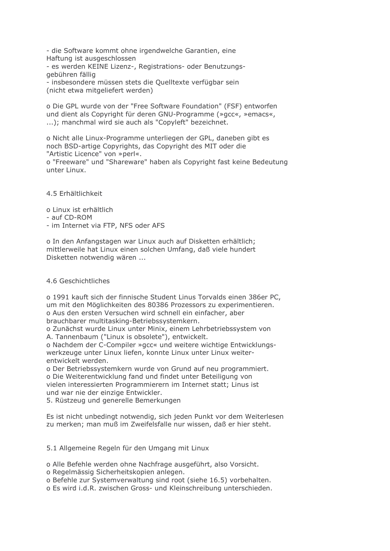- die Software kommt ohne irgendwelche Garantien, eine Haftung ist ausgeschlossen - es werden KEINE Lizenz-, Registrations- oder Benutzungsgebühren fällig - insbesondere müssen stets die Quelltexte verfügbar sein

(nicht etwa mitgeliefert werden)

o Die GPL wurde von der "Free Software Foundation" (FSF) entworfen und dient als Copyright für deren GNU-Programme (»gcc«, »emacs«, ...); manchmal wird sie auch als "Copyleft" bezeichnet.

o Nicht alle Linux-Programme unterliegen der GPL, daneben gibt es noch BSD-artige Copyrights, das Copyright des MIT oder die "Artistic Licence" von »perl«.

o "Freeware" und "Shareware" haben als Copyright fast keine Bedeutung unter Linux.

4.5 Erhältlichkeit

- o Linux ist erhältlich
- auf CD-ROM
- im Internet via FTP, NFS oder AFS

o In den Anfangstagen war Linux auch auf Disketten erhältlich; mittlerweile hat Linux einen solchen Umfang, daß viele hundert Disketten notwendig wären ...

## 4.6 Geschichtliches

o 1991 kauft sich der finnische Student Linus Torvalds einen 386er PC, um mit den Möglichkeiten des 80386 Prozessors zu experimentieren. o Aus den ersten Versuchen wird schnell ein einfacher, aber brauchbarer multitasking-Betriebssystemkern.

o Zunächst wurde Linux unter Minix, einem Lehrbetriebssystem von A. Tannenbaum ("Linux is obsolete"), entwickelt.

o Nachdem der C-Compiler »gcc« und weitere wichtige Entwicklungswerkzeuge unter Linux liefen, konnte Linux unter Linux weiterentwickelt werden.

o Der Betriebssystemkern wurde von Grund auf neu programmiert. o Die Weiterentwicklung fand und findet unter Beteiligung von vielen interessierten Programmierern im Internet statt; Linus ist

und war nie der einzige Entwickler.

5. Rüstzeug und generelle Bemerkungen

Es ist nicht unbedingt notwendig, sich jeden Punkt vor dem Weiterlesen zu merken; man muß im Zweifelsfalle nur wissen, daß er hier steht.

5.1 Allgemeine Regeln für den Umgang mit Linux

o Alle Befehle werden ohne Nachfrage ausgeführt, also Vorsicht.

o Regelmässig Sicherheitskopien anlegen.

o Befehle zur Systemverwaltung sind root (siehe 16.5) vorbehalten.

o Es wird i.d.R. zwischen Gross- und Kleinschreibung unterschieden.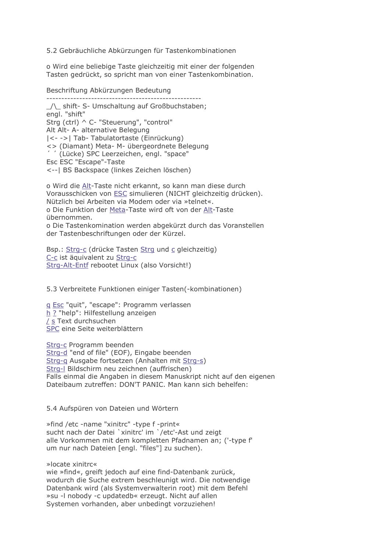5.2 Gebräuchliche Abkürzungen für Tastenkombinationen

o Wird eine beliebige Taste gleichzeitig mit einer der folgenden Tasten gedrückt, so spricht man von einer Tastenkombination.

#### Beschriftung Abkürzungen Bedeutung

/\ shift- S- Umschaltung auf Großbuchstaben: enal. "shift" Strq (ctrl) ^ C- "Steuerung", "control" Alt Alt- A- alternative Belegung | <- -> | Tab- Tabulatortaste (Einrückung) <> (Diamant) Meta- M- übergeordnete Belegung " (Lücke) SPC Leerzeichen, engl. "space" Esc ESC "Escape"-Taste <-- | BS Backspace (linkes Zeichen löschen)

o Wird die Alt-Taste nicht erkannt, so kann man diese durch Vorausschicken von ESC simulieren (NICHT gleichzeitig drücken). Nützlich bei Arbeiten via Modem oder via »telnet«. o Die Funktion der Meta-Taste wird oft von der Alt-Taste übernommen. o Die Tastenkomination werden abgekürzt durch das Voranstellen der Tastenbeschriftungen oder der Kürzel.

Bsp.: Strg-c (drücke Tasten Strg und c gleichzeitig) C-c ist äquivalent zu Strg-c Strg-Alt-Entf rebootet Linux (also Vorsicht!)

5.3 Verbreitete Funktionen einiger Tasten(-kombinationen)

g Esc "quit", "escape": Programm verlassen h ? "help": Hilfestellung anzeigen / s Text durchsuchen SPC eine Seite weiterblättern

Strg-c Programm beenden Strg-d "end of file" (EOF), Eingabe beenden Strg-g Ausgabe fortsetzen (Anhalten mit Strg-s) Strq-I Bildschirm neu zeichnen (auffrischen) Falls einmal die Angaben in diesem Manuskript nicht auf den eigenen Dateibaum zutreffen: DON'T PANIC. Man kann sich behelfen:

5.4 Aufspüren von Dateien und Wörtern

»find /etc -name "xinitrc" -type f -print« sucht nach der Datei `xinitrc' im `/etc'-Ast und zeigt alle Vorkommen mit dem kompletten Pfadnamen an; ('-type f' um nur nach Dateien [engl. "files"] zu suchen).

»locate xinitrc«

wie »find«, greift jedoch auf eine find-Datenbank zurück, wodurch die Suche extrem beschleunigt wird. Die notwendige Datenbank wird (als Systemverwalterin root) mit dem Befehl »su -I nobody -c updatedb« erzeugt. Nicht auf allen Systemen vorhanden, aber unbedingt vorzuziehen!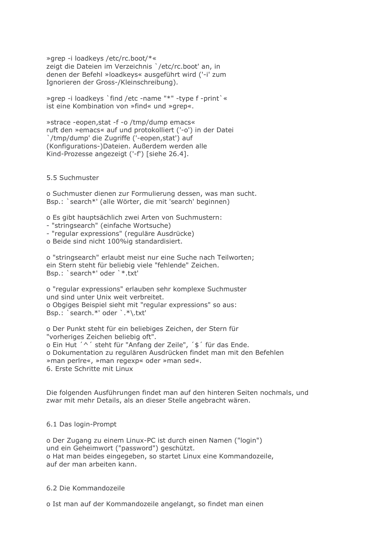» arep -i loadkeys /etc/rc.boot/\*« zeigt die Dateien im Verzeichnis `/etc/rc.boot' an, in denen der Befehl »loadkeys« ausgeführt wird ('-i' zum Ignorieren der Gross-/Kleinschreibung).

» arep -i loadkeys `find / etc -name "\*" -type f -print ` « ist eine Kombination von »find« und »grep«.

» strace -eopen, stat -f -o /tmp/dump emacs« ruft den »emacs« auf und protokolliert ('-o') in der Datei `/tmp/dump' die Zugriffe ('-eopen, stat') auf (Konfigurations-)Dateien. Außerdem werden alle Kind-Prozesse angezeigt ('-f') [siehe 26.4].

## 5.5 Suchmuster

o Suchmuster dienen zur Formulierung dessen, was man sucht. Bsp.: 'search\*' (alle Wörter, die mit 'search' beginnen)

o Es gibt hauptsächlich zwei Arten von Suchmustern:

- "stringsearch" (einfache Wortsuche)
- "regular expressions" (reguläre Ausdrücke)
- o Beide sind nicht 100%ig standardisiert.

o "stringsearch" erlaubt meist nur eine Suche nach Teilworten; ein Stern steht für beliebig viele "fehlende" Zeichen. Bsp.: `search\*' oder `\*.txt'

o "regular expressions" erlauben sehr komplexe Suchmuster und sind unter Unix weit verbreitet. o Obgiges Beispiel sieht mit "regular expressions" so aus: Bsp.: `search.\*' oder `.\*\.txt'

o Der Punkt steht für ein beliebiges Zeichen, der Stern für "vorheriges Zeichen beliebig oft". o Ein Hut '^' steht für "Anfang der Zeile", '\$' für das Ende. o Dokumentation zu regulären Ausdrücken findet man mit den Befehlen »man perlre«, »man regexp« oder »man sed«. 6. Erste Schritte mit Linux

Die folgenden Ausführungen findet man auf den hinteren Seiten nochmals, und zwar mit mehr Details, als an dieser Stelle angebracht wären.

## 6.1 Das login-Prompt

o Der Zugang zu einem Linux-PC ist durch einen Namen ("login") und ein Geheimwort ("password") geschützt. o Hat man beides eingegeben, so startet Linux eine Kommandozeile, auf der man arbeiten kann.

## 6.2 Die Kommandozeile

o Ist man auf der Kommandozeile angelangt, so findet man einen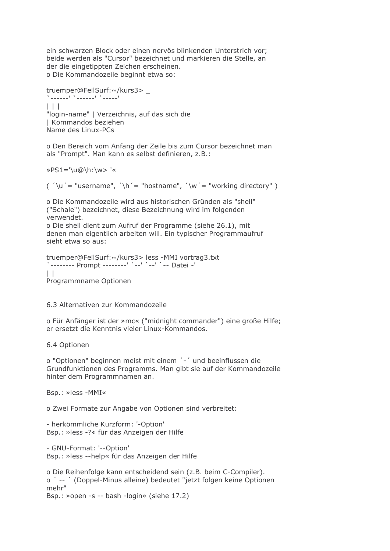ein schwarzen Block oder einen nervös blinkenden Unterstrich vor; beide werden als "Cursor" bezeichnet und markieren die Stelle, an der die eingetippten Zeichen erscheinen. o Die Kommandozeile beginnt etwa so:

```
truemper@FeilSurf:~/kurs3>
المتمدد المتمنية كالمتمدد
| | |"login-name" | Verzeichnis, auf das sich die
| Kommandos beziehen
Name des Linux-PCs
```
o Den Bereich vom Anfang der Zeile bis zum Cursor bezeichnet man als "Prompt". Man kann es selbst definieren, z.B.:

 $\text{PS1} = \text{U@}\h$ : \w> '«

 $\mu'$   $\mu'$  = "username",  $\mu'$  = "hostname",  $\mu'$  = "working directory")

o Die Kommandozeile wird aus historischen Gründen als "shell" ("Schale") bezeichnet, diese Bezeichnung wird im folgenden verwendet.

o Die shell dient zum Aufruf der Programme (siehe 26.1), mit denen man eigentlich arbeiten will. Ein typischer Programmaufruf sieht etwa so aus:

```
truemper@FeilSurf:~/kurs3> less -MMI vortrag3.txt
\BoxProgrammname Optionen
```
6.3 Alternativen zur Kommandozeile

o Für Anfänger ist der »mc« ("midnight commander") eine große Hilfe; er ersetzt die Kenntnis vieler Linux-Kommandos.

6.4 Optionen

o "Optionen" beginnen meist mit einem '-' und beeinflussen die Grundfunktionen des Programms. Man gibt sie auf der Kommandozeile hinter dem Programmnamen an.

Bsp.: »less -MMI«

o Zwei Formate zur Angabe von Optionen sind verbreitet:

- herkömmliche Kurzform: '-Option' Bsp.: »less -?« für das Anzeigen der Hilfe

- GNU-Format: '--Option' Bsp.: »less --help« für das Anzeigen der Hilfe

o Die Reihenfolge kann entscheidend sein (z.B. beim C-Compiler). o '-- ' (Doppel-Minus alleine) bedeutet "jetzt folgen keine Optionen mehr" Bsp.: »open -s -- bash -login« (siehe 17.2)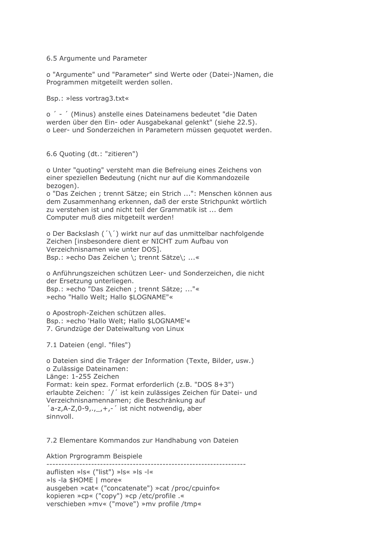6.5 Argumente und Parameter

o "Argumente" und "Parameter" sind Werte oder (Datei-)Namen, die Programmen mitgeteilt werden sollen.

Bsp.: »less vortrag3.txt«

o ' - ' (Minus) anstelle eines Dateinamens bedeutet "die Daten werden über den Ein- oder Ausgabekanal gelenkt" (siehe 22.5). o Leer- und Sonderzeichen in Parametern müssen geguotet werden.

6.6 Quoting (dt.: "zitieren")

o Unter "guoting" versteht man die Befreiung eines Zeichens von einer speziellen Bedeutung (nicht nur auf die Kommandozeile bezogen).

o "Das Zeichen; trennt Sätze; ein Strich ...": Menschen können aus dem Zusammenhang erkennen, daß der erste Strichpunkt wörtlich zu verstehen ist und nicht teil der Grammatik ist ... dem Computer muß dies mitgeteilt werden!

o Der Backslash ('\') wirkt nur auf das unmittelbar nachfolgende Zeichen [insbesondere dient er NICHT zum Aufbau von Verzeichnisnamen wie unter DOS]. Bsp.: »echo Das Zeichen \; trennt Sätze\; ...«

o Anführungszeichen schützen Leer- und Sonderzeichen, die nicht der Ersetzung unterliegen. Bsp.: »echo "Das Zeichen ; trennt Sätze; ..."« » echo "Hallo Welt; Hallo \$LOGNAME"«

o Apostroph-Zeichen schützen alles. Bsp.: »echo 'Hallo Welt; Hallo \$LOGNAME'« 7. Grundzüge der Dateiwaltung von Linux

7.1 Dateien (engl. "files")

o Dateien sind die Träger der Information (Texte, Bilder, usw.) o Zulässige Dateinamen: Länge: 1-255 Zeichen Format: kein spez. Format erforderlich (z.B. "DOS 8+3") erlaubte Zeichen: '/' ist kein zulässiges Zeichen für Datei- und Verzeichnisnamennamen; die Beschränkung auf  $a-z,A-Z,0-9, \ldots, +,-$  ist nicht notwendig, aber sinnvoll.

7.2 Elementare Kommandos zur Handhabung von Dateien

----------------------------------

Aktion Prgrogramm Beispiele

auflisten »Is« ("list") »Is« »Is -I« »Is -la \$HOME | more« ausgeben »cat« ("concatenate") »cat /proc/cpuinfo« kopieren »cp« ("copy") »cp /etc/profile .« verschieben »mv« ("move") »mv profile /tmp«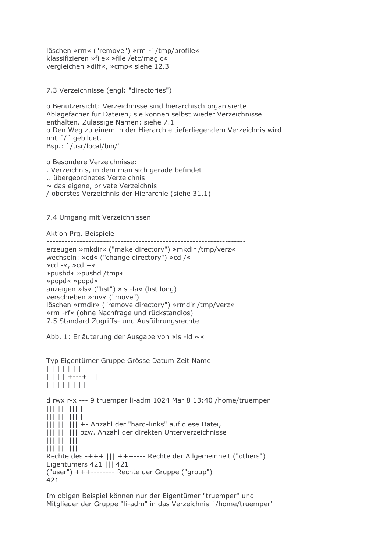löschen »rm« ("remove") »rm -i /tmp/profile« klassifizieren »file« »file /etc/magic« vergleichen »diff«, »cmp« siehe 12.3

7.3 Verzeichnisse (engl: "directories")

o Benutzersicht: Verzeichnisse sind hierarchisch organisierte Ablagefächer für Dateien; sie können selbst wieder Verzeichnisse enthalten. Zulässige Namen: siehe 7.1 o Den Weg zu einem in der Hierarchie tieferliegendem Verzeichnis wird mit '/' gebildet. Bsp.: '/usr/local/bin/'

o Besondere Verzeichnisse: . Verzeichnis, in dem man sich gerade befindet .. übergeordnetes Verzeichnis  $\sim$  das eigene, private Verzeichnis / oberstes Verzeichnis der Hierarchie (siehe 31.1)

7.4 Umgang mit Verzeichnissen

Aktion Prg. Beispiele

```
erzeugen »mkdir« ("make directory") »mkdir /tmp/verz«
```

```
wechseln: »cd« ("change directory") »cd /«
\astcd -«, \astcd +«
»pushd« »pushd /tmp«
»popd« »popd«
anzeigen »Is« ("list") »Is -la« (list long)
verschieben »mv« ("move")
löschen »rmdir« ("remove directory") »rmdir /tmp/verz«
»rm -rf« (ohne Nachfrage und rückstandlos)
7.5 Standard Zugriffs- und Ausführungsrechte
```
Abb. 1: Erläuterung der Ausgabe von »Is -Id ~«

Typ Eigentümer Gruppe Grösse Datum Zeit Name  $| | | | | | | | | | | |$  $|||$   $||$   $|$  + ---+  $||$  $| | | | | | | | | | | | | |$ d rwx r-x --- 9 truemper li-adm 1024 Mar 8 13:40 /home/truemper  $|||$   $|||$   $|||$   $|||$   $|||$  $|||$   $|||$   $|||$   $|||$   $|||$ ||| ||| ||| +- Anzahl der "hard-links" auf diese Datei, | | | | | | | | bzw. Anzahl der direkten Unterverzeichnisse  $|||$   $|||$   $|||$   $|||$ Rechte des -+++ ||| +++---- Rechte der Allgemeinheit ("others") Eigentümers 421 | | | 421 ("user") +++-------- Rechte der Gruppe ("group") 421

Im obigen Beispiel können nur der Eigentümer "truemper" und Mitglieder der Gruppe "li-adm" in das Verzeichnis `/home/truemper'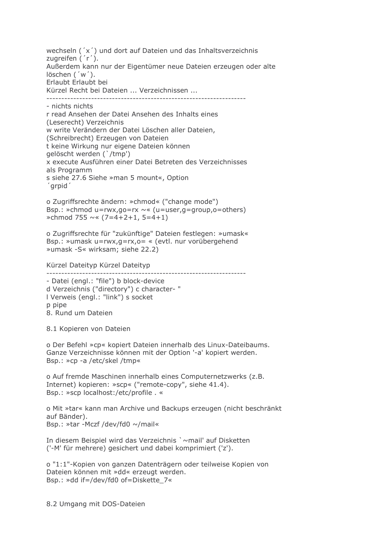wechseln ('x') und dort auf Dateien und das Inhaltsverzeichnis zugreifen ('r'). Außerdem kann nur der Eigentümer neue Dateien erzeugen oder alte löschen ('w'). Erlaubt Erlaubt bei Kürzel Recht bei Dateien ... Verzeichnissen ...

- nichts nichts r read Ansehen der Datei Ansehen des Inhalts eines (Leserecht) Verzeichnis w write Verändern der Datei Löschen aller Dateien, (Schreibrecht) Erzeugen von Dateien t keine Wirkung nur eigene Dateien können qelöscht werden ('/tmp') x execute Ausführen einer Datei Betreten des Verzeichnisses als Programm s siehe 27.6 Siehe »man 5 mount«, Option 'arpid'

o Zugriffsrechte ändern: »chmod« ("change mode") Bsp.: »chmod u=rwx,go=rx  $\sim$ « (u=user,g=group,o=others) »chmod 755  $\sim$  (7=4+2+1, 5=4+1)

o Zugriffsrechte für "zukünftige" Dateien festlegen: »umask« Bsp.: »umask u=rwx, g=rx, o= « (evtl. nur vorübergehend »umask -S« wirksam; siehe 22.2)

Kürzel Dateityp Kürzel Dateityp

----------------------

- Datei (engl.: "file") b block-device d Verzeichnis ("directory") c character- " I Verweis (engl.: "link") s socket p pipe 8. Rund um Dateien

8.1 Kopieren von Dateien

o Der Befehl »cp« kopiert Dateien innerhalb des Linux-Dateibaums. Ganze Verzeichnisse können mit der Option '-a' kopiert werden. Bsp.: »cp -a /etc/skel /tmp«

o Auf fremde Maschinen innerhalb eines Computernetzwerks (z.B. Internet) kopieren: »scp« ("remote-copy", siehe 41.4). Bsp.: »scp localhost:/etc/profile. «

o Mit »tar« kann man Archive und Backups erzeugen (nicht beschränkt auf Bänder). Bsp.: »tar -Mczf /dev/fd0 ~/mail«

In diesem Beispiel wird das Verzeichnis `~mail' auf Disketten ('-M' für mehrere) gesichert und dabei komprimiert ('z').

o "1:1"-Kopien von ganzen Datenträgern oder teilweise Kopien von Dateien können mit »dd« erzeugt werden. Bsp.: »dd if=/dev/fd0 of=Diskette\_7«

8.2 Umgang mit DOS-Dateien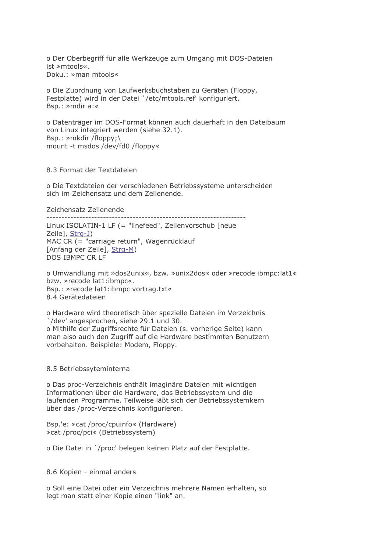o Der Oberbegriff für alle Werkzeuge zum Umgang mit DOS-Dateien ist »mtools«. Doku.: »man mtools«

o Die Zuordnung von Laufwerksbuchstaben zu Geräten (Floppy, Festplatte) wird in der Datei '/etc/mtools.ref' konfiguriert. Bsp.: »mdir a:«

o Datenträger im DOS-Format können auch dauerhaft in den Dateibaum von Linux integriert werden (siehe 32.1). Bsp.: »mkdir /floppy;\ mount -t msdos /dev/fd0 /floppy«

8.3 Format der Textdateien

o Die Textdateien der verschiedenen Betriebssysteme unterscheiden sich im Zeichensatz und dem Zeilenende.

Zeichensatz Zeilenende

Linux ISOLATIN-1 LF (= "linefeed", Zeilenvorschub [neue Zeile], Strg-J) MAC CR (= "carriage return", Wagenrücklauf [Anfang der Zeile], Strg-M) DOS IBMPC CR LF

o Umwandlung mit »dos2unix«, bzw. »unix2dos« oder »recode ibmpc:lat1« bzw. »recode lat1:ibmpc«. Bsp.: »recode lat1:ibmpc vortrag.txt« 8.4 Gerätedateien

o Hardware wird theoretisch über spezielle Dateien im Verzeichnis '/dev' angesprochen, siehe 29.1 und 30. o Mithilfe der Zugriffsrechte für Dateien (s. vorherige Seite) kann man also auch den Zugriff auf die Hardware bestimmten Benutzern vorbehalten. Beispiele: Modem, Floppy.

## 8.5 Betriebssyteminterna

o Das proc-Verzeichnis enthält imaginäre Dateien mit wichtigen Informationen über die Hardware, das Betriebssystem und die laufenden Programme. Teilweise läßt sich der Betriebssystemkern über das /proc-Verzeichnis konfigurieren.

Bsp.'e: »cat /proc/cpuinfo« (Hardware) » cat /proc/pci« (Betriebssystem)

o Die Datei in `/proc' belegen keinen Platz auf der Festplatte.

8.6 Kopien - einmal anders

o Soll eine Datei oder ein Verzeichnis mehrere Namen erhalten, so legt man statt einer Kopie einen "link" an.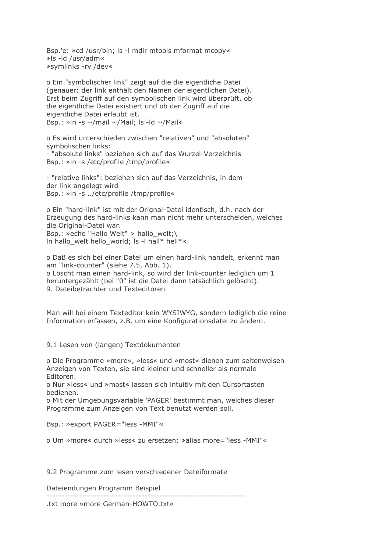Bsp.'e: »cd /usr/bin; ls -l mdir mtools mformat mcopy« »Is -Id /usr/adm« »symlinks -rv /dev«

o Ein "symbolischer link" zeigt auf die die eigentliche Datei (genauer: der link enthält den Namen der eigentlichen Datei). Erst beim Zugriff auf den symbolischen link wird überprüft, ob die eigentliche Datei existiert und ob der Zugriff auf die eigentliche Datei erlaubt ist. Bsp.: »In -s ~/mail ~/Mail; Is -Id ~/Mail«

o Es wird unterschieden zwischen "relativen" und "absoluten" symbolischen links: - "absolute links" beziehen sich auf das Wurzel-Verzeichnis Bsp.: »In -s /etc/profile /tmp/profile«

- "relative links": beziehen sich auf das Verzeichnis, in dem der link angelegt wird Bsp.: »In -s ../etc/profile /tmp/profile«

o Ein "hard-link" ist mit der Orignal-Datei identisch, d.h. nach der Erzeugung des hard-links kann man nicht mehr unterscheiden, welches die Original-Datei war. Bsp.: »echo "Hallo Welt" > hallo welt:\ In hallo welt hello world; Is -I hall\* hell\*«

o Daß es sich bei einer Datei um einen hard-link handelt, erkennt man am "link-counter" (siehe 7.5, Abb. 1). o Löscht man einen hard-link, so wird der link-counter lediglich um 1 heruntergezählt (bei "0" ist die Datei dann tatsächlich gelöscht). 9. Dateibetrachter und Texteditoren

Man will bei einem Texteditor kein WYSIWYG, sondern lediglich die reine Information erfassen, z.B. um eine Konfigurationsdatei zu ändern.

9.1 Lesen von (langen) Textdokumenten

o Die Programme »more«, »less« und »most« dienen zum seitenweisen Anzeigen von Texten, sie sind kleiner und schneller als normale **Editoren** 

o Nur »less« und »most« lassen sich intuitiv mit den Cursortasten bedienen.

o Mit der Umgebungsvariable 'PAGER' bestimmt man, welches dieser Programme zum Anzeigen von Text benutzt werden soll.

Bsp.: »export PAGER="less -MMI"«

o Um »more« durch »less« zu ersetzen: »alias more="less -MMI"«

9.2 Programme zum lesen verschiedener Dateiformate

Dateiendungen Programm Beispiel

------------------------------------

.txt more »more German-HOWTO.txt«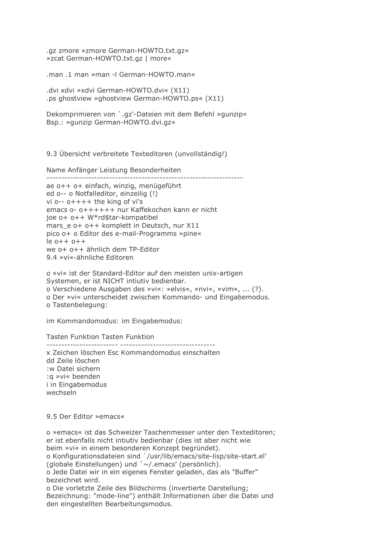.gz zmore »zmore German-HOWTO.txt.gz« »zcat German-HOWTO.txt.gz | more«

.man .1 man »man -I German-HOWTO.man«

.dvi xdvi »xdvi German-HOWTO.dvi« (X11) .ps ghostview »ghostview German-HOWTO.ps« (X11)

Dekomprimieren von `.gz'-Dateien mit dem Befehl »gunzip« Bsp.: »gunzip German-HOWTO.dvi.gz«

9.3 Übersicht verbreitete Texteditoren (unvollständig!)

Name Anfänger Leistung Besonderheiten ae o++ o+ einfach, winzig, menügeführt ed o-- o Notfalleditor, einzeilig (!) vi  $o-$ -  $o$ ++++ the king of vi's emacs o- o++++++ nur Kaffekochen kann er nicht joe o+ o++ W\*rd\$tar-kompatibel mars e o+ o++ komplett in Deutsch, nur X11 pico o+ o Editor des e-mail-Programms »pine«  $le 0++0++$ we o+ o++ ähnlich dem TP-Editor 9.4 »vi«-ähnliche Editoren

o »vi« ist der Standard-Editor auf den meisten unix-artigen Systemen, er ist NICHT intiutiv bedienbar. o Verschiedene Ausgaben des »vi«: »elvis«, »nvi«, »vim«, ... (?). o Der »vi« unterscheidet zwischen Kommando- und Eingabemodus. o Tastenbelegung:

im Kommandomodus: im Eingabemodus:

Tasten Funktion Tasten Funktion

x Zeichen löschen Esc Kommandomodus einschalten dd Zeile löschen :w Datei sichern : a »vi« beenden i in Eingabemodus wechseln

9.5 Der Editor »emacs«

o »emacs« ist das Schweizer Taschenmesser unter den Texteditoren; er ist ebenfalls nicht intiutiv bedienbar (dies ist aber nicht wie beim »vi« in einem besonderen Konzept begründet). o Konfigurationsdateien sind `/usr/lib/emacs/site-lisp/site-start.el' (globale Einstellungen) und `~/.emacs' (persönlich). o Jede Datei wir in ein eigenes Fenster geladen, das als "Buffer" bezeichnet wird. o Die vorletzte Zeile des Bildschirms (invertierte Darstellung;

Bezeichnung: "mode-line") enthält Informationen über die Datei und den eingestellten Bearbeitungsmodus.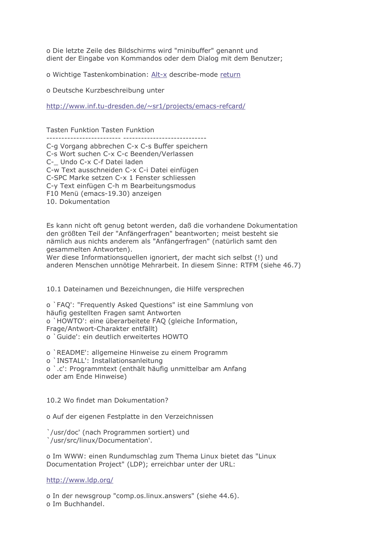o Die letzte Zeile des Bildschirms wird "minibuffer" genannt und dient der Eingabe von Kommandos oder dem Dialog mit dem Benutzer;

o Wichtige Tastenkombination: Alt-x describe-mode return

o Deutsche Kurzbeschreibung unter

http://www.inf.tu-dresden.de/~sr1/projects/emacs-refcard/

**Tasten Funktion Tasten Funktion** 

C-g Vorgang abbrechen C-x C-s Buffer speichern C-s Wort suchen C-x C-c Beenden/Verlassen C- Undo C-x C-f Datei laden C-w Text ausschneiden C-x C-i Datei einfügen C-SPC Marke setzen C-x 1 Fenster schliessen C-v Text einfügen C-h m Bearbeitungsmodus F10 Menü (emacs-19.30) anzeigen 10. Dokumentation

Es kann nicht oft genug betont werden, daß die vorhandene Dokumentation den größten Teil der "Anfängerfragen" beantworten; meist besteht sie nämlich aus nichts anderem als "Anfängerfragen" (natürlich samt den gesammelten Antworten).

Wer diese Informationsquellen ignoriert, der macht sich selbst (!) und anderen Menschen unnötige Mehrarbeit. In diesem Sinne: RTFM (siehe 46.7)

10.1 Dateinamen und Bezeichnungen, die Hilfe versprechen

o `FAQ': "Frequently Asked Questions" ist eine Sammlung von häufig gestellten Fragen samt Antworten o `HOWTO': eine überarbeitete FAQ (gleiche Information, Frage/Antwort-Charakter entfällt) o `Guide': ein deutlich erweitertes HOWTO

o `README': allgemeine Hinweise zu einem Programm

o `INSTALL': Installationsanleitung

o `.c': Programmtext (enthält häufig unmittelbar am Anfang oder am Ende Hinweise)

10.2 Wo findet man Dokumentation?

o Auf der eigenen Festplatte in den Verzeichnissen

'/usr/doc' (nach Programmen sortiert) und '/usr/src/linux/Documentation'.

o Im WWW: einen Rundumschlag zum Thema Linux bietet das "Linux Documentation Project" (LDP); erreichbar unter der URL:

http://www.ldp.org/

o In der newsgroup "comp.os.linux.answers" (siehe 44.6). o Im Buchhandel.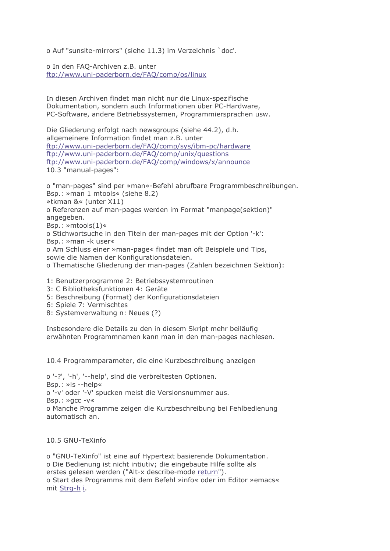o Auf "sunsite-mirrors" (siehe 11.3) im Verzeichnis `doc'.

o In den FAO-Archiven z.B. unter ftp://www.uni-paderborn.de/FAQ/comp/os/linux

In diesen Archiven findet man nicht nur die Linux-spezifische Dokumentation, sondern auch Informationen über PC-Hardware, PC-Software, andere Betriebssystemen, Programmiersprachen usw.

Die Gliederung erfolgt nach newsgroups (siehe 44.2), d.h. allgemeinere Information findet man z.B. unter ftp://www.uni-paderborn.de/FAQ/comp/sys/ibm-pc/hardware ftp://www.uni-paderborn.de/FAQ/comp/unix/questions ftp://www.uni-paderborn.de/FAO/comp/windows/x/announce 10.3 "manual-pages":

o "man-pages" sind per »man«-Befehl abrufbare Programmbeschreibungen. Bsp.: »man 1 mtools« (siehe 8.2) »tkman &« (unter X11) o Referenzen auf man-pages werden im Format "manpage(sektion)" angegeben. Bsp.:  $\ast$ mtools $(1)\ast$ o Stichwortsuche in den Titeln der man-pages mit der Option '-k': Bsp.: »man -k user« o Am Schluss einer »man-page« findet man oft Beispiele und Tips, sowie die Namen der Konfigurationsdateien.

o Thematische Gliederung der man-pages (Zahlen bezeichnen Sektion):

1: Benutzerprogramme 2: Betriebssystemroutinen

3: C Bibliotheksfunktionen 4: Geräte

5: Beschreibung (Format) der Konfigurationsdateien

- 6: Spiele 7: Vermischtes
- 8: Systemverwaltung n: Neues (?)

Insbesondere die Details zu den in diesem Skript mehr beiläufig erwähnten Programmnamen kann man in den man-pages nachlesen.

10.4 Programmparameter, die eine Kurzbeschreibung anzeigen

o '-?', '-h', '--help', sind die verbreitesten Optionen.  $Bsp.: \times s$ -help« o '-v' oder '-V' spucken meist die Versionsnummer aus.  $BSD.:$   $\geq$   $QC - V$ o Manche Programme zeigen die Kurzbeschreibung bei Fehlbedienung automatisch an.

10.5 GNU-TeXinfo

o "GNU-TeXinfo" ist eine auf Hypertext basierende Dokumentation. o Die Bedienung ist nicht intiutiv; die eingebaute Hilfe sollte als erstes gelesen werden ("Alt-x describe-mode return"). o Start des Programms mit dem Befehl »info« oder im Editor »emacs« mit Strg-h i.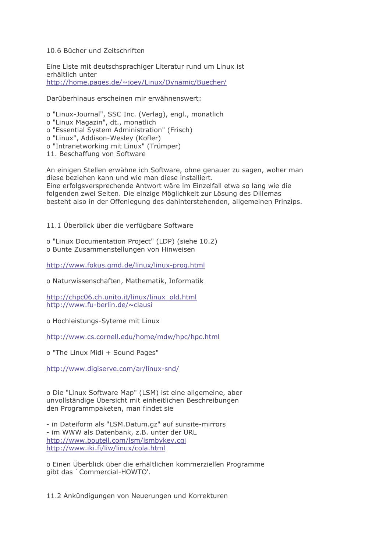## 10.6 Bücher und Zeitschriften

Eine Liste mit deutschsprachiger Literatur rund um Linux ist erhältlich unter http://home.pages.de/~joey/Linux/Dynamic/Buecher/

Darüberhinaus erscheinen mir erwähnenswert:

o "Linux-Journal", SSC Inc. (Verlag), engl., monatlich

o "Linux Magazin", dt., monatlich

o "Essential System Administration" (Frisch)

o "Linux", Addison-Wesley (Kofler)

o "Intranetworking mit Linux" (Trümper)

11. Beschaffung von Software

An einigen Stellen erwähne ich Software, ohne genauer zu sagen, woher man diese beziehen kann und wie man diese installiert. Eine erfolgsversprechende Antwort wäre im Einzelfall etwa so lang wie die folgenden zwei Seiten. Die einzige Möglichkeit zur Lösung des Dillemas besteht also in der Offenlegung des dahinterstehenden, allgemeinen Prinzips.

11.1 Überblick über die verfügbare Software

o "Linux Documentation Project" (LDP) (siehe 10.2) o Bunte Zusammenstellungen von Hinweisen

http://www.fokus.gmd.de/linux/linux-prog.html

o Naturwissenschaften, Mathematik, Informatik

http://chpc06.ch.unito.it/linux/linux\_old.html http://www.fu-berlin.de/~clausi

o Hochleistungs-Syteme mit Linux

http://www.cs.cornell.edu/home/mdw/hpc/hpc.html

o "The Linux Midi + Sound Pages"

http://www.digiserve.com/ar/linux-snd/

o Die "Linux Software Map" (LSM) ist eine allgemeine, aber unvollständige Übersicht mit einheitlichen Beschreibungen den Programmpaketen, man findet sie

- in Dateiform als "LSM.Datum.gz" auf sunsite-mirrors - im WWW als Datenbank, z.B. unter der URL http://www.boutell.com/lsm/lsmbykey.cqi http://www.iki.fi/liw/linux/cola.html

o Einen Überblick über die erhältlichen kommerziellen Programme qibt das 'Commercial-HOWTO'.

11.2 Ankündigungen von Neuerungen und Korrekturen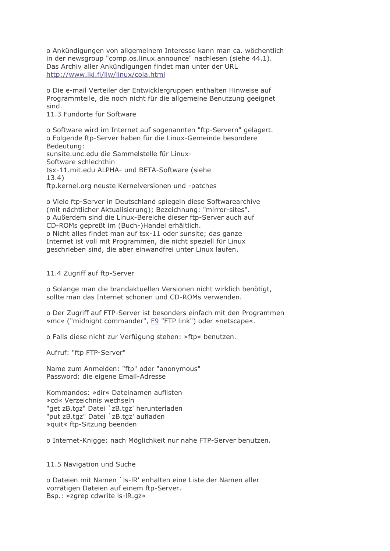o Ankündigungen von allgemeinem Interesse kann man ca. wöchentlich in der newsgroup "comp.os.linux.announce" nachlesen (siehe 44.1). Das Archiv aller Ankündigungen findet man unter der URL http://www.iki.fi/liw/linux/cola.html

o Die e-mail Verteiler der Entwicklergruppen enthalten Hinweise auf Programmteile, die noch nicht für die allgemeine Benutzung geeignet sind.

11.3 Fundorte für Software

o Software wird im Internet auf sogenannten "ftp-Servern" gelagert. o Folgende ftp-Server haben für die Linux-Gemeinde besondere Bedeutung: sunsite.unc.edu die Sammelstelle für Linux-Software schlechthin tsx-11.mit.edu ALPHA- und BETA-Software (siehe  $13.4)$ ftp.kernel.org neuste Kernelversionen und -patches

o Viele ftp-Server in Deutschland spiegeln diese Softwarearchive (mit nächtlicher Aktualisierung); Bezeichnung: "mirror-sites". o Außerdem sind die Linux-Bereiche dieser ftp-Server auch auf CD-ROMs gepreßt im (Buch-)Handel erhältlich. o Nicht alles findet man auf tsx-11 oder sunsite: das ganze Internet ist voll mit Programmen, die nicht speziell für Linux geschrieben sind, die aber einwandfrei unter Linux laufen.

11.4 Zugriff auf ftp-Server

o Solange man die brandaktuellen Versionen nicht wirklich benötigt, sollte man das Internet schonen und CD-ROMs verwenden.

o Der Zugriff auf FTP-Server ist besonders einfach mit den Programmen »mc« ("midnight commander", F9 "FTP link") oder »netscape«.

o Falls diese nicht zur Verfügung stehen: »ftp« benutzen.

Aufruf: "ftp FTP-Server"

Name zum Anmelden: "ftp" oder "anonymous" Password: die eigene Email-Adresse

Kommandos: »dir« Dateinamen auflisten »cd« Verzeichnis wechseln "get zB.tgz" Datei `zB.tgz' herunterladen "put zB.tgz" Datei `zB.tgz' aufladen » quit« ftp-Sitzung beenden

o Internet-Knigge: nach Möglichkeit nur nahe FTP-Server benutzen.

11.5 Navigation und Suche

o Dateien mit Namen `Is-IR' enhalten eine Liste der Namen aller vorrätigen Dateien auf einem ftp-Server. Bsp.: »zgrep cdwrite ls-lR.gz«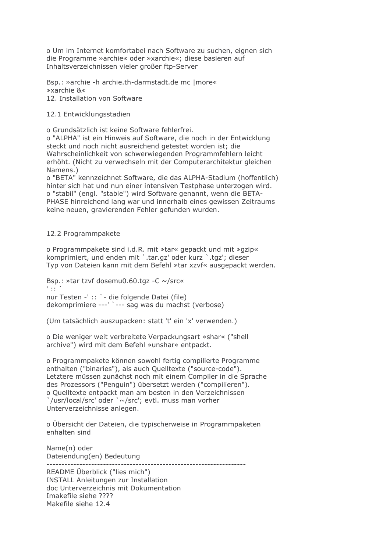o Um im Internet komfortabel nach Software zu suchen, eignen sich die Programme »archie« oder »xarchie«; diese basieren auf Inhaltsverzeichnissen vieler großer ftp-Server

Bsp.: »archie -h archie.th-darmstadt.de mc | more« »xarchie &« 12. Installation von Software

## 12.1 Entwicklungsstadien

o Grundsätzlich ist keine Software fehlerfrei.

o "ALPHA" ist ein Hinweis auf Software, die noch in der Entwicklung steckt und noch nicht ausreichend getestet worden ist; die Wahrscheinlichkeit von schwerwiegenden Programmfehlern leicht erhöht. (Nicht zu verwechseln mit der Computerarchitektur gleichen Namens.)

o "BETA" kennzeichnet Software, die das ALPHA-Stadium (hoffentlich) hinter sich hat und nun einer intensiven Testphase unterzogen wird. o "stabil" (engl. "stable") wird Software genannt, wenn die BETA-PHASE hinreichend lang war und innerhalb eines gewissen Zeitraums keine neuen, gravierenden Fehler gefunden wurden.

## 12.2 Programmpakete

o Programmpakete sind i.d.R. mit »tar« gepackt und mit »gzip« komprimiert, und enden mit `.tar.gz' oder kurz `.tgz'; dieser Typ von Dateien kann mit dem Befehl »tar xzvf« ausgepackt werden.

Bsp.: »tar tzvf dosemu0.60.tgz -C ~/src« tiger. nur Testen -' :: ` - die folgende Datei (file) dekomprimiere ---' `--- sag was du machst (verbose)

(Um tatsächlich auszupacken: statt 't' ein 'x' verwenden.)

o Die weniger weit verbreitete Verpackungsart »shar« ("shell archive") wird mit dem Befehl »unshar« entpackt.

o Programmpakete können sowohl fertig compilierte Programme enthalten ("binaries"), als auch Quelltexte ("source-code"). Letztere müssen zunächst noch mit einem Compiler in die Sprache des Prozessors ("Penguin") übersetzt werden ("compilieren"). o Quelltexte entpackt man am besten in den Verzeichnissen Jusr/local/src' oder ` ~/src'; evtl. muss man vorher Unterverzeichnisse anlegen.

o Übersicht der Dateien, die typischerweise in Programmpaketen enhalten sind

Name(n) oder Dateiendung(en) Bedeutung

---------------------------

README Überblick ("lies mich") **INSTALL Anleitungen zur Installation** doc Unterverzeichnis mit Dokumentation Imakefile siehe ???? Makefile siehe 12.4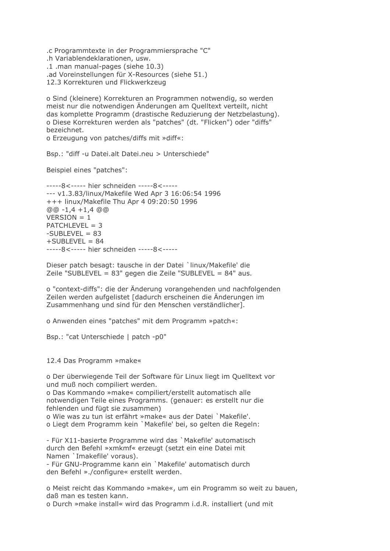.c Programmtexte in der Programmiersprache "C" .h Variablendeklarationen, usw. .1 .man manual-pages (siehe 10.3) .ad Voreinstellungen für X-Resources (siehe 51.) 12.3 Korrekturen und Flickwerkzeug

o Sind (kleinere) Korrekturen an Programmen notwendig, so werden meist nur die notwendigen Änderungen am Quelltext verteilt, nicht das komplette Programm (drastische Reduzierung der Netzbelastung). o Diese Korrekturen werden als "patches" (dt. "Flicken") oder "diffs" bezeichnet.

o Erzeugung von patches/diffs mit »diff«:

Bsp.: "diff -u Datei.alt Datei.neu > Unterschiede"

Beispiel eines "patches":

-----8<----- hier schneiden -----8<-------- v1.3.83/linux/Makefile Wed Apr 3 16:06:54 1996 +++ linux/Makefile Thu Apr 4 09:20:50 1996  $@@-1.4+1.4@@$  $VERSION = 1$  $PATCHLEVEL = 3$  $-SUBLEVEL = 83$  $+$ SUBLEVEL = 84 -----8<----- hier schneiden -----8<-----

Dieser patch besagt: tausche in der Datei `linux/Makefile' die Zeile "SUBLEVEL = 83" gegen die Zeile "SUBLEVEL = 84" aus.

o "context-diffs": die der Änderung vorangehenden und nachfolgenden Zeilen werden aufgelistet [dadurch erscheinen die Änderungen im Zusammenhang und sind für den Menschen verständlicher].

o Anwenden eines "patches" mit dem Programm »patch«:

Bsp.: "cat Unterschiede | patch -p0"

12.4 Das Programm »make«

o Der überwiegende Teil der Software für Linux liegt im Quelltext vor und muß noch compiliert werden.

o Das Kommando »make« compiliert/erstellt automatisch alle notwendigen Teile eines Programms. (genauer: es erstellt nur die fehlenden und fügt sie zusammen)

o Wie was zu tun ist erfährt »make« aus der Datei `Makefile'.

o Liegt dem Programm kein `Makefile' bei, so gelten die Regeln:

- Für X11-basierte Programme wird das `Makefile' automatisch durch den Befehl »xmkmf« erzeugt (setzt ein eine Datei mit Namen `Imakefile' voraus).

- Für GNU-Programme kann ein `Makefile' automatisch durch den Befehl »./configure« erstellt werden.

o Meist reicht das Kommando »make«, um ein Programm so weit zu bauen, daß man es testen kann.

o Durch »make install« wird das Programm i.d.R. installiert (und mit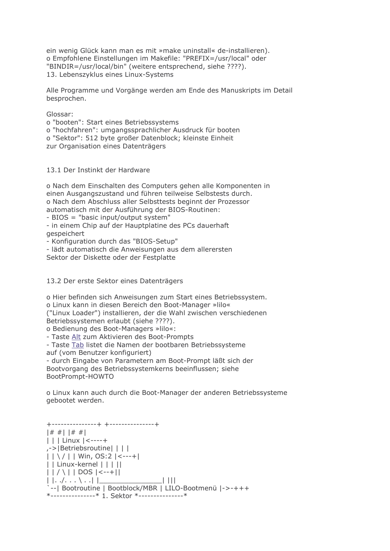ein wenig Glück kann man es mit »make uninstall« de-installieren). o Empfohlene Einstellungen im Makefile: "PREFIX=/usr/local" oder "BINDIR=/usr/local/bin" (weitere entsprechend, siehe ????). 13. Lebenszyklus eines Linux-Systems

Alle Programme und Vorgänge werden am Ende des Manuskripts im Detail besprochen.

Glossar:

o "booten": Start eines Betriebssystems o "hochfahren": umgangssprachlicher Ausdruck für booten o "Sektor": 512 byte großer Datenblock; kleinste Einheit zur Organisation eines Datenträgers

13.1 Der Instinkt der Hardware

o Nach dem Einschalten des Computers gehen alle Komponenten in einen Ausgangszustand und führen teilweise Selbstests durch. o Nach dem Abschluss aller Selbsttests beginnt der Prozessor automatisch mit der Ausführung der BIOS-Routinen:

- BIOS = "basic input/output system"

- in einem Chip auf der Hauptplatine des PCs dauerhaft *aespeichert* 

- Konfiguration durch das "BIOS-Setup"

- lädt automatisch die Anweisungen aus dem allerersten Sektor der Diskette oder der Festplatte

13.2 Der erste Sektor eines Datenträgers

o Hier befinden sich Anweisungen zum Start eines Betriebssystem. o Linux kann in diesen Bereich den Boot-Manager »lilo«

("Linux Loader") installieren, der die Wahl zwischen verschiedenen Betriebssystemen erlaubt (siehe ????).

o Bedienung des Boot-Managers »lilo«:

- Taste Alt zum Aktivieren des Boot-Prompts

- Taste Tab listet die Namen der bootbaren Betriebssysteme

auf (vom Benutzer konfiguriert)

- durch Eingabe von Parametern am Boot-Prompt läßt sich der Bootvorgang des Betriebssystemkerns beeinflussen; siehe BootPrompt-HOWTO

o Linux kann auch durch die Boot-Manager der anderen Betriebssysteme gebootet werden.

+--------------+ +---------------+  $|# #| |# #|$  $||$  | | Linux  $|$  <----+ .->|Betriebsroutine| | | |  $| | \nabla / | |$  Win, OS:2  $| \nabla$  / | | Linux-kernel | | | ||  $|$   $|$   $/$   $\setminus$   $|$   $|$  DOS  $|$  <--+ $|$  $| |.../... \rangle | |$  $\Box$   $\Box$ -- | Bootroutine | Bootblock/MBR | LILO-Bootmenü |->-+++ \*---------------\* 1. Sektor \*----------------\*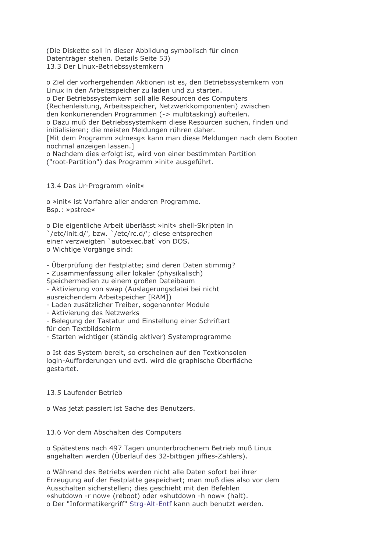(Die Diskette soll in dieser Abbildung symbolisch für einen Datenträger stehen. Details Seite 53) 13.3 Der Linux-Betriebssystemkern

o Ziel der vorhergehenden Aktionen ist es, den Betriebssystemkern von Linux in den Arbeitsspeicher zu laden und zu starten. o Der Betriebssystemkern soll alle Resourcen des Computers (Rechenleistung, Arbeitsspeicher, Netzwerkkomponenten) zwischen den konkurierenden Programmen (-> multitasking) aufteilen. o Dazu muß der Betriebssystemkern diese Resourcen suchen, finden und initialisieren; die meisten Meldungen rühren daher. [Mit dem Programm »dmesg« kann man diese Meldungen nach dem Booten nochmal anzeigen lassen.] o Nachdem dies erfolgt ist, wird von einer bestimmten Partition ("root-Partition") das Programm »init« ausgeführt.

13.4 Das Ur-Programm »init«

o »init« ist Vorfahre aller anderen Programme. Bsp.: »pstree«

o Die eigentliche Arbeit überlässt »init« shell-Skripten in '/etc/init.d/', bzw. '/etc/rc.d/'; diese entsprechen einer verzweigten `autoexec.bat' von DOS. o Wichtige Vorgänge sind:

- Überprüfung der Festplatte; sind deren Daten stimmig?

- Zusammenfassung aller lokaler (physikalisch)

Speichermedien zu einem großen Dateibaum

- Aktivierung von swap (Auslagerungsdatei bei nicht ausreichendem Arbeitspeicher [RAM])

- Laden zusätzlicher Treiber, sogenannter Module

- Aktivierung des Netzwerks

- Belegung der Tastatur und Einstellung einer Schriftart für den Textbildschirm

- Starten wichtiger (ständig aktiver) Systemprogramme

o Ist das System bereit, so erscheinen auf den Textkonsolen login-Aufforderungen und evtl. wird die graphische Oberfläche gestartet.

## 13.5 Laufender Betrieb

o Was jetzt passiert ist Sache des Benutzers.

## 13.6 Vor dem Abschalten des Computers

o Spätestens nach 497 Tagen ununterbrochenem Betrieb muß Linux angehalten werden (Überlauf des 32-bittigen jiffies-Zählers).

o Während des Betriebs werden nicht alle Daten sofort bei ihrer Erzeugung auf der Festplatte gespeichert; man muß dies also vor dem Ausschalten sicherstellen; dies geschieht mit den Befehlen »shutdown -r now« (reboot) oder »shutdown -h now« (halt). o Der "Informatikergriff" Strg-Alt-Entf kann auch benutzt werden.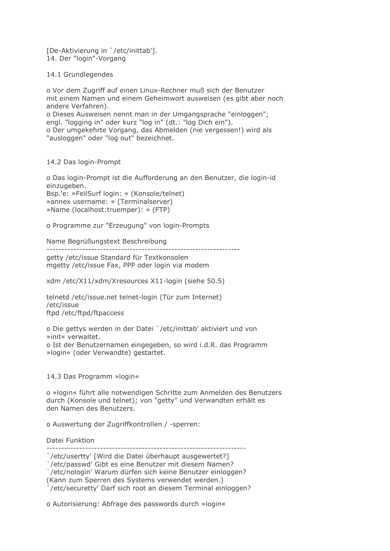[De-Aktivierung in `/etc/inittab']. 14. Der "login"-Vorgang

14.1 Grundlegendes

o Vor dem Zugriff auf einen Linux-Rechner muß sich der Benutzer mit einem Namen und einem Geheimwort ausweisen (es gibt aber noch andere Verfahren).

o Dieses Ausweisen nennt man in der Umgangsprache "einloggen"; engl. "logging in" oder kurz "log in" (dt.: "log Dich ein"). o Der umgekehrte Vorgang, das Abmelden (nie vergessen!) wird als

"ausloggen" oder "log out" bezeichnet.

14.2 Das login-Prompt

o Das login-Prompt ist die Aufforderung an den Benutzer, die login-id einzugeben.

Bsp.'e: »FeilSurf login: « (Konsole/telnet) »annex username: « (Terminalserver) »Name (localhost:truemper): « (FTP)

o Programme zur "Erzeugung" von login-Prompts

Name Begrüßungstext Beschreibung

-------------------

getty /etc/issue Standard für Textkonsolen mgetty /etc/issue Fax, PPP oder login via modem

xdm /etc/X11/xdm/Xresources X11-login (siehe 50.5)

telnetd /etc/issue.net telnet-login (Tür zum Internet) /etc/issue ftpd /etc/ftpd/ftpaccess

o Die gettys werden in der Datei `/etc/inittab' aktiviert und von »init« verwaltet. o Ist der Benutzernamen eingegeben, so wird i.d.R. das Programm »login« (oder Verwandte) gestartet.

14.3 Das Programm »login«

o »login« führt alle notwendigen Schritte zum Anmelden des Benutzers durch (Konsole und telnet); von "getty" und Verwandten erhält es den Namen des Benutzers

o Auswertung der Zugriffkontrollen / -sperren:

Datei Funktion

/etc/usertty' [Wird die Datei überhaupt ausgewertet?]

/etc/passwd' Gibt es eine Benutzer mit diesem Namen?

`/etc/nologin' Warum dürfen sich keine Benutzer einloggen?

(Kann zum Sperren des Systems verwendet werden.)

/etc/securetty' Darf sich root an diesem Terminal einloggen?

o Autorisierung: Abfrage des passwords durch »login«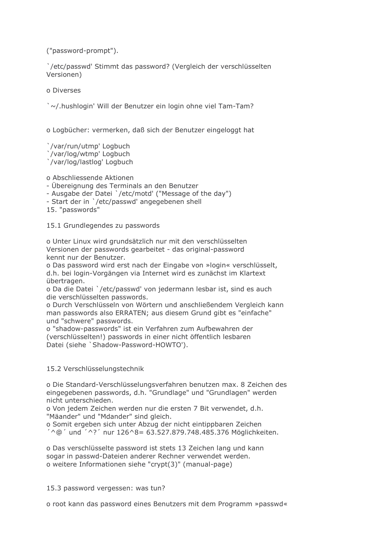("password-prompt").

`/etc/passwd' Stimmt das password? (Vergleich der verschlüsselten Versionen)

o Diverses

`~/.hushlogin' Will der Benutzer ein login ohne viel Tam-Tam?

o Logbücher: vermerken, daß sich der Benutzer eingeloggt hat

'/var/run/utmp' Logbuch

Yvar/log/wtmp' Logbuch

Var/log/lastlog' Logbuch

o Abschliessende Aktionen

- Übereignung des Terminals an den Benutzer

- Ausgabe der Datei `/etc/motd' ("Message of the day")

- Start der in `/etc/passwd' angegebenen shell

15. "passwords"

15.1 Grundlegendes zu passwords

o Unter Linux wird grundsätzlich nur mit den verschlüsselten Versionen der passwords gearbeitet - das original-password kennt nur der Benutzer.

o Das password wird erst nach der Eingabe von »login« verschlüsselt, d.h. bei login-Vorgängen via Internet wird es zunächst im Klartext übertragen.

o Da die Datei `/etc/passwd' von jedermann lesbar ist, sind es auch die verschlüsselten passwords.

o Durch Verschlüsseln von Wörtern und anschließendem Vergleich kann man passwords also ERRATEN; aus diesem Grund gibt es "einfache" und "schwere" passwords.

o "shadow-passwords" ist ein Verfahren zum Aufbewahren der (verschlüsselten!) passwords in einer nicht öffentlich lesbaren Datei (siehe `Shadow-Password-HOWTO').

# 15.2 Verschlüsselungstechnik

o Die Standard-Verschlüsselungsverfahren benutzen max. 8 Zeichen des eingegebenen passwords, d.h. "Grundlage" und "Grundlagen" werden nicht unterschieden.

o Von jedem Zeichen werden nur die ersten 7 Bit verwendet, d.h. "Mäander" und "Mdander" sind gleich.

o Somit ergeben sich unter Abzug der nicht eintippbaren Zeichen ' ^@ ' und ' ^? ' nur 126 ^ 8 = 63.527.879.748.485.376 Möglichkeiten.

o Das verschlüsselte password ist stets 13 Zeichen lang und kann sogar in passwd-Dateien anderer Rechner verwendet werden. o weitere Informationen siehe "crypt(3)" (manual-page)

15.3 password vergessen: was tun?

o root kann das password eines Benutzers mit dem Programm »passwd«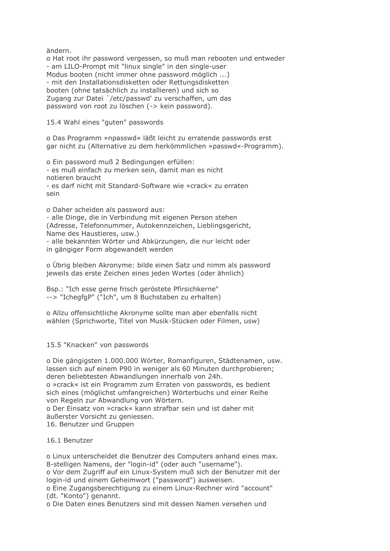ändern.

o Hat root ihr password vergessen, so muß man rebooten und entweder - am LILO-Prompt mit "linux single" in den single-user Modus booten (nicht immer ohne password möglich ...) - mit den Installationsdisketten oder Rettungsdisketten booten (ohne tatsächlich zu installieren) und sich so Zugang zur Datei `/etc/passwd' zu verschaffen, um das password von root zu löschen (-> kein password).

15.4 Wahl eines "guten" passwords

o Das Programm »npasswd« läßt leicht zu erratende passwords erst gar nicht zu (Alternative zu dem herkömmlichen »passwd«-Programm).

o Ein password muß 2 Bedingungen erfüllen: - es muß einfach zu merken sein, damit man es nicht notieren braucht - es darf nicht mit Standard-Software wie »crack« zu erraten  $cain$ 

o Daher scheiden als password aus:

- alle Dinge, die in Verbindung mit eigenen Person stehen (Adresse, Telefonnummer, Autokennzeichen, Lieblingsgericht, Name des Haustieres, usw.) - alle bekannten Wörter und Abkürzungen, die nur leicht oder

in gängiger Form abgewandelt werden

o Übrig bleiben Akronyme: bilde einen Satz und nimm als password jeweils das erste Zeichen eines jeden Wortes (oder ähnlich)

Bsp.: "Ich esse gerne frisch geröstete Pfirsichkerne" --> "IchegfgP" ("Ich", um 8 Buchstaben zu erhalten)

o Allzu offensichtliche Akronyme sollte man aber ebenfalls nicht wählen (Sprichworte, Titel von Musik-Stücken oder Filmen, usw)

15.5 "Knacken" von passwords

o Die gängigsten 1.000.000 Wörter, Romanfiguren, Städtenamen, usw. lassen sich auf einem P90 in weniger als 60 Minuten durchprobieren; deren beliebtesten Abwandlungen innerhalb von 24h.

o »crack« ist ein Programm zum Erraten von passwords, es bedient sich eines (möglichst umfangreichen) Wörterbuchs und einer Reihe von Regeln zur Abwandlung von Wörtern.

o Der Einsatz von »crack« kann strafbar sein und ist daher mit äußerster Vorsicht zu geniessen.

16. Benutzer und Gruppen

16.1 Benutzer

o Linux unterscheidet die Benutzer des Computers anhand eines max. 8-stelligen Namens, der "login-id" (oder auch "username"). o Vor dem Zugriff auf ein Linux-System muß sich der Benutzer mit der

login-id und einem Geheimwort ("password") ausweisen.

o Eine Zugangsberechtigung zu einem Linux-Rechner wird "account" (dt. "Konto") genannt.

o Die Daten eines Benutzers sind mit dessen Namen versehen und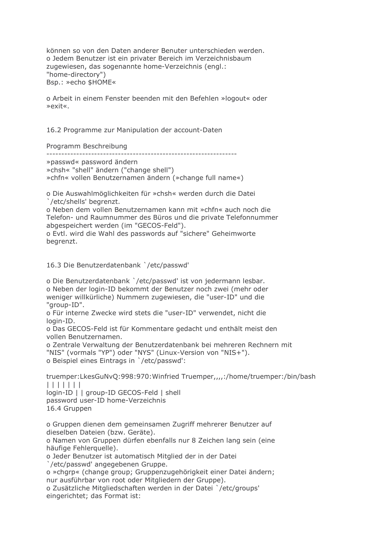können so von den Daten anderer Benuter unterschieden werden. o Jedem Benutzer ist ein privater Bereich im Verzeichnisbaum zugewiesen, das sogenannte home-Verzeichnis (engl.: "home-directory") Bsp.: »echo \$HOME«

o Arbeit in einem Fenster beenden mit den Befehlen »logout« oder »exit«

16.2 Programme zur Manipulation der account-Daten

Programm Beschreibung

»passwd« password ändern

»chsh« "shell" ändern ("change shell")

»chfn« vollen Benutzernamen ändern (»change full name«)

o Die Auswahlmöglichkeiten für »chsh« werden durch die Datei /etc/shells' begrenzt.

o Neben dem vollen Benutzernamen kann mit »chfn« auch noch die Telefon- und Raumnummer des Büros und die private Telefonnummer abgespeichert werden (im "GECOS-Feld").

o Evtl. wird die Wahl des passwords auf "sichere" Geheimworte begrenzt.

16.3 Die Benutzerdatenbank `/etc/passwd'

o Die Benutzerdatenbank `/etc/passwd' ist von jedermann lesbar. o Neben der login-ID bekommt der Benutzer noch zwei (mehr oder weniger willkürliche) Nummern zugewiesen, die "user-ID" und die "aroup-ID".

o Für interne Zwecke wird stets die "user-ID" verwendet, nicht die login-ID.

o Das GECOS-Feld ist für Kommentare gedacht und enthält meist den vollen Benutzernamen.

o Zentrale Verwaltung der Benutzerdatenbank bei mehreren Rechnern mit "NIS" (vormals "YP") oder "NYS" (Linux-Version von "NIS+"). o Beispiel eines Eintrags in `/etc/passwd':

truemper:LkesGuNvQ:998:970:Winfried Truemper,,,,:/home/truemper:/bin/bash  $| | | | | | | | | | | |$ 

login-ID | | group-ID GECOS-Feld | shell password user-ID home-Verzeichnis 16.4 Gruppen

o Gruppen dienen dem gemeinsamen Zugriff mehrerer Benutzer auf dieselben Dateien (bzw. Geräte).

o Namen von Gruppen dürfen ebenfalls nur 8 Zeichen lang sein (eine häufige Fehlerguelle).

o Jeder Benutzer ist automatisch Mitglied der in der Datei

'/etc/passwd' angegebenen Gruppe.

o »chqrp« (change group; Gruppenzugehörigkeit einer Datei ändern; nur ausführbar von root oder Mitgliedern der Gruppe).

o Zusätzliche Mitgliedschaften werden in der Datei `/etc/groups' eingerichtet; das Format ist: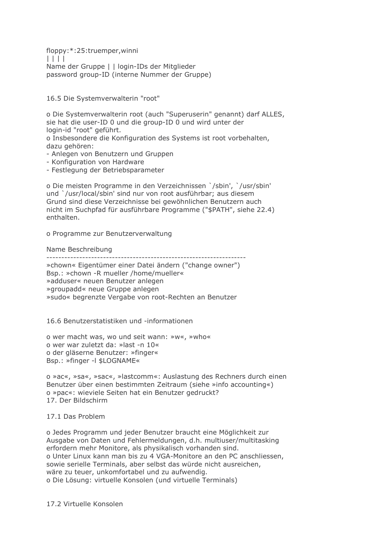floppy:\*:25:truemper,winni  $| | | | |$ Name der Gruppe | | login-IDs der Mitglieder password group-ID (interne Nummer der Gruppe)

16.5 Die Systemverwalterin "root"

o Die Systemverwalterin root (auch "Superuserin" genannt) darf ALLES, sie hat die user-ID 0 und die group-ID 0 und wird unter der login-id "root" geführt.

o Insbesondere die Konfiguration des Systems ist root vorbehalten, dazu gehören:

- Anlegen von Benutzern und Gruppen
- Konfiguration von Hardware
- Festlegung der Betriebsparameter

o Die meisten Programme in den Verzeichnissen `/sbin', `/usr/sbin' und `/usr/local/sbin' sind nur von root ausführbar; aus diesem Grund sind diese Verzeichnisse bei gewöhnlichen Benutzern auch nicht im Suchpfad für ausführbare Programme ("\$PATH", siehe 22.4) enthalten

o Programme zur Benutzerverwaltung

## Name Beschreibung

» chown« Eigentümer einer Datei ändern ("change owner") Bsp.: »chown -R mueller /home/mueller« »adduser« neuen Benutzer anlegen »groupadd« neue Gruppe anlegen »sudo« begrenzte Vergabe von root-Rechten an Benutzer

## 16.6 Benutzerstatistiken und -informationen

o wer macht was, wo und seit wann: »w«, »who« o wer war zuletzt da: »last -n 10« o der gläserne Benutzer: »finger« Bsp.: »finger -I \$LOGNAME«

o »ac«, »sa«, »sac«, »lastcomm«: Auslastung des Rechners durch einen Benutzer über einen bestimmten Zeitraum (siehe »info accounting«) o »pac«: wieviele Seiten hat ein Benutzer gedruckt? 17. Der Bildschirm

## 17.1 Das Problem

o Jedes Programm und jeder Benutzer braucht eine Möglichkeit zur Ausgabe von Daten und Fehlermeldungen, d.h. multiuser/multitasking erfordern mehr Monitore, als physikalisch vorhanden sind. o Unter Linux kann man bis zu 4 VGA-Monitore an den PC anschliessen, sowie serielle Terminals, aber selbst das würde nicht ausreichen, wäre zu teuer, unkomfortabel und zu aufwendig. o Die Lösung: virtuelle Konsolen (und virtuelle Terminals)

## 17.2 Virtuelle Konsolen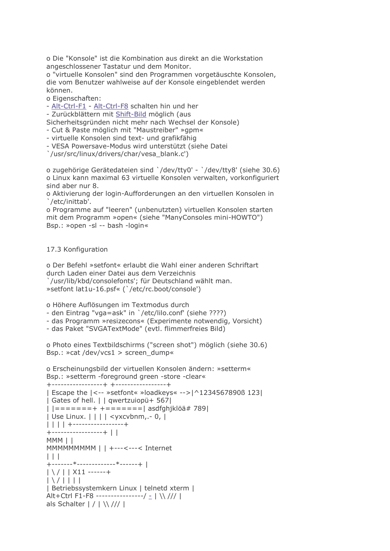o Die "Konsole" ist die Kombination aus direkt an die Workstation angeschlossener Tastatur und dem Monitor.

o "virtuelle Konsolen" sind den Programmen vorgetäuschte Konsolen, die vom Benutzer wahlweise auf der Konsole eingeblendet werden können.

o Eigenschaften:

- Alt-Ctrl-F1 - Alt-Ctrl-F8 schalten hin und her

- Zurückblättern mit Shift-Bild möglich (aus

Sicherheitsgründen nicht mehr nach Wechsel der Konsole)

- Cut & Paste möglich mit "Maustreiber" »gpm«

- virtuelle Konsolen sind text- und grafikfähig

- VESA Powersave-Modus wird unterstützt (siehe Datei

'/usr/src/linux/drivers/char/vesa blank.c')

o zugehörige Gerätedateien sind `/dev/tty0' - `/dev/tty8' (siehe 30.6) o Linux kann maximal 63 virtuelle Konsolen verwalten, vorkonfiguriert sind aber nur 8.

o Aktivierung der login-Aufforderungen an den virtuellen Konsolen in /etc/inittab'.

o Programme auf "leeren" (unbenutzten) virtuellen Konsolen starten mit dem Programm »open« (siehe "ManyConsoles mini-HOWTO") Bsp.: »open -sl -- bash -login«

# 17.3 Konfiguration

o Der Befehl »setfont« erlaubt die Wahl einer anderen Schriftart durch Laden einer Datei aus dem Verzeichnis `/usr/lib/kbd/consolefonts'; für Deutschland wählt man. »setfont lat1u-16.psf« ('/etc/rc.boot/console')

o Höhere Auflösungen im Textmodus durch

- den Eintrag "vga=ask" in `/etc/lilo.conf' (siehe ????)

- das Programm » resizecons« (Experimente notwendig, Vorsicht)

- das Paket "SVGATextMode" (evtl. flimmerfreies Bild)

o Photo eines Textbildschirms ("screen shot") möglich (siehe 30.6) Bsp.: »cat /dev/vcs1 > screen\_dump«

o Erscheinungsbild der virtuellen Konsolen ändern: »setterm« Bsp.: »setterm -foreground green -store -clear« +-----------------+ +-----------------+

```
| Escape the | <-- »setfont« »loadkeys« -->| ^1234567890ß 123|
| Gates of hell. | | qwertzuiopü+ 567|
| | = = = = = = + + = = = = = = = = | \text{asdfghiklöä# 789}| Use Linux. | | | | <yxcvbnm, - 0, |
| \ | \ | \ | \ | +------------------+
+-----------------+ | |
MMM | |
MMMMMMMM | | +---<---< Internet
\Box+-------*------------*------+ |
|\ \ \ \ | \ \ | \ | \ \frac{1}{2} | \ \ 211 ------+
\lfloor \frac{\sqrt{111}}{111} \rfloor| Betriebssystemkern Linux | telnetd xterm |
Alt+Ctrl F1-F8 ----------------/ = | \\ /// |
als Schalter | / | \\ /// |
```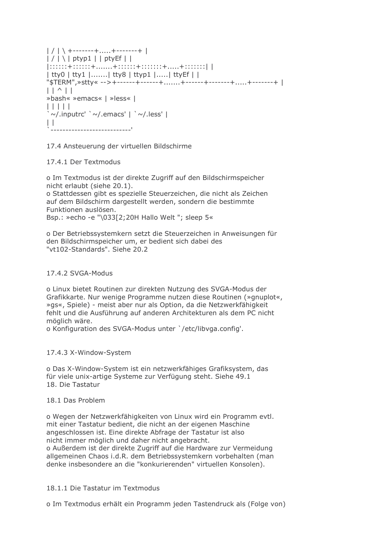```
| / | \ +-------+.....+-------+ |
| / | | | ptyp1 | | ptyEf | |
\left[ \frac{1}{2}, \frac{1}{2}, \frac{1}{2}, \frac{1}{2}, \frac{1}{2}, \frac{1}{2}, \frac{1}{2}, \frac{1}{2}, \frac{1}{2}, \frac{1}{2}, \frac{1}{2}, \frac{1}{2}, \frac{1}{2}, \frac{1}{2}, \frac{1}{2}, \frac{1}{2}, \frac{1}{2}, \frac{1}{2}, \frac{1}{2}, \frac{1}{2}, \frac{1}{2}, \frac{1}{2}, \frac{1}{2}, \frac{1}{2}, \frac{1}{2}, \frac{1}{2}, \frac{1}{2}, \frac{1}{2}, \frac{1}{2}, \frac{1}{2}, \frac{1}{2},| tty0 | tty1 |....... | tty8 | ttyp1 |..... | ttyEf | |
\vert \vert \wedge \vert \vert»bash« »emacs« | »less« |
11111\sim/.inputrc' `\sim/.emacs' | `\sim/.less' |
\Box
```
17.4 Ansteuerung der virtuellen Bildschirme

## 17.4.1 Der Textmodus

o Im Textmodus ist der direkte Zugriff auf den Bildschirmspeicher nicht erlaubt (siehe 20.1).

o Stattdessen gibt es spezielle Steuerzeichen, die nicht als Zeichen auf dem Bildschirm dargestellt werden, sondern die bestimmte Funktionen auslösen. Bsp.: »echo -e "\033[2;20H Hallo Welt "; sleep 5«

o Der Betriebssystemkern setzt die Steuerzeichen in Anweisungen für den Bildschirmspeicher um, er bedient sich dabei des "vt102-Standards". Siehe 20.2

## 17.4.2 SVGA-Modus

o Linux bietet Routinen zur direkten Nutzung des SVGA-Modus der Grafikkarte. Nur wenige Programme nutzen diese Routinen (»gnuplot«, » as«, Spiele) - meist aber nur als Option, da die Netzwerkfähigkeit fehlt und die Ausführung auf anderen Architekturen als dem PC nicht möglich wäre.

o Konfiguration des SVGA-Modus unter `/etc/libvga.config'.

## 17.4.3 X-Window-System

o Das X-Window-System ist ein netzwerkfähiges Grafiksystem, das für viele unix-artige Systeme zur Verfügung steht. Siehe 49.1 18. Die Tastatur

## 18.1 Das Problem

o Wegen der Netzwerkfähigkeiten von Linux wird ein Programm evtl. mit einer Tastatur bedient, die nicht an der eigenen Maschine angeschlossen ist. Eine direkte Abfrage der Tastatur ist also nicht immer möglich und daher nicht angebracht.

o Außerdem ist der direkte Zugriff auf die Hardware zur Vermeidung allgemeinen Chaos i.d.R. dem Betriebssystemkern vorbehalten (man denke insbesondere an die "konkurierenden" virtuellen Konsolen).

## 18.1.1 Die Tastatur im Textmodus

o Im Textmodus erhält ein Programm jeden Tastendruck als (Folge von)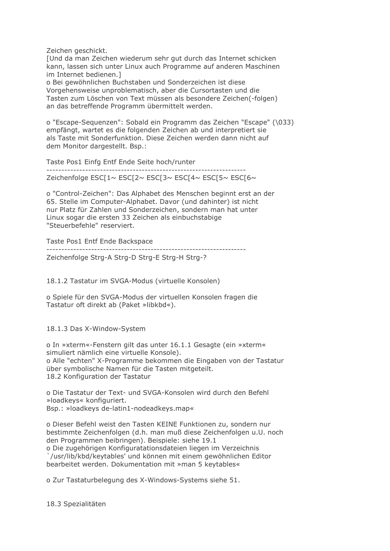Zeichen geschickt.

[Und da man Zeichen wiederum sehr gut durch das Internet schicken kann, lassen sich unter Linux auch Programme auf anderen Maschinen im Internet bedienen.]

o Bei gewöhnlichen Buchstaben und Sonderzeichen ist diese Vorgehensweise unproblematisch, aber die Cursortasten und die Tasten zum Löschen von Text müssen als besondere Zeichen(-folgen) an das betreffende Programm übermittelt werden.

o "Escape-Sequenzen": Sobald ein Programm das Zeichen "Escape" (\033) empfängt, wartet es die folgenden Zeichen ab und interpretiert sie als Taste mit Sonderfunktion. Diese Zeichen werden dann nicht auf dem Monitor dargestellt. Bsp.:

Taste Pos1 Einfg Entf Ende Seite hoch/runter

Zeichenfolge ESC[1~ ESC[2~ ESC[3~ ESC[4~ ESC[5~ ESC[6~

o "Control-Zeichen": Das Alphabet des Menschen beginnt erst an der 65. Stelle im Computer-Alphabet. Davor (und dahinter) ist nicht nur Platz für Zahlen und Sonderzeichen, sondern man hat unter Linux sogar die ersten 33 Zeichen als einbuchstabige "Steuerbefehle" reserviert.

Taste Pos1 Entf Ende Backspace Zeichenfolge Strg-A Strg-D Strg-E Strg-H Strg-?

18.1.2 Tastatur im SVGA-Modus (virtuelle Konsolen)

o Spiele für den SVGA-Modus der virtuellen Konsolen fragen die Tastatur oft direkt ab (Paket »libkbd«).

18.1.3 Das X-Window-System

o In »xterm«-Fenstern gilt das unter 16.1.1 Gesagte (ein »xterm« simuliert nämlich eine virtuelle Konsole). o Alle "echten" X-Programme bekommen die Eingaben von der Tastatur über symbolische Namen für die Tasten mitgeteilt. 18.2 Konfiguration der Tastatur

o Die Tastatur der Text- und SVGA-Konsolen wird durch den Befehl »loadkeys« konfiguriert. Bsp.: »loadkeys de-latin1-nodeadkeys.map«

o Dieser Befehl weist den Tasten KEINE Funktionen zu, sondern nur bestimmte Zeichenfolgen (d.h. man muß diese Zeichenfolgen u.U. noch den Programmen beibringen). Beispiele: siehe 19.1 o Die zugehörigen Konfiguratationsdateien liegen im Verzeichnis `/usr/lib/kbd/keytables' und können mit einem gewöhnlichen Editor

bearbeitet werden. Dokumentation mit »man 5 keytables«

o Zur Tastaturbelegung des X-Windows-Systems siehe 51.

18.3 Spezialitäten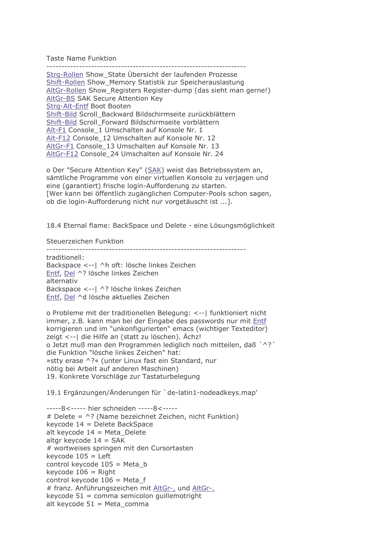**Taste Name Funktion** 

Strg-Rollen Show State Übersicht der laufenden Prozesse Shift-Rollen Show Memory Statistik zur Speicherauslastung AltGr-Rollen Show Registers Register-dump (das sieht man gerne!) AltGr-BS SAK Secure Attention Key Stra-Alt-Entf Boot Booten Shift-Bild Scroll Backward Bildschirmseite zurückblättern Shift-Bild Scroll Forward Bildschirmseite vorblättern Alt-F1 Console 1 Umschalten auf Konsole Nr. 1 Alt-F12 Console 12 Umschalten auf Konsole Nr. 12 AltGr-F1 Console 13 Umschalten auf Konsole Nr. 13 AltGr-F12 Console 24 Umschalten auf Konsole Nr. 24

o Der "Secure Attention Key" (SAK) weist das Betriebssystem an, sämtliche Programme von einer virtuellen Konsole zu verjagen und eine (garantiert) frische login-Aufforderung zu starten. [Wer kann bei öffentlich zugänglichen Computer-Pools schon sagen, ob die login-Aufforderung nicht nur vorgetäuscht ist ...].

18.4 Eternal flame: BackSpace und Delete - eine Lösungsmöglichkeit

Steuerzeichen Funktion

traditionell: Backspace <-- | ^h oft: lösche linkes Zeichen Entf, Del ^? lösche linkes Zeichen alternativ Backspace <-- | ^? lösche linkes Zeichen Entf, Del ^d lösche aktuelles Zeichen

o Probleme mit der traditionellen Belegung: <-- | funktioniert nicht immer, z.B. kann man bei der Eingabe des passwords nur mit Entf korrigieren und im "unkonfigurierten" emacs (wichtiger Texteditor) zeigt <-- | die Hilfe an (statt zu löschen). Ächz! o Jetzt muß man den Programmen lediglich noch mitteilen, daß '^?' die Funktion "lösche linkes Zeichen" hat: »stty erase ^?« (unter Linux fast ein Standard, nur nötig bei Arbeit auf anderen Maschinen) 19. Konkrete Vorschläge zur Tastaturbelegung

19.1 Ergänzungen/Änderungen für 'de-latin1-nodeadkeys.map'

-----8<----- hier schneiden -----8<-----# Delete =  $\wedge$ ? (Name bezeichnet Zeichen, nicht Funktion) keycode 14 = Delete BackSpace alt keycode  $14 =$  Meta\_Delete altgr keycode  $14 = SAK$ # wortweises springen mit den Cursortasten keycode  $105$  = Left control keycode  $105$  = Meta b keycode  $106$  = Right control keycode 106 = Meta\_f # franz. Anführungszeichen mit AltGr-, und AltGr-. keycode  $51 =$ comma semicolon quillemotright alt keycode 51 = Meta\_comma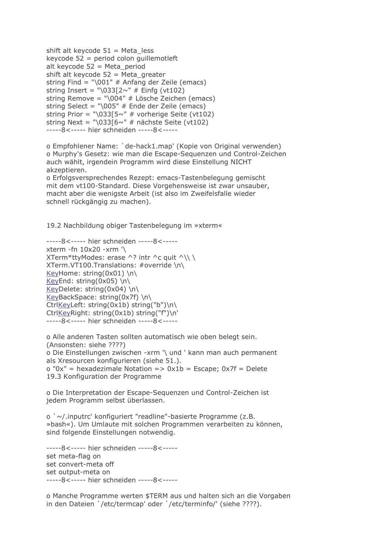```
shift alt keycode 51 = Meta less
keycode 52 = period colon quillemotleft
alt keycode 52 = Meta_period
shift alt keycode 52 = Meta_greater
string Find = "001" # Anfang der Zeile (emacs)
string Insert = "033[2~^" # Einfg (vt102)
string Remove = "\004" \# Lösche Zeichen (emacs)
string Select = "\005" # Ende der Zeile (emacs)
string Prior = "\033[5~" # vorherige Seite (vt102)
string Next = "\033[6~" # nächste Seite (vt102)
-----8<----- hier schneiden -----8<-----
```
o Empfohlener Name: 'de-hack1.map' (Kopie von Original verwenden) o Murphy's Gesetz: wie man die Escape-Sequenzen und Control-Zeichen auch wählt, irgendein Programm wird diese Einstellung NICHT akzeptieren.

o Erfolgsversprechendes Rezept: emacs-Tastenbelegung gemischt mit dem vt100-Standard. Diese Vorgehensweise ist zwar unsauber. macht aber die wenigste Arbeit (ist also im Zweifelsfalle wieder schnell rückgängig zu machen).

19.2 Nachbildung obiger Tastenbelegung im »xterm«

```
-----8<----- hier schneiden -----8<-----
xterm -fn 10x20 -xrm '\
XTerm*ttyModes: erase ^? intr ^c quit ^\\\
XTerm.VT100.Translations: #override \n\
KeyHome: string(0x01) \n\lnKeyEnd: string(0x05) \n\
KeyDelete: string(0x04) \n\
KeyBackSpace: string(0x7f) \n\
CtrlKeyLeft: string(0x1b) string("b")\n\
CtrlKeyRight: string(0x1b) string("f")\n'
-----8<----- hier schneiden -----8<-----
```
o Alle anderen Tasten sollten automatisch wie oben belegt sein. (Ansonsten: siehe ????) o Die Einstellungen zwischen -xrm '\ und ' kann man auch permanent als Xresourcen konfigurieren (siehe 51.).  $o "0x"$  = hexadezimale Notation =>  $0x1b$  = Escape;  $0x7f$  = Delete 19.3 Konfiguration der Programme

o Die Interpretation der Escape-Sequenzen und Control-Zeichen ist jedem Programm selbst überlassen.

 $\circ$   $\sim$ /.inputrc' konfiguriert "readline"-basierte Programme (z.B. »bash«). Um Umlaute mit solchen Programmen verarbeiten zu können, sind folgende Einstellungen notwendig.

-----8<----- hier schneiden -----8<----set meta-flag on set convert-meta off set output-meta on -----8<----- hier schneiden -----8<-----

o Manche Programme werten \$TERM aus und halten sich an die Vorgaben in den Dateien `/etc/termcap' oder `/etc/terminfo/' (siehe ????).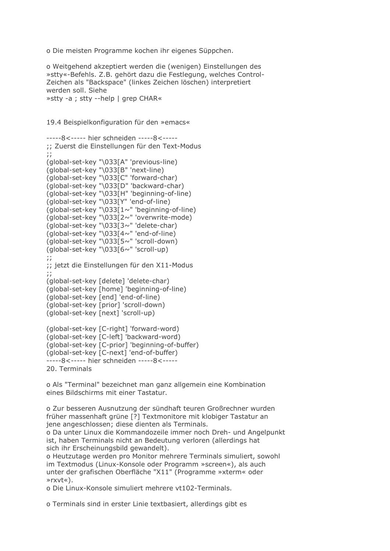o Die meisten Programme kochen ihr eigenes Süppchen.

o Weitgehend akzeptiert werden die (wenigen) Einstellungen des » stty«-Befehls. Z.B. gehört dazu die Festlegung, welches Control-Zeichen als "Backspace" (linkes Zeichen löschen) interpretiert werden soll. Siehe »stty -a ; stty --help | grep CHAR«

19.4 Beispielkonfiguration für den »emacs«

```
-----8<----- hier schneiden -----8<-----
;; Zuerst die Einstellungen für den Text-Modus
(global-set-key "\033[A" 'previous-line)
(global-set-key "\033[B" 'next-line)
(alobal-set-key "\033<sup>[C"</sup> 'forward-char)
(global-set-key "\033[D" 'backward-char)
(global-set-key "\033[H" 'beginning-of-line)
(global-set-key "\033[Y" 'end-of-line)
(global-set-key "\033[1~" 'beginning-of-line)
(global-set-key "\033[2~" 'overwrite-mode)
(global-set-key "\033[3~" 'delete-char)
(global-set-key "033[4~" 'end-of-line)(global-set-key "03355~" 'scroll-down')(global-set-key "033[6~" 'scroll-up)\dddot{ };; jetzt die Einstellungen für den X11-Modus
\ddots(global-set-key [delete] 'delete-char)
(global-set-key [home] 'beginning-of-line)
(global-set-key [end] 'end-of-line)
(global-set-key [prior] 'scroll-down)
(qlobal-set-key [next] 'scroll-up)
(global-set-key [C-right] 'forward-word)
(global-set-key [C-left] 'backward-word)
(global-set-key [C-prior] 'beginning-of-buffer)
(global-set-key [C-next] 'end-of-buffer)
-----8<----- hier schneiden -----8<-----
```
20. Terminals

o Als "Terminal" bezeichnet man ganz allgemein eine Kombination eines Bildschirms mit einer Tastatur.

o Zur besseren Ausnutzung der sündhaft teuren Großrechner wurden früher massenhaft grüne [?] Textmonitore mit klobiger Tastatur an jene angeschlossen; diese dienten als Terminals. o Da unter Linux die Kommandozeile immer noch Dreh- und Angelpunkt ist, haben Terminals nicht an Bedeutung verloren (allerdings hat sich ihr Erscheinungsbild gewandelt). o Heutzutage werden pro Monitor mehrere Terminals simuliert, sowohl

im Textmodus (Linux-Konsole oder Programm »screen«), als auch unter der grafischen Oberfläche "X11" (Programme »xterm« oder  $srxvt\&$ 

o Die Linux-Konsole simuliert mehrere vt102-Terminals.

o Terminals sind in erster Linie textbasiert, allerdings gibt es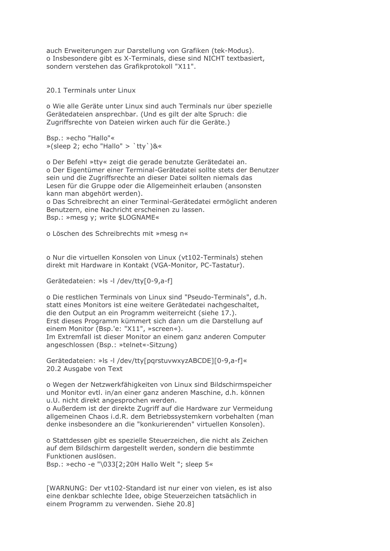auch Erweiterungen zur Darstellung von Grafiken (tek-Modus). o Insbesondere gibt es X-Terminals, diese sind NICHT textbasiert, sondern verstehen das Grafikprotokoll "X11".

20.1 Terminals unter Linux

o Wie alle Geräte unter Linux sind auch Terminals nur über spezielle Gerätedateien ansprechbar. (Und es gilt der alte Spruch: die Zugriffsrechte von Dateien wirken auch für die Geräte.)

Bsp.: »echo "Hallo"« »(sleep 2; echo "Hallo" > `tty`)&«

o Der Befehl »tty« zeigt die gerade benutzte Gerätedatei an. o Der Eigentümer einer Terminal-Gerätedatei sollte stets der Benutzer sein und die Zugriffsrechte an dieser Datei sollten niemals das Lesen für die Gruppe oder die Allgemeinheit erlauben (ansonsten kann man abgehört werden). o Das Schreibrecht an einer Terminal-Gerätedatei ermöglicht anderen Benutzern, eine Nachricht erscheinen zu lassen.

Bsp.: »mesq y; write \$LOGNAME«

o Löschen des Schreibrechts mit »mesg n«

o Nur die virtuellen Konsolen von Linux (vt102-Terminals) stehen direkt mit Hardware in Kontakt (VGA-Monitor, PC-Tastatur).

Gerätedateien: »Is -I /dev/tty[0-9,a-f]

o Die restlichen Terminals von Linux sind "Pseudo-Terminals", d.h. statt eines Monitors ist eine weitere Gerätedatei nachgeschaltet. die den Output an ein Programm weiterreicht (siehe 17.). Erst dieses Programm kümmert sich dann um die Darstellung auf einem Monitor (Bsp.'e: "X11", »screen«). Im Extremfall ist dieser Monitor an einem ganz anderen Computer angeschlossen (Bsp.: »telnet«-Sitzung)

Gerätedateien: »Is -I /dev/tty[pqrstuvwxyzABCDE][0-9,a-f]« 20.2 Ausgabe von Text

o Wegen der Netzwerkfähigkeiten von Linux sind Bildschirmspeicher und Monitor evtl. in/an einer ganz anderen Maschine, d.h. können u.U. nicht direkt angesprochen werden.

o Außerdem ist der direkte Zugriff auf die Hardware zur Vermeidung allgemeinen Chaos i.d.R. dem Betriebssystemkern vorbehalten (man denke insbesondere an die "konkurierenden" virtuellen Konsolen).

o Stattdessen gibt es spezielle Steuerzeichen, die nicht als Zeichen auf dem Bildschirm dargestellt werden, sondern die bestimmte Funktionen auslösen. Bsp.: »echo -e "\033[2;20H Hallo Welt "; sleep 5«

[WARNUNG: Der vt102-Standard ist nur einer von vielen, es ist also eine denkbar schlechte Idee, obige Steuerzeichen tatsächlich in einem Programm zu verwenden. Siehe 20.8]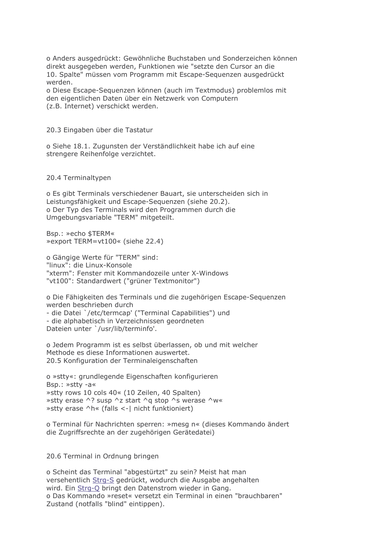o Anders ausgedrückt: Gewöhnliche Buchstaben und Sonderzeichen können direkt ausgegeben werden, Funktionen wie "setzte den Cursor an die 10. Spalte" müssen vom Programm mit Escape-Sequenzen ausgedrückt werden.

o Diese Escape-Sequenzen können (auch im Textmodus) problemlos mit den eigentlichen Daten über ein Netzwerk von Computern (z.B. Internet) verschickt werden.

20.3 Eingaben über die Tastatur

o Siehe 18.1. Zugunsten der Verständlichkeit habe ich auf eine strengere Reihenfolge verzichtet.

#### 20.4 Terminaltypen

o Es gibt Terminals verschiedener Bauart, sie unterscheiden sich in Leistungsfähigkeit und Escape-Seguenzen (siehe 20.2). o Der Typ des Terminals wird den Programmen durch die Umgebungsvariable "TERM" mitgeteilt.

Bsp.: »echo \$TERM« » export TERM=vt100« (siehe 22.4)

o Gängige Werte für "TERM" sind: "linux": die Linux-Konsole "xterm": Fenster mit Kommandozeile unter X-Windows "vt100": Standardwert ("grüner Textmonitor")

o Die Fähigkeiten des Terminals und die zugehörigen Escape-Sequenzen werden beschrieben durch - die Datei `/etc/termcap' ("Terminal Capabilities") und - die alphabetisch in Verzeichnissen geordneten Dateien unter `/usr/lib/terminfo'.

o Jedem Programm ist es selbst überlassen, ob und mit welcher Methode es diese Informationen auswertet. 20.5 Konfiguration der Terminaleigenschaften

o »stty«: grundlegende Eigenschaften konfigurieren Bsp.: »stty -a« » stty rows 10 cols 40« (10 Zeilen, 40 Spalten) »stty erase ^? susp ^z start ^g stop ^s werase ^w« » stty erase ^h« (falls <-| nicht funktioniert)

o Terminal für Nachrichten sperren: »mesq n« (dieses Kommando ändert die Zugriffsrechte an der zugehörigen Gerätedatei)

20.6 Terminal in Ordnung bringen

o Scheint das Terminal "abgestürtzt" zu sein? Meist hat man versehentlich Strg-S gedrückt, wodurch die Ausgabe angehalten wird. Ein Strg-Q bringt den Datenstrom wieder in Gang. o Das Kommando »reset« versetzt ein Terminal in einen "brauchbaren" Zustand (notfalls "blind" eintippen).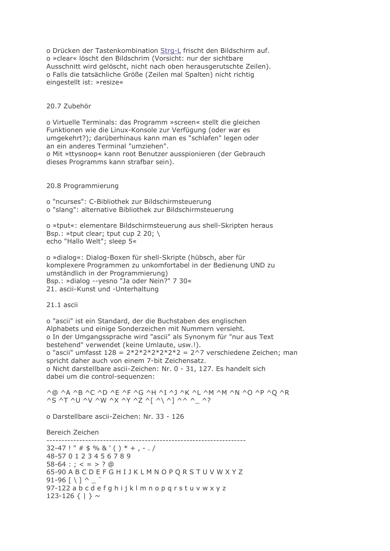o Drücken der Tastenkombination Strg-L frischt den Bildschirm auf. o »clear« löscht den Bildschrim (Vorsicht: nur der sichtbare Ausschnitt wird gelöscht, nicht nach oben herausgerutschte Zeilen). o Falls die tatsächliche Größe (Zeilen mal Spalten) nicht richtig eingestellt ist: »resize«

### 20.7 Zubehör

o Virtuelle Terminals: das Programm »screen« stellt die gleichen Funktionen wie die Linux-Konsole zur Verfügung (oder war es umgekehrt?); darüberhinaus kann man es "schlafen" legen oder an ein anderes Terminal "umziehen".

o Mit »ttysnoop« kann root Benutzer ausspionieren (der Gebrauch dieses Programms kann strafbar sein).

#### 20.8 Programmierung

o "ncurses": C-Bibliothek zur Bildschirmsteuerung o "slang": alternative Bibliothek zur Bildschirmsteuerung

o »tput«: elementare Bildschirmsteuerung aus shell-Skripten heraus Bsp.: »tput clear; tput cup 2 20;  $\setminus$ echo "Hallo Welt"; sleep 5«

o »dialog«: Dialog-Boxen für shell-Skripte (hübsch, aber für komplexere Programmen zu unkomfortabel in der Bedienung UND zu umständlich in der Programmierung) Bsp.: »dialog --yesno "Ja oder Nein?" 7 30« 21. ascii-Kunst und -Unterhaltung

21.1 ascii

o "ascii" ist ein Standard, der die Buchstaben des englischen Alphabets und einige Sonderzeichen mit Nummern versieht. o In der Umgangssprache wird "ascii" als Synonym für "nur aus Text bestehend" verwendet (keine Umlaute, usw.!). o "ascii" umfasst  $128 = 2*2*2*2*2*2*2 = 2^2$  verschiedene Zeichen; man spricht daher auch von einem 7-bit Zeichensatz. o Nicht darstellbare ascii-Zeichen: Nr. 0 - 31, 127. Es handelt sich dabei um die control-sequenzen:

^@ ^A ^B ^C ^D ^E ^F ^G ^H ^I ^J ^K ^L ^M ^M ^N ^O ^P ^O ^R  $\overline{X}$   $\overline{Y}$   $\overline{Y}$   $\overline{Y}$   $\overline{Y}$   $\overline{Y}$   $\overline{Y}$   $\overline{Y}$   $\overline{Y}$   $\overline{Y}$   $\overline{Y}$   $\overline{Y}$   $\overline{Y}$   $\overline{Y}$   $\overline{Y}$   $\overline{Y}$   $\overline{Y}$   $\overline{Y}$   $\overline{Y}$   $\overline{Y}$   $\overline{Y}$   $\overline{Y}$   $\overline{Y}$   $\overline{Y}$   $\overline{$ 

o Darstellbare ascii-Zeichen: Nr. 33 - 126

Bereich Zeichen

 $32-47$ ! " # \$ % & '() \* +, -, / 48-57 0 1 2 3 4 5 6 7 8 9  $58-64$  : ; < = > ? @ 65-90 ABCDEFGHIJKLMNOPORSTUVWXYZ  $91 - 96$   $\left[ \ \ \right]$  ^ 97-122 a b c d e f q h i j k l m n o p q r s t u v w x y z 123-126  $\{ | \}$  ~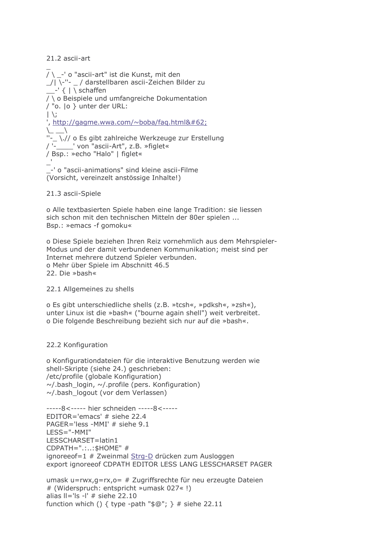# 21.2 ascii-art

/ \ \_-' o "ascii-art" ist die Kunst, mit den / \-"- \_ / darstellbaren ascii-Zeichen Bilder zu  $-\frac{1}{2}$  /  $\frac{1}{2}$  schaffen / \ o Beispiele und umfangreiche Dokumentation / "o. lo } unter der URL:  $|\n\rangle$ , http://gagme.wwa.com/~boba/fag.html>  $\setminus$  $\sqrt{2}$  $\Box \backslash$ .// o Es gibt zahlreiche Werkzeuge zur Erstellung / '-\_\_\_\_\_' von "ascii-Art", z.B. »figlet« / Bsp.: »echo "Halo" | figlet«

-' o "ascii-animations" sind kleine ascii-Filme (Vorsicht, vereinzelt anstössige Inhalte!)

21.3 ascii-Spiele

o Alle textbasierten Spiele haben eine lange Tradition: sie liessen sich schon mit den technischen Mitteln der 80er spielen ... Bsp.: »emacs -f gomoku«

o Diese Spiele beziehen Ihren Reiz vornehmlich aus dem Mehrspieler-Modus und der damit verbundenen Kommunikation; meist sind per Internet mehrere dutzend Spieler verbunden. o Mehr über Spiele im Abschnitt 46.5 22. Die »bash«

22.1 Allgemeines zu shells

o Es gibt unterschiedliche shells (z.B. »tcsh«, »pdksh«, »zsh«), unter Linux ist die »bash« ("bourne again shell") weit verbreitet. o Die folgende Beschreibung bezieht sich nur auf die »bash«.

# 22.2 Konfiguration

o Konfigurationdateien für die interaktive Benutzung werden wie shell-Skripte (siehe 24.) geschrieben: /etc/profile (globale Konfiguration)  $\sim$ /.bash login,  $\sim$ /.profile (pers. Konfiguration)  $\sim$ /.bash logout (vor dem Verlassen)

```
-----8<----- hier schneiden -----8<-----
EDITOR='emacs' # siehe 22.4
PAGER='less -MMI' # siehe 9.1
LESS="-MMI"
LESSCHARSET=latin1
CDPATH="....: $HOME" #
ignoreeof=1 # Zweinmal Strg-D drücken zum Ausloggen
export ignoreeof CDPATH EDITOR LESS LANG LESSCHARSET PAGER
```

```
umask u=rwx,g=rx, o= # Zugriffsrechte für neu erzeugte Dateien
# (Widerspruch: entspricht »umask 027«!)
alias II = 'Is - I' # siehe 22.10function which () { type -path "\mathcal{S}@"; } # siehe 22.11
```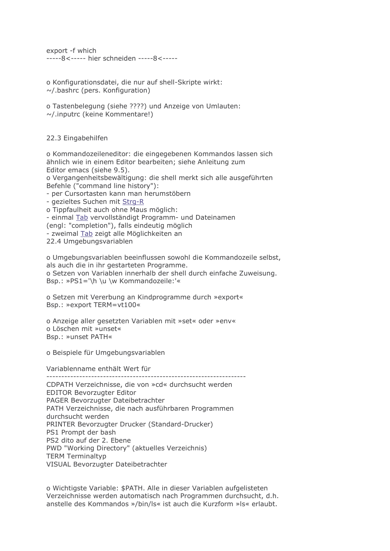export -f which -----8<----- hier schneiden -----8<-----

o Konfigurationsdatei, die nur auf shell-Skripte wirkt:  $\sim$ /.bashrc (pers. Konfiguration)

o Tastenbelegung (siehe ????) und Anzeige von Umlauten:  $\sim$ /.inputrc (keine Kommentare!)

22.3 Eingabehilfen

o Kommandozeileneditor: die eingegebenen Kommandos lassen sich ähnlich wie in einem Editor bearbeiten; siehe Anleitung zum Editor emacs (siehe 9.5).

o Vergangenheitsbewältigung: die shell merkt sich alle ausgeführten Befehle ("command line history"):

- per Cursortasten kann man herumstöbern

- gezieltes Suchen mit Strg-R

o Tippfaulheit auch ohne Maus möglich: - einmal Tab vervollständigt Programm- und Dateinamen (engl: "completion"), falls eindeutig möglich - zweimal Tab zeigt alle Möglichkeiten an 22.4 Umgebungsvariablen

o Umgebungsvariablen beeinflussen sowohl die Kommandozeile selbst, als auch die in ihr gestarteten Programme. o Setzen von Variablen innerhalb der shell durch einfache Zuweisung. Bsp.: »PS1='\h \u \w Kommandozeile:'«

o Setzen mit Vererbung an Kindprogramme durch »export« Bsp.: »export TERM=vt100«

o Anzeige aller gesetzten Variablen mit »set« oder »env« o Löschen mit »unset« Bsp.: »unset PATH«

o Beispiele für Umgebungsvariablen

Variablenname enthält Wert für

CDPATH Verzeichnisse, die von »cd« durchsucht werden **EDITOR Bevorzugter Editor** PAGER Bevorzugter Dateibetrachter PATH Verzeichnisse, die nach ausführbaren Programmen durchsucht werden PRINTER Bevorzugter Drucker (Standard-Drucker) PS1 Prompt der bash PS2 dito auf der 2. Ebene PWD "Working Directory" (aktuelles Verzeichnis) **TERM Terminaltyp** VISUAL Bevorzugter Dateibetrachter

o Wichtigste Variable: \$PATH. Alle in dieser Variablen aufgelisteten Verzeichnisse werden automatisch nach Programmen durchsucht, d.h. anstelle des Kommandos »/bin/ls« ist auch die Kurzform »ls« erlaubt.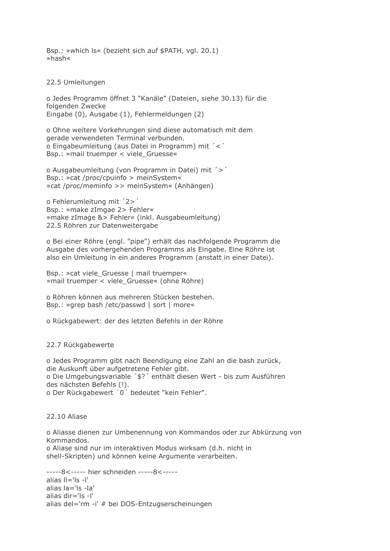Bsp.: »which Is« (bezieht sich auf \$PATH, vgl. 20.1)  $\ast$ hash«

22.5 Umleitungen

o Jedes Programm öffnet 3 "Kanäle" (Dateien, siehe 30.13) für die folgenden Zwecke Eingabe (0), Ausgabe (1), Fehlermeldungen (2)

o Ohne weitere Vorkehrungen sind diese automatisch mit dem gerade verwendeten Terminal verbunden. o Eingabeumleitung (aus Datei in Programm) mit '<' Bsp.: »mail truemper < viele Gruesse«

o Ausgabeumleitung (von Programm in Datei) mit '>' Bsp.: »cat /proc/cpuinfo > meinSystem« » cat /proc/meminfo >> meinSystem« (Anhängen)

o Fehlerumleitung mit '2>' Bsp.: »make zImgae 2> Fehler« » make zImage & > Fehler« (inkl. Ausgabeumleitung) 22.5 Röhren zur Datenweitergabe

o Bei einer Röhre (engl. "pipe") erhält das nachfolgende Programm die Ausgabe des vorhergehenden Programms als Eingabe. Eine Röhre ist also ein Umleitung in ein anderes Programm (anstatt in einer Datei).

Bsp.: »cat viele Gruesse | mail truemper« » mail truemper < viele\_Gruesse« (ohne Röhre)

o Röhren können aus mehreren Stücken bestehen. Bsp.: »grep bash /etc/passwd | sort | more«

o Rückgabewert: der des letzten Befehls in der Röhre

22.7 Rückgabewerte

o Jedes Programm gibt nach Beendigung eine Zahl an die bash zurück, die Auskunft über aufgetretene Fehler gibt. o Die Umgebungsvariable '\$?' enthält diesen Wert - bis zum Ausführen des nächsten Befehls (!). o Der Rückgabewert '0' bedeutet "kein Fehler".

22.10 Aliase

o Aliasse dienen zur Umbenennung von Kommandos oder zur Abkürzung von Kommandos. o Aliase sind nur im interaktiven Modus wirksam (d.h. nicht in shell-Skripten) und können keine Argumente verarbeiten.

-----8<----- hier schneiden -----8<----alias  $II = 'Is - I'$ alias la='ls -la' alias dir='ls -l' alias del='rm -i' # bei DOS-Entzugserscheinungen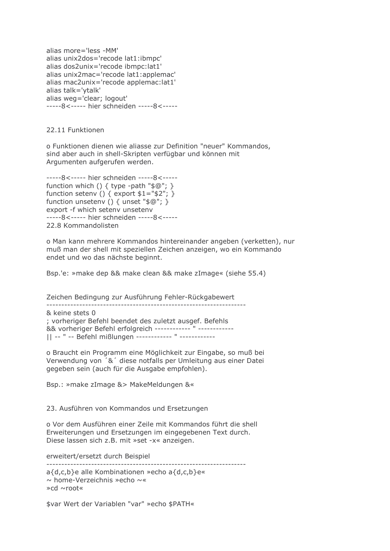alias more='less -MM' alias unix2dos='recode lat1:ibmpc' alias dos2unix='recode ibmpc:lat1' alias unix2mac='recode lat1:applemac' alias mac2unix='recode applemac:lat1' alias talk='ytalk' alias weg='clear; logout' -----8<----- hier schneiden -----8<-----

22.11 Funktionen

o Funktionen dienen wie aliasse zur Definition "neuer" Kommandos, sind aber auch in shell-Skripten verfügbar und können mit Argumenten aufgerufen werden.

-----8<----- hier schneiden -----8<----function which () { type -path " $\mathcal{S}$  (0"; } function setenv () { export  $$1="$2";$  } function unsetenv () { unset " $\mathcal{F}$  @"; } export -f which seteny unseteny -----8<----- hier schneiden -----8<-----22.8 Kommandolisten

o Man kann mehrere Kommandos hintereinander angeben (verketten), nur muß man der shell mit speziellen Zeichen anzeigen, wo ein Kommando endet und wo das nächste beginnt.

Bsp.'e: »make dep && make clean && make zImage« (siehe 55.4)

Zeichen Bedingung zur Ausführung Fehler-Rückgabewert & keine stets 0 ; vorheriger Befehl beendet des zuletzt ausgef. Befehls && vorheriger Befehl erfolgreich ------------ " ------------|| -- " -- Befehl mißlungen ------------ " ------------

o Braucht ein Programm eine Möglichkeit zur Eingabe, so muß bei Verwendung von '&' diese notfalls per Umleitung aus einer Datei gegeben sein (auch für die Ausgabe empfohlen).

Bsp.: »make zImage &> MakeMeldungen &«

23. Ausführen von Kommandos und Ersetzungen

o Vor dem Ausführen einer Zeile mit Kommandos führt die shell Erweiterungen und Ersetzungen im eingegebenen Text durch. Diese lassen sich z.B. mit »set -x« anzeigen.

erweitert/ersetzt durch Beispiel

a{d,c,b}e alle Kombinationen »echo a{d,c,b}e«  $\sim$  home-Verzeichnis »echo  $\sim$ « »cd ~root«

\$var Wert der Variablen "var" »echo \$PATH«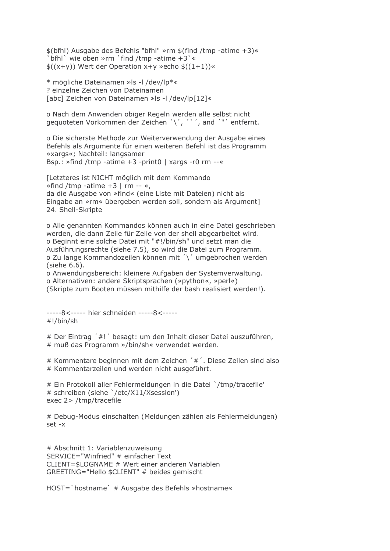\$(bfhl) Ausgabe des Befehls "bfhl" »rm \$(find /tmp -atime +3)« bfhl' wie oben »rm 'find /tmp -atime  $+3$ ' «  $\frac{2}{3}((x+y))$  Wert der Operation x+y »echo  $\frac{2}{3}((1+1))$ «

\* mögliche Dateinamen »Is -I /dev/lp\*« ? einzelne Zeichen von Dateinamen [abc] Zeichen von Dateinamen »Is -I /dev/lp[12]«

o Nach dem Anwenden obiger Regeln werden alle selbst nicht gequoteten Vorkommen der Zeichen '\', '`', and '"' entfernt.

o Die sicherste Methode zur Weiterverwendung der Ausgabe eines Befehls als Argumente für einen weiteren Befehl ist das Programm »xargs«; Nachteil: langsamer Bsp.: »find /tmp -atime +3 -print0 | xargs -r0 rm --«

[Letzteres ist NICHT möglich mit dem Kommando  $\ast$ find /tmp -atime +3 l rm -- «. da die Ausgabe von »find« (eine Liste mit Dateien) nicht als Eingabe an »rm« übergeben werden soll, sondern als Argument] 24. Shell-Skripte

o Alle genannten Kommandos können auch in eine Datei geschrieben werden, die dann Zeile für Zeile von der shell abgearbeitet wird. o Beginnt eine solche Datei mit "#!/bin/sh" und setzt man die Ausführungsrechte (siehe 7.5), so wird die Datei zum Programm. o Zu lange Kommandozeilen können mit '\' umgebrochen werden (siehe 6.6).

o Anwendungsbereich: kleinere Aufgaben der Systemverwaltung. o Alternativen: andere Skriptsprachen (»python«, »perl«) (Skripte zum Booten müssen mithilfe der bash realisiert werden!).

-----8<----- hier schneiden -----8<----- $\#!/bin/sh$ 

# Der Eintrag '#!' besagt: um den Inhalt dieser Datei auszuführen, # muß das Programm »/bin/sh« verwendet werden.

# Kommentare beginnen mit dem Zeichen '#'. Diese Zeilen sind also # Kommentarzeilen und werden nicht ausgeführt.

# Ein Protokoll aller Fehlermeldungen in die Datei `/tmp/tracefile' # schreiben (siehe '/etc/X11/Xsession') exec 2> /tmp/tracefile

# Debug-Modus einschalten (Meldungen zählen als Fehlermeldungen)  $set -x$ 

# Abschnitt 1: Variablenzuweisung SERVICE="Winfried" # einfacher Text CLIENT=\$LOGNAME # Wert einer anderen Variablen GREETING="Hello \$CLIENT" # beides gemischt

HOST= `hostname` # Ausgabe des Befehls »hostname«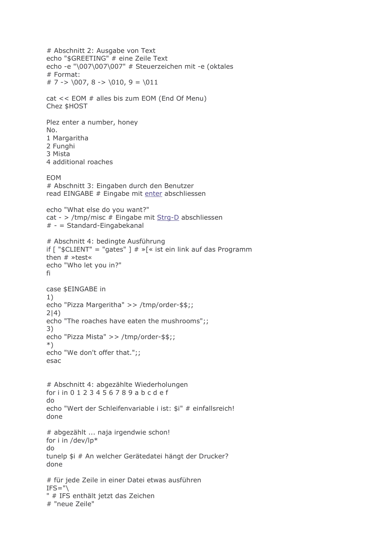```
# Abschnitt 2: Ausgabe von Text
echo "$GREETING" # eine Zeile Text
echo -e "\007\007\007" # Steuerzeichen mit -e (oktales
# Format:
# 7 -> \007, 8 -> \010, 9 = \011cat << EOM # alles bis zum EOM (End Of Menu)
Chez $HOST
Plez enter a number, honey
No.
1 Margaritha
2 Funghi
3 Mista
4 additional roaches
EOM
# Abschnitt 3: Eingaben durch den Benutzer
read EINGABE # Eingabe mit enter abschliessen
echo "What else do you want?"
cat - > /tmp/misc # Eingabe mit Strg-D abschliessen
# - Standard-Eingabekanal
# Abschnitt 4: bedingte Ausführung
if \lceil "$CLIENT" = "gates" \rceil \# \sqrt[3]{\ast} ist ein link auf das Programm
then # \times test \timesecho "Who let you in?"
fi
case $EINGABE in
1)echo "Pizza Margeritha" >> /tmp/order-$$;;
2|4)echo "The roaches have eaten the mushrooms";;
3)echo "Pizza Mista" >> /tmp/order-$$;;
^*)echo "We don't offer that.";;
esac
# Abschnitt 4: abgezählte Wiederholungen
for i in 0 1 2 3 4 5 6 7 8 9 a b c d e f
do
echo "Wert der Schleifenvariable i ist: $i" # einfallsreich!
done
# abgezählt ... naja irgendwie schon!
for i in /dev/lp*
d<sub>o</sub>tunelp $i # An welcher Gerätedatei hängt der Drucker?
done
# für jede Zeile in einer Datei etwas ausführen
IFS = "\mathbb{R}" # IFS enthält jetzt das Zeichen
# "neue Zeile"
```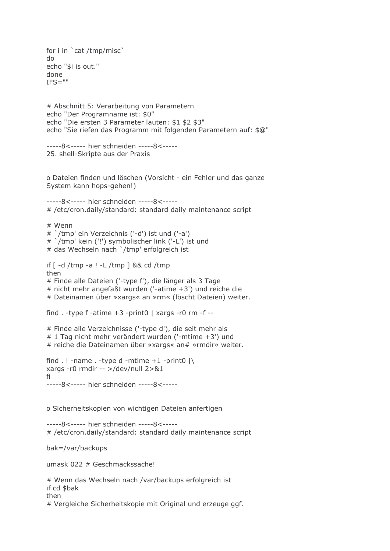```
for i in 'cat /tmp/misc'
do
echo "$i is out."
done
IFS="# Abschnitt 5: Verarbeitung von Parametern
echo "Der Programname ist: $0"
echo "Die ersten 3 Parameter lauten: $1 $2 $3"
echo "Sie riefen das Programm mit folgenden Parametern auf: $@"
-----8<----- hier schneiden -----8<-----
25. shell-Skripte aus der Praxis
o Dateien finden und löschen (Vorsicht - ein Fehler und das ganze
System kann hops-gehen!)
-----8<----- hier schneiden -----8<-----
# /etc/cron.daily/standard: standard daily maintenance script
# Wenn
# '/tmp' ein Verzeichnis ('-d') ist und ('-a')
# '/tmp' kein ('!') symbolischer link ('-L') ist und
# das Wechseln nach `/tmp' erfolgreich ist
if [ -d /tmp -a ! -L /tmp ] && cd /tmp
then
# Finde alle Dateien ('-type f'), die länger als 3 Tage
# nicht mehr angefaßt wurden ('-atime +3') und reiche die
# Dateinamen über »xargs« an »rm« (löscht Dateien) weiter.
find . - type f - atime +3 - print0 | xargs - r0 rm - f --
# Finde alle Verzeichnisse ('-type d'), die seit mehr als
# 1 Tag nicht mehr verändert wurden ('-mtime +3') und
# reiche die Dateinamen über »xargs« an# »rmdir« weiter.
find . ! - name . -type d - mtime +1 -print0 |\ranglexargs -r0 rmdir -- >/dev/null 2>&1
fi
-----8<----- hier schneiden -----8<-----
o Sicherheitskopien von wichtigen Dateien anfertigen
-----8<----- hier schneiden -----8<-----
# /etc/cron.daily/standard: standard daily maintenance script
bak=/var/backups
umask 022 # Geschmackssache!
# Wenn das Wechseln nach /var/backups erfolgreich ist
if cd $bak
then
# Vergleiche Sicherheitskopie mit Original und erzeuge ggf.
```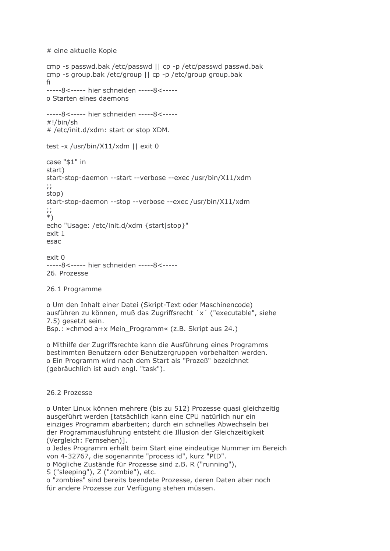```
# eine aktuelle Kopie
```

```
cmp -s passwd.bak /etc/passwd || cp -p /etc/passwd passwd.bak
cmp -s group.bak /etc/group || cp -p /etc/group group.bak
fi
-----8<----- hier schneiden -----8<-----
o Starten eines daemons
-----8<----- hier schneiden -----8<-----
#!/bin/sh
# /etc/init.d/xdm: start or stop XDM.
test -x /usr/bin/X11/xdm || exit 0
case "$1" in
start)
start-stop-daemon --start --verbose --exec /usr/bin/X11/xdm
\dddot{a}stop)
start-stop-daemon --stop --verbose --exec /usr/bin/X11/xdm
\dddot{a}\astecho "Usage: /etc/init.d/xdm {start|stop}"
exit 1
esac
exit<sub>0</sub>-----8<----- hier schneiden -----8<-----
26. Prozesse
26.1 Programme
```
o Um den Inhalt einer Datei (Skript-Text oder Maschinencode) ausführen zu können, muß das Zugriffsrecht 'x' ("executable", siehe 7.5) gesetzt sein. Bsp.: »chmod a+x Mein\_Programm« (z.B. Skript aus 24.)

o Mithilfe der Zugriffsrechte kann die Ausführung eines Programms

bestimmten Benutzern oder Benutzergruppen vorbehalten werden. o Ein Programm wird nach dem Start als "Prozeß" bezeichnet (gebräuchlich ist auch engl. "task").

26.2 Prozesse

o Unter Linux können mehrere (bis zu 512) Prozesse quasi gleichzeitig ausgeführt werden [tatsächlich kann eine CPU natürlich nur ein einziges Programm abarbeiten; durch ein schnelles Abwechseln bei der Programmausführung entsteht die Illusion der Gleichzeitigkeit (Vergleich: Fernsehen)].

o Jedes Programm erhält beim Start eine eindeutige Nummer im Bereich von 4-32767, die sogenannte "process id", kurz "PID". o Mögliche Zustände für Prozesse sind z.B. R ("running"),

S ("sleeping"), Z ("zombie"), etc.

o "zombies" sind bereits beendete Prozesse, deren Daten aber noch für andere Prozesse zur Verfügung stehen müssen.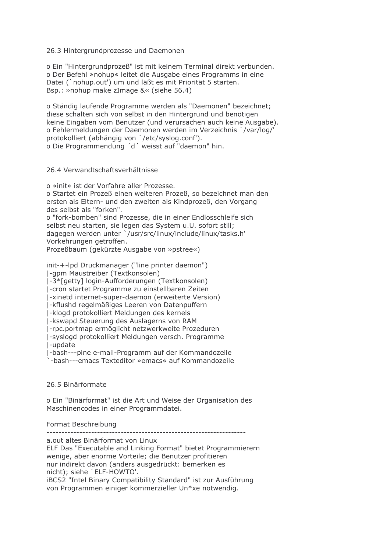## 26.3 Hintergrundprozesse und Daemonen

o Ein "Hintergrundprozeß" ist mit keinem Terminal direkt verbunden. o Der Befehl »nohup« leitet die Ausgabe eines Programms in eine Datei (`nohup.out') um und läßt es mit Priorität 5 starten. Bsp.: »nohup make zImage &« (siehe 56.4)

o Ständig laufende Programme werden als "Daemonen" bezeichnet: diese schalten sich von selbst in den Hintergrund und benötigen keine Eingaben vom Benutzer (und verursachen auch keine Ausgabe). o Fehlermeldungen der Daemonen werden im Verzeichnis `/var/log/' protokolliert (abhängig von '/etc/syslog.conf'). o Die Programmendung 'd' weisst auf "daemon" hin.

#### 26.4 Verwandtschaftsverhältnisse

o »init« ist der Vorfahre aller Prozesse.

o Startet ein Prozeß einen weiteren Prozeß, so bezeichnet man den ersten als Eltern- und den zweiten als Kindprozeß, den Vorgang des selbst als "forken".

o "fork-bomben" sind Prozesse, die in einer Endlosschleife sich selbst neu starten, sie legen das System u.U. sofort still; dagegen werden unter `/usr/src/linux/include/linux/tasks.h' Vorkehrungen getroffen.

Prozeßbaum (gekürzte Ausgabe von »pstree«)

init-+-lpd Druckmanager ("line printer daemon") I-gpm Maustreiber (Textkonsolen)

I-3\*[getty] login-Aufforderungen (Textkonsolen)

I-cron startet Programme zu einstellbaren Zeiten

|-xinetd internet-super-daemon (erweiterte Version)

I-kflushd regelmäßiges Leeren von Datenpuffern

I-klogd protokolliert Meldungen des kernels

I-kswapd Steuerung des Auslagerns von RAM

I-rpc.portmap ermöglicht netzwerkweite Prozeduren

I-syslogd protokolliert Meldungen versch. Programme I-update

I-bash---pine e-mail-Programm auf der Kommandozeile

-bash---emacs Texteditor »emacs« auf Kommandozeile

## 26.5 Binärformate

o Ein "Binärformat" ist die Art und Weise der Organisation des Maschinencodes in einer Programmdatei.

#### Format Beschreibung

a.out altes Binärformat von Linux

ELF Das "Executable and Linking Format" bietet Programmierern wenige, aber enorme Vorteile; die Benutzer profitieren nur indirekt davon (anders ausgedrückt: bemerken es nicht): siehe 'ELF-HOWTO'.

iBCS2 "Intel Binary Compatibility Standard" ist zur Ausführung von Programmen einiger kommerzieller Un\*xe notwendig.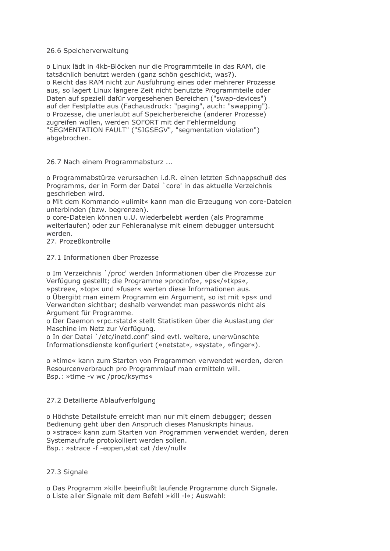## 26.6 Speicherverwaltung

o Linux lädt in 4kb-Blöcken nur die Programmteile in das RAM, die tatsächlich benutzt werden (ganz schön geschickt, was?). o Reicht das RAM nicht zur Ausführung eines oder mehrerer Prozesse aus, so lagert Linux längere Zeit nicht benutzte Programmteile oder Daten auf speziell dafür vorgesehenen Bereichen ("swap-devices") auf der Festplatte aus (Fachausdruck: "paging", auch: "swapping"). o Prozesse, die unerlaubt auf Speicherbereiche (anderer Prozesse) zugreifen wollen, werden SOFORT mit der Fehlermeldung "SEGMENTATION FAULT" ("SIGSEGV", "segmentation violation") abgebrochen.

26.7 Nach einem Programmabsturz ...

o Programmabstürze verursachen i.d.R. einen letzten Schnappschuß des Programms, der in Form der Datei `core' in das aktuelle Verzeichnis geschrieben wird.

o Mit dem Kommando »ulimit« kann man die Erzeugung von core-Dateien unterbinden (bzw. begrenzen).

o core-Dateien können u.U. wiederbelebt werden (als Programme weiterlaufen) oder zur Fehleranalyse mit einem debugger untersucht werden.

27 Prozeßkontrolle

## 27.1 Informationen über Prozesse

o Im Verzeichnis `/proc' werden Informationen über die Prozesse zur Verfügung gestellt; die Programme »procinfo«, »ps«/»tkps«, »pstree«, »top« und »fuser« werten diese Informationen aus. o Übergibt man einem Programm ein Argument, so ist mit »ps« und Verwandten sichtbar; deshalb verwendet man passwords nicht als Argument für Programme.

o Der Daemon »rpc.rstatd« stellt Statistiken über die Auslastung der Maschine im Netz zur Verfügung.

o In der Datei '/etc/inetd.conf' sind evtl. weitere, unerwünschte Informationsdienste konfiguriert (»netstat«, »systat«, »finger«).

o »time« kann zum Starten von Programmen verwendet werden, deren Resourcenverbrauch pro Programmlauf man ermitteln will. Bsp.: »time -v wc /proc/ksyms«

## 27.2 Detailierte Ablaufverfolgung

o Höchste Detailstufe erreicht man nur mit einem debugger; dessen Bedienung geht über den Anspruch dieses Manuskripts hinaus. o »strace« kann zum Starten von Programmen verwendet werden, deren Systemaufrufe protokolliert werden sollen. Bsp.: »strace -f -eopen.stat cat /dev/null«

# 27.3 Signale

o Das Programm »kill« beeinflußt laufende Programme durch Signale.

o Liste aller Signale mit dem Befehl »kill -l«; Auswahl: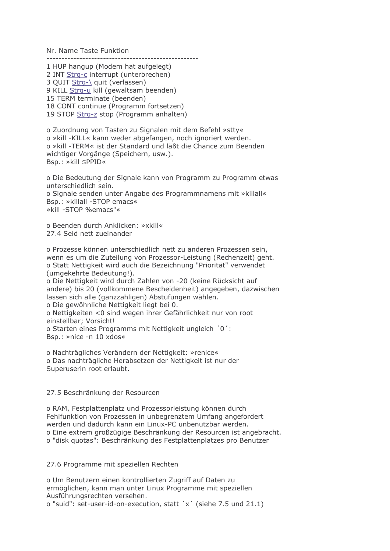Nr. Name Taste Funktion

1 HUP hangup (Modem hat aufgelegt) 2 INT Strg-c interrupt (unterbrechen) 3 QUIT Strg-\ quit (verlassen) 9 KILL Strg-u kill (gewaltsam beenden)

15 TERM terminate (beenden)

18 CONT continue (Programm fortsetzen)

19 STOP Strg-z stop (Programm anhalten)

o Zuordnung von Tasten zu Signalen mit dem Befehl »stty« o »kill -KILL« kann weder abgefangen, noch ignoriert werden. o »kill -TERM« ist der Standard und läßt die Chance zum Beenden wichtiger Vorgänge (Speichern, usw.). Bsp.: »kill \$PPID«

o Die Bedeutung der Signale kann von Programm zu Programm etwas unterschiedlich sein. o Signale senden unter Angabe des Programmnamens mit »killall« Bsp.: »killall -STOP emacs« »kill -STOP %emacs"«

o Beenden durch Anklicken: »xkill« 27.4 Seid nett zueinander

o Prozesse können unterschiedlich nett zu anderen Prozessen sein, wenn es um die Zuteilung von Prozessor-Leistung (Rechenzeit) geht. o Statt Nettigkeit wird auch die Bezeichnung "Priorität" verwendet (umgekehrte Bedeutung!). o Die Nettigkeit wird durch Zahlen von -20 (keine Rücksicht auf andere) bis 20 (vollkommene Bescheidenheit) angegeben, dazwischen lassen sich alle (ganzzahligen) Abstufungen wählen. o Die gewöhnliche Nettigkeit liegt bei 0. o Nettigkeiten < 0 sind wegen ihrer Gefährlichkeit nur von root einstellbar: Vorsicht! o Starten eines Programms mit Nettigkeit ungleich '0': Bsp.: »nice -n 10 xdos«

o Nachträgliches Verändern der Nettigkeit: »renice« o Das nachträgliche Herabsetzen der Nettigkeit ist nur der Superuserin root erlaubt.

## 27.5 Beschränkung der Resourcen

o RAM, Festplattenplatz und Prozessorleistung können durch Fehlfunktion von Prozessen in unbegrenztem Umfang angefordert werden und dadurch kann ein Linux-PC unbenutzbar werden. o Eine extrem großzügige Beschränkung der Resourcen ist angebracht. o "disk quotas": Beschränkung des Festplattenplatzes pro Benutzer

27.6 Programme mit speziellen Rechten

o Um Benutzern einen kontrollierten Zugriff auf Daten zu ermöglichen, kann man unter Linux Programme mit speziellen Ausführungsrechten versehen.

o "suid": set-user-id-on-execution, statt 'x' (siehe 7.5 und 21.1)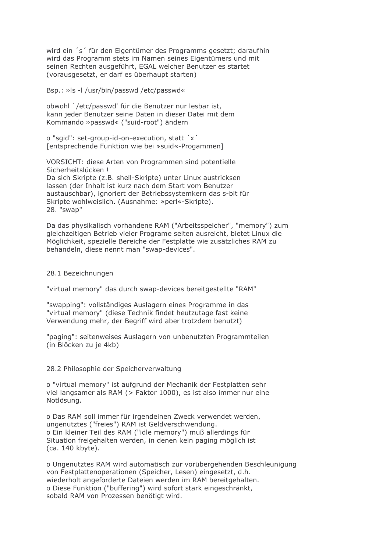wird ein 's' für den Eigentümer des Programms gesetzt; daraufhin wird das Programm stets im Namen seines Eigentümers und mit seinen Rechten ausgeführt, EGAL welcher Benutzer es startet (vorausgesetzt, er darf es überhaupt starten)

Bsp.: »Is -I /usr/bin/passwd /etc/passwd«

obwohl `/etc/passwd' für die Benutzer nur lesbar ist. kann jeder Benutzer seine Daten in dieser Datei mit dem Kommando »passwd« ("suid-root") ändern

o "sqid": set-group-id-on-execution, statt 'x' [entsprechende Funktion wie bei »suid«-Progammen]

VORSICHT: diese Arten von Programmen sind potentielle Sicherheitslücken! Da sich Skripte (z.B. shell-Skripte) unter Linux austricksen lassen (der Inhalt ist kurz nach dem Start vom Benutzer austauschbar), ignoriert der Betriebssystemkern das s-bit für Skripte wohlweislich. (Ausnahme: »perl«-Skripte). 28. "swap"

Da das physikalisch vorhandene RAM ("Arbeitsspeicher", "memory") zum gleichzeitigen Betrieb vieler Programe selten ausreicht, bietet Linux die Möglichkeit, spezielle Bereiche der Festplatte wie zusätzliches RAM zu behandeln, diese nennt man "swap-devices".

#### 28.1 Bezeichnungen

"virtual memory" das durch swap-devices bereitgestellte "RAM"

"swapping": vollständiges Auslagern eines Programme in das "virtual memory" (diese Technik findet heutzutage fast keine Verwendung mehr, der Begriff wird aber trotzdem benutzt)

"paging": seitenweises Auslagern von unbenutzten Programmteilen (in Blöcken zu je 4kb)

#### 28.2 Philosophie der Speicherverwaltung

o "virtual memory" ist aufgrund der Mechanik der Festplatten sehr viel langsamer als RAM (> Faktor 1000), es ist also immer nur eine Notlösung.

o Das RAM soll immer für irgendeinen Zweck verwendet werden, ungenutztes ("freies") RAM ist Geldverschwendung. o Ein kleiner Teil des RAM ("idle memory") muß allerdings für Situation freigehalten werden, in denen kein paging möglich ist (ca. 140 kbyte).

o Ungenutztes RAM wird automatisch zur vorübergehenden Beschleunigung von Festplattenoperationen (Speicher, Lesen) eingesetzt, d.h. wiederholt angeforderte Dateien werden im RAM bereitgehalten. o Diese Funktion ("buffering") wird sofort stark eingeschränkt, sobald RAM von Prozessen benötigt wird.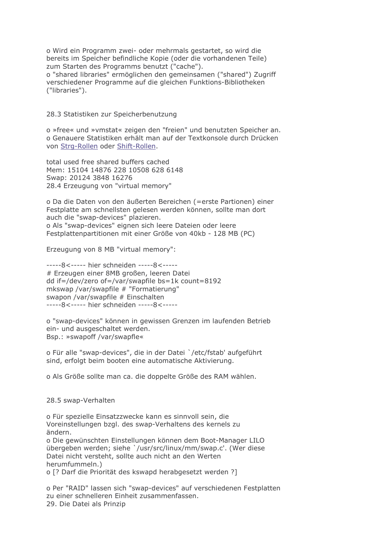o Wird ein Programm zwei- oder mehrmals gestartet, so wird die bereits im Speicher befindliche Kopie (oder die vorhandenen Teile) zum Starten des Programms benutzt ("cache"). o "shared libraries" ermöglichen den gemeinsamen ("shared") Zugriff verschiedener Programme auf die gleichen Funktions-Bibliotheken ("libraries").

28.3 Statistiken zur Speicherbenutzung

o »free« und »vmstat« zeigen den "freien" und benutzten Speicher an. o Genauere Statistiken erhält man auf der Textkonsole durch Drücken von Strg-Rollen oder Shift-Rollen.

total used free shared buffers cached Mem: 15104 14876 228 10508 628 6148 Swap: 20124 3848 16276 28.4 Erzeugung von "virtual memory"

o Da die Daten von den äußerten Bereichen (= erste Partionen) einer Festplatte am schnellsten gelesen werden können, sollte man dort auch die "swap-devices" plazieren. o Als "swap-devices" eignen sich leere Dateien oder leere Festplattenpartitionen mit einer Größe von 40kb - 128 MB (PC)

Erzeugung von 8 MB "virtual memory":

-----8<----- hier schneiden -----8<-----# Erzeugen einer 8MB großen, leeren Datei dd if=/dev/zero of=/var/swapfile bs=1k count=8192 mkswap /var/swapfile # "Formatierung" swapon /var/swapfile # Einschalten -----8<----- hier schneiden -----8<-----

o "swap-devices" können in gewissen Grenzen im laufenden Betrieb ein- und ausgeschaltet werden. Bsp.: »swapoff /var/swapfle«

o Für alle "swap-devices", die in der Datei `/etc/fstab' aufgeführt sind, erfolgt beim booten eine automatische Aktivierung.

o Als Größe sollte man ca. die doppelte Größe des RAM wählen.

28.5 swap-Verhalten

o Für spezielle Einsatzzwecke kann es sinnvoll sein, die Voreinstellungen bzgl. des swap-Verhaltens des kernels zu ändern. o Die gewünschten Einstellungen können dem Boot-Manager LILO

übergeben werden; siehe `/usr/src/linux/mm/swap.c'. (Wer diese Datei nicht versteht, sollte auch nicht an den Werten herumfummeln.)

o [? Darf die Priorität des kswapd herabgesetzt werden ?]

o Per "RAID" lassen sich "swap-devices" auf verschiedenen Festplatten zu einer schnelleren Einheit zusammenfassen. 29. Die Datei als Prinzip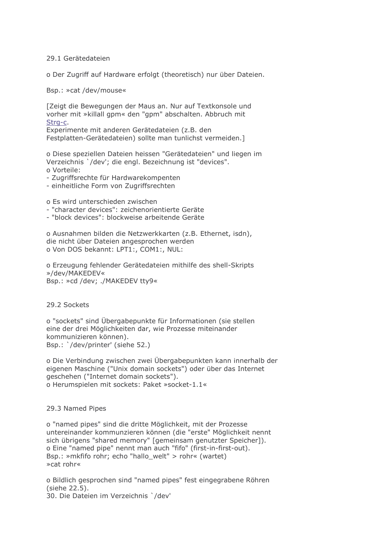### 29.1 Gerätedateien

o Der Zugriff auf Hardware erfolgt (theoretisch) nur über Dateien.

Bsp.: »cat /dev/mouse«

[Zeigt die Bewegungen der Maus an. Nur auf Textkonsole und vorher mit »killall gpm« den "gpm" abschalten. Abbruch mit Strq-c.

Experimente mit anderen Gerätedateien (z.B. den Festplatten-Gerätedateien) sollte man tunlichst vermeiden.]

o Diese speziellen Dateien heissen "Gerätedateien" und liegen im Verzeichnis `/dev'; die engl. Bezeichnung ist "devices". o Vorteile:

- Zugriffsrechte für Hardwarekompenten

- einheitliche Form von Zugriffsrechten

o Es wird unterschieden zwischen

- "character devices": zeichenorientierte Geräte
- "block devices": blockweise arbeitende Geräte

o Ausnahmen bilden die Netzwerkkarten (z.B. Ethernet, isdn), die nicht über Dateien angesprochen werden o Von DOS bekannt: LPT1:, COM1:, NUL:

o Erzeugung fehlender Gerätedateien mithilfe des shell-Skripts »/dev/MAKEDEV« Bsp.: »cd /dev; ./MAKEDEV tty9«

29.2 Sockets

o "sockets" sind Übergabepunkte für Informationen (sie stellen eine der drei Möglichkeiten dar, wie Prozesse miteinander kommunizieren können). Bsp.: '/dev/printer' (siehe 52.)

o Die Verbindung zwischen zwei Übergabepunkten kann innerhalb der eigenen Maschine ("Unix domain sockets") oder über das Internet geschehen ("Internet domain sockets"). o Herumspielen mit sockets: Paket »socket-1.1«

#### 29.3 Named Pipes

o "named pipes" sind die dritte Möglichkeit, mit der Prozesse untereinander kommunzieren können (die "erste" Möglichkeit nennt sich übrigens "shared memory" [gemeinsam genutzter Speicher]). o Eine "named pipe" nennt man auch "fifo" (first-in-first-out). Bsp.: »mkfifo rohr; echo "hallo welt" > rohr« (wartet) » cat rohr«

o Bildlich gesprochen sind "named pipes" fest eingegrabene Röhren (siehe 22.5).

30. Die Dateien im Verzeichnis `/dev'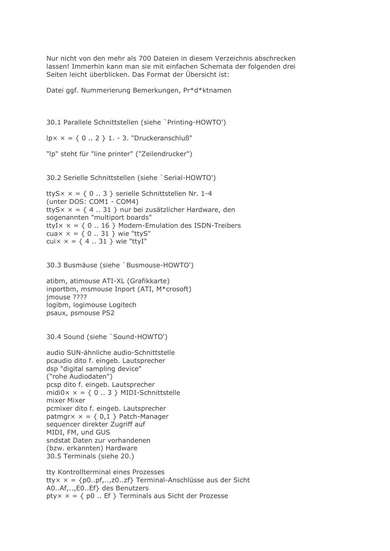Nur nicht von den mehr als 700 Dateien in diesem Verzeichnis abschrecken lassen! Immerhin kann man sie mit einfachen Schemata der folgenden drei Seiten leicht überblicken. Das Format der Übersicht ist:

Datei ggf. Nummerierung Bemerkungen, Pr\*d\*ktnamen

30.1 Parallele Schnittstellen (siehe `Printing-HOWTO')

 $|px \times = \{ 0..2 \} 1. - 3.$  "Druckeranschluß"

"Ip" steht für "line printer" ("Zeilendrucker")

30.2 Serielle Schnittstellen (siehe `Serial-HOWTO')

ttyS $\times$   $\times$  = { 0 .. 3 } serielle Schnittstellen Nr. 1-4 (unter DOS: COM1 - COM4) ttyS $x = \{4..31\}$  nur bei zusätzlicher Hardware, den sogenannten "multiport boards" ttyI $\times$   $\times$  = { 0 .. 16 } Modem-Emulation des ISDN-Treibers cua $\times$   $\times$  = { 0 .. 31 } wie "ttyS" cui $\times$   $\times$  = { 4 .. 31 } wie "ttyI"

30.3 Busmäuse (siehe `Busmouse-HOWTO')

atibm, atimouse ATI-XL (Grafikkarte) inportbm, msmouse Inport (ATI, M\*crosoft) imouse ???? logibm, logimouse Logitech psaux, psmouse PS2

30.4 Sound (siehe 'Sound-HOWTO')

audio SUN-ähnliche audio-Schnittstelle pcaudio dito f. eingeb. Lautsprecher dsp "digital sampling device" ("rohe Audiodaten") pcsp dito f. eingeb. Lautsprecher midi0 $x = \{ 0..3 \}$  MIDI-Schnittstelle mixer Mixer pcmixer dito f. eingeb. Lautsprecher patmgr $x = \{ 0,1 \}$  Patch-Manager sequencer direkter Zugriff auf MIDI, FM, und GUS sndstat Daten zur vorhandenen (bzw. erkannten) Hardware 30.5 Terminals (siehe 20.)

tty Kontrollterminal eines Prozesses tty $x = \{p0..pf, r, z0..zf\}$  Terminal-Anschlüsse aus der Sicht A0..Af,..,E0..Ef} des Benutzers pty $x = \{ p0..$  Ef } Terminals aus Sicht der Prozesse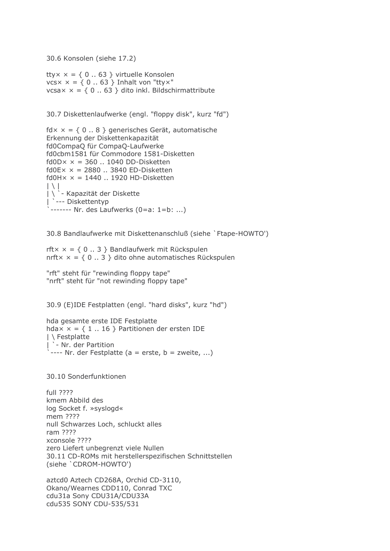30.6 Konsolen (siehe 17.2)

tty $x = \{ 0..63 \}$  virtuelle Konsolen  $vcsx = \{ 0..63 \}$  Inhalt von "ttyx" vcsa $\times$  = { 0 .. 63 } dito inkl. Bildschirmattribute

30.7 Diskettenlaufwerke (engl. "floppy disk", kurz "fd")

```
fdx = \{ 0..8 \} generisches Gerät, automatische
Erkennung der Diskettenkapazität
fd0CompaQ für CompaQ-Laufwerke
fd0cbm1581 für Commodore 1581-Disketten
fd0D \times \times = 360 .. 1040 DD-Disketten
fd0Ex \times = 2880 .. 3840 ED-Disketten
f d0H \times \times = 1440 .. 1920 HD-Disketten
| \setminus || \ ` - Kapazität der Diskette
  --- Diskettentyp
 ------- Nr. des Laufwerks (0=a: 1=b: ...)
```
30.8 Bandlaufwerke mit Diskettenanschluß (siehe `Ftape-HOWTO')

rft $x = \{ 0..3 \}$  Bandlaufwerk mit Rückspulen nrft $x = \{ 0..3 \}$  dito ohne automatisches Rückspulen

"rft" steht für "rewinding floppy tape" "nrft" steht für "not rewinding floppy tape"

30.9 (E)IDE Festplatten (engl. "hard disks", kurz "hd")

```
hda gesamte erste IDE Festplatte
hdax = \{ 1..16 \} Partitionen der ersten IDE
I \ Festplatte
\int ` - Nr. der Partition<br>` ---- Nr. der Festplatte (a = erste, b = zweite, ...)
```
30.10 Sonderfunktionen

full ???? kmem Abbild des log Socket f. »syslogd« mem ???? null Schwarzes Loch, schluckt alles ram ???? xconsole ???? zero Liefert unbegrenzt viele Nullen 30.11 CD-ROMs mit herstellerspezifischen Schnittstellen (siehe 'CDROM-HOWTO')

aztcd0 Aztech CD268A, Orchid CD-3110, Okano/Wearnes CDD110, Conrad TXC cdu31a Sony CDU31A/CDU33A cdu535 SONY CDU-535/531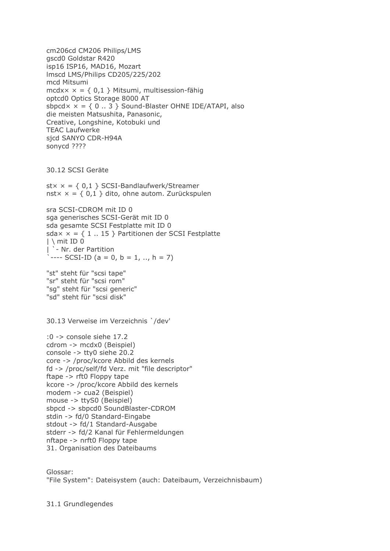cm206cd CM206 Philips/LMS gscd0 Goldstar R420 isp16 ISP16, MAD16, Mozart Imscd LMS/Philips CD205/225/202 mcd Mitsumi mcdx $x = \{ 0,1 \}$  Mitsumi, multisession-fähig optcd0 Optics Storage 8000 AT sbpcd $\times$   $\times$  = { 0 .. 3 } Sound-Blaster OHNE IDE/ATAPI, also die meisten Matsushita, Panasonic, Creative, Longshine, Kotobuki und **TEAC Laufwerke** sicd SANYO CDR-H94A sonycd ????

30.12 SCSI Geräte

 $st \times \times = \{ 0.1 \}$  SCSI-Bandlaufwerk/Streamer nst $x = \{ 0,1 \}$  dito, ohne autom. Zurückspulen

sra SCSI-CDROM mit ID 0 sga generisches SCSI-Gerät mit ID 0 sda gesamte SCSI Festplatte mit ID 0 sda $\times$  = { 1 .. 15 } Partitionen der SCSI Festplatte  $|\n\rightleftharpoons$  mit ID 0 `- Nr. der Partition  $\frac{1}{2}$  ---- SCSI-ID (a = 0, b = 1, .., h = 7)

"st" steht für "scsi tape" "sr" steht für "scsi rom" "sq" steht für "scsi generic" "sd" steht für "scsi disk"

30.13 Verweise im Verzeichnis `/dev'

:0 -> console siehe 17.2 cdrom -> mcdx0 (Beispiel) console  $-$  tty0 siehe 20.2 core -> /proc/kcore Abbild des kernels fd -> /proc/self/fd Verz. mit "file descriptor" ftape -> rft0 Floppy tape kcore -> /proc/kcore Abbild des kernels modem -> cua2 (Beispiel) mouse -> ttyS0 (Beispiel) sbpcd -> sbpcd0 SoundBlaster-CDROM stdin -> fd/0 Standard-Eingabe stdout -> fd/1 Standard-Ausgabe stderr -> fd/2 Kanal für Fehlermeldungen nftape -> nrft0 Floppy tape 31. Organisation des Dateibaums

Glossar: "File System": Dateisystem (auch: Dateibaum, Verzeichnisbaum)

31.1 Grundlegendes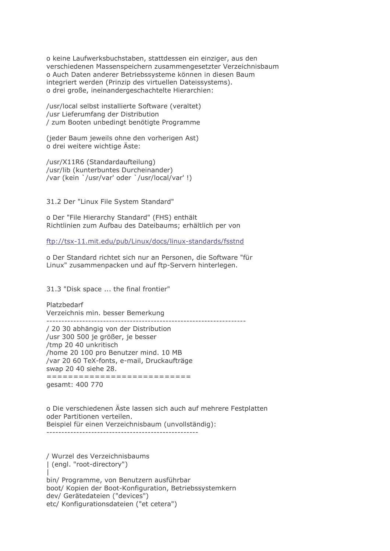o keine Laufwerksbuchstaben, stattdessen ein einziger, aus den verschiedenen Massenspeichern zusammengesetzter Verzeichnisbaum o Auch Daten anderer Betriebssysteme können in diesen Baum integriert werden (Prinzip des virtuellen Dateissystems). o drei große, ineinandergeschachtelte Hierarchien:

/usr/local selbst installierte Software (veraltet) /usr Lieferumfang der Distribution / zum Booten unbedingt benötigte Programme

(jeder Baum jeweils ohne den vorherigen Ast) o drei weitere wichtige Äste:

/usr/X11R6 (Standardaufteilung) /usr/lib (kunterbuntes Durcheinander) /var (kein `/usr/var' oder `/usr/local/var'!)

31.2 Der "Linux File System Standard"

o Der "File Hierarchy Standard" (FHS) enthält Richtlinien zum Aufbau des Dateibaums; erhältlich per von

ftp://tsx-11.mit.edu/pub/Linux/docs/linux-standards/fsstnd

o Der Standard richtet sich nur an Personen, die Software "für Linux" zusammenpacken und auf ftp-Servern hinterlegen.

31.3 "Disk space ... the final frontier"

Platzbedarf Verzeichnis min. besser Bemerkung 

/ 20 30 abhängig von der Distribution /usr 300 500 je größer, je besser /tmp 20 40 unkritisch /home 20 100 pro Benutzer mind. 10 MB /var 20 60 TeX-fonts, e-mail, Druckaufträge swap 20 40 siehe 28. ============================

qesamt: 400 770

o Die verschiedenen Äste lassen sich auch auf mehrere Festplatten oder Partitionen verteilen. Beispiel für einen Verzeichnisbaum (unvollständig): 

/ Wurzel des Verzeichnisbaums | (engl. "root-directory") bin/ Programme, von Benutzern ausführbar boot/ Kopien der Boot-Konfiguration, Betriebssystemkern dev/ Gerätedateien ("devices") etc/ Konfigurationsdateien ("et cetera")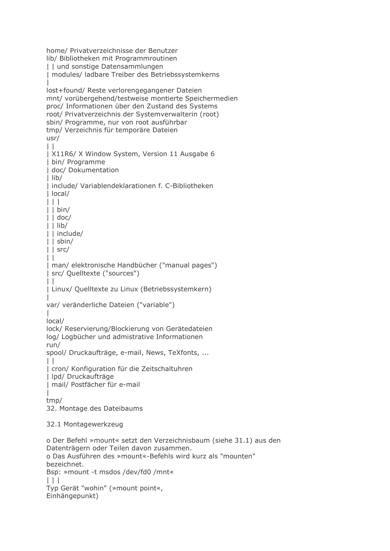home/ Privatverzeichnisse der Benutzer lib/ Bibliotheken mit Programmroutinen | | und sonstige Datensammlungen | modules/ ladbare Treiber des Betriebssystemkerns lost+found/ Reste verlorengegangener Dateien mnt/ vorübergehend/testweise montierte Speichermedien proc/ Informationen über den Zustand des Systems root/ Privatverzeichnis der Systemverwalterin (root) sbin/ Programme, nur von root ausführbar tmp/ Verzeichnis für temporäre Dateien  $usr/$  $\Box$ | X11R6/ X Window System, Version 11 Ausgabe 6 | bin/ Programme | doc/ Dokumentation  $l$  lib/ Linclude/ Variablendeklarationen f. C-Bibliotheken  $|$  local/  $\Box$  $|$  | bin/  $|$  | lib/ I I include/  $|$  | sbin/  $|$  | src/  $\perp$ | man/ elektronische Handbücher ("manual pages") | src/ Quelltexte ("sources")  $\perp$ | Linux/ Quelltexte zu Linux (Betriebssystemkern) var/ veränderliche Dateien ("variable")  $\mathbf{I}$  $local/$ lock/ Reservierung/Blockierung von Gerätedateien log/ Logbücher und admistrative Informationen run/ spool/ Druckaufträge, e-mail, News, TeXfonts, ...  $\Box$ | cron/ Konfiguration für die Zeitschaltuhren I Ipd/ Druckaufträge | mail/ Postfächer für e-mail  $tmp/$ 32. Montage des Dateibaums 32.1 Montagewerkzeug o Der Befehl »mount« setzt den Verzeichnisbaum (siehe 31.1) aus den Datenträgern oder Teilen davon zusammen. o Das Ausführen des »mount«-Befehls wird kurz als "mounten" bezeichnet. Bsp: »mount -t msdos /dev/fd0 /mnt«  $\Box$ 

```
Typ Gerät "wohin" (»mount point«,
Einhängepunkt)
```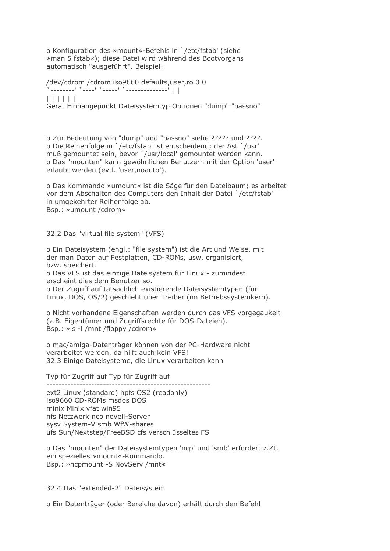o Konfiguration des »mount«-Befehls in `/etc/fstab' (siehe » man 5 fstab«); diese Datei wird während des Bootvorgans automatisch "ausgeführt". Beispiel:

/dev/cdrom /cdrom iso9660 defaults, user, ro 0 0  $| | | | | | | |$ Gerät Einhängepunkt Dateisystemtyp Optionen "dump" "passno"

o Zur Bedeutung von "dump" und "passno" siehe ????? und ????. o Die Reihenfolge in `/etc/fstab' ist entscheidend; der Ast `/usr' muß gemountet sein, bevor `/usr/local' gemountet werden kann. o Das "mounten" kann gewöhnlichen Benutzern mit der Option 'user' erlaubt werden (evtl. 'user, noauto').

o Das Kommando »umount« ist die Säge für den Dateibaum; es arbeitet vor dem Abschalten des Computers den Inhalt der Datei `/etc/fstab' in umgekehrter Reihenfolge ab. Bsp.: »umount /cdrom«

32.2 Das "virtual file system" (VFS)

o Ein Dateisystem (engl.: "file system") ist die Art und Weise, mit der man Daten auf Festplatten, CD-ROMs, usw. organisiert, bzw. speichert. o Das VFS ist das einzige Dateisystem für Linux - zumindest erscheint dies dem Benutzer so. o Der Zugriff auf tatsächlich existierende Dateisystemtypen (für Linux, DOS, OS/2) geschieht über Treiber (im Betriebssystemkern).

o Nicht vorhandene Eigenschaften werden durch das VFS vorgegaukelt (z.B. Eigentümer und Zugriffsrechte für DOS-Dateien). Bsp.: »Is -I /mnt /floppy /cdrom«

o mac/amiga-Datenträger können von der PC-Hardware nicht verarbeitet werden, da hilft auch kein VFS! 32.3 Einige Dateisysteme, die Linux verarbeiten kann

Typ für Zugriff auf Typ für Zugriff auf

ext2 Linux (standard) hpfs OS2 (readonly) iso9660 CD-ROMs msdos DOS minix Minix yfat win95 nfs Netzwerk ncp novell-Server sysv System-V smb WfW-shares ufs Sun/Nextstep/FreeBSD cfs verschlüsseltes FS

o Das "mounten" der Dateisystemtypen 'ncp' und 'smb' erfordert z.Zt. ein spezielles »mount«-Kommando. Bsp.: »ncpmount -S NovServ /mnt«

32.4 Das "extended-2" Dateisystem

o Ein Datenträger (oder Bereiche davon) erhält durch den Befehl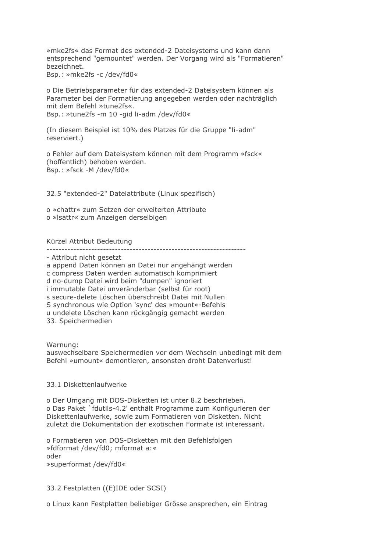»mke2fs« das Format des extended-2 Dateisystems und kann dann entsprechend "gemountet" werden. Der Vorgang wird als "Formatieren" bezeichnet.

Bsp.: »mke2fs -c /dev/fd0«

o Die Betriebsparameter für das extended-2 Dateisystem können als Parameter bei der Formatierung angegeben werden oder nachträglich mit dem Befehl »tune2fs«. Bsp.: »tune2fs -m 10 -gid li-adm /dev/fd0«

(In diesem Beispiel ist 10% des Platzes für die Gruppe "li-adm" reserviert.)

o Fehler auf dem Dateisystem können mit dem Programm »fsck« (hoffentlich) behoben werden. Bsp.: »fsck -M /dev/fd0«

32.5 "extended-2" Dateiattribute (Linux spezifisch)

o »chattr« zum Setzen der erweiterten Attribute o »Isattr« zum Anzeigen derselbigen

#### Kürzel Attribut Bedeutung

----------------------------------------------------------------------

- Attribut nicht gesetzt

a append Daten können an Datei nur angehängt werden c compress Daten werden automatisch komprimiert d no-dump Datei wird beim "dumpen" ignoriert i immutable Datei unveränderbar (selbst für root) s secure-delete Löschen überschreibt Datei mit Nullen S synchronous wie Option 'sync' des »mount«-Befehls u undelete Löschen kann rückgängig gemacht werden 33. Speichermedien

Warnung:

auswechselbare Speichermedien vor dem Wechseln unbedingt mit dem Befehl »umount« demontieren, ansonsten droht Datenverlust!

#### 33.1 Diskettenlaufwerke

o Der Umgang mit DOS-Disketten ist unter 8.2 beschrieben. o Das Paket `fdutils-4.2' enthält Programme zum Konfigurieren der Diskettenlaufwerke, sowie zum Formatieren von Disketten. Nicht zuletzt die Dokumentation der exotischen Formate ist interessant.

o Formatieren von DOS-Disketten mit den Befehlsfolgen »fdformat /dev/fd0: mformat a:« oder »superformat /dev/fd0«

33.2 Festplatten ((E)IDE oder SCSI)

o Linux kann Festplatten beliebiger Grösse ansprechen, ein Eintrag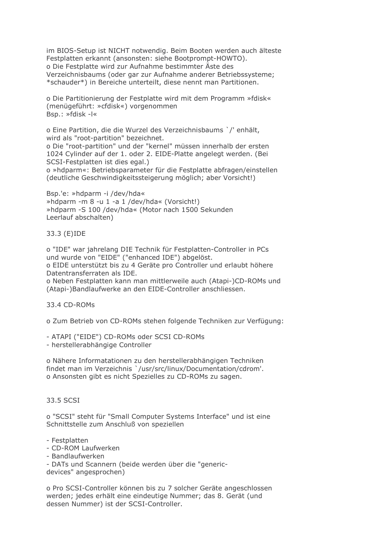im BIOS-Setup ist NICHT notwendig. Beim Booten werden auch älteste Festplatten erkannt (ansonsten: siehe Bootprompt-HOWTO). o Die Festplatte wird zur Aufnahme bestimmter Äste des Verzeichnisbaums (oder gar zur Aufnahme anderer Betriebssysteme; \*schauder\*) in Bereiche unterteilt, diese nennt man Partitionen.

o Die Partitionierung der Festplatte wird mit dem Programm »fdisk« (menügeführt: »cfdisk«) vorgenommen Bsp.: »fdisk -l«

o Eine Partition, die die Wurzel des Verzeichnisbaums `/' enhält, wird als "root-partition" bezeichnet.

o Die "root-partition" und der "kernel" müssen innerhalb der ersten 1024 Cylinder auf der 1. oder 2. EIDE-Platte angelegt werden. (Bei SCSI-Festplatten ist dies egal.)

o »hdparm«: Betriebsparameter für die Festplatte abfragen/einstellen (deutliche Geschwindigkeitssteigerung möglich: aber Vorsicht!)

Bsp.'e: »hdparm -i /dev/hda« »hdparm -m 8 -u 1 -a 1 /dev/hda« (Vorsicht!) »hdparm -S 100 /dev/hda« (Motor nach 1500 Sekunden Leerlauf abschalten)

# 33.3 (E)IDE

o "IDE" war jahrelang DIE Technik für Festplatten-Controller in PCs und wurde von "EIDE" ("enhanced IDE") abgelöst. o EIDE unterstützt bis zu 4 Geräte pro Controller und erlaubt höhere Datentransferraten als IDE.

o Neben Festplatten kann man mittlerweile auch (Atapi-)CD-ROMs und (Atapi-)Bandlaufwerke an den EIDE-Controller anschliessen.

33.4 CD-ROMs

o Zum Betrieb von CD-ROMs stehen folgende Techniken zur Verfügung:

- ATAPI ("EIDE") CD-ROMs oder SCSI CD-ROMs

- herstellerabhängige Controller

o Nähere Informatationen zu den herstellerabhängigen Techniken findet man im Verzeichnis `/usr/src/linux/Documentation/cdrom'. o Ansonsten gibt es nicht Spezielles zu CD-ROMs zu sagen.

# 33.5 SCSI

o "SCSI" steht für "Small Computer Systems Interface" und ist eine Schnittstelle zum Anschluß von speziellen

## - Festplatten

- CD-ROM Laufwerken
- Bandlaufwerken

- DATs und Scannern (beide werden über die "genericdevices" angesprochen)

o Pro SCSI-Controller können bis zu 7 solcher Geräte angeschlossen werden; jedes erhält eine eindeutige Nummer; das 8. Gerät (und dessen Nummer) ist der SCSI-Controller.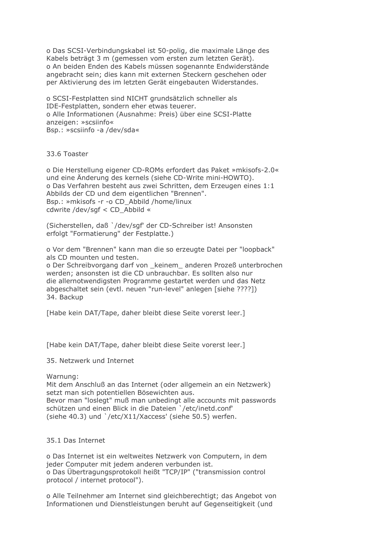o Das SCSI-Verbindungskabel ist 50-polig, die maximale Länge des Kabels beträgt 3 m (gemessen vom ersten zum letzten Gerät). o An beiden Enden des Kabels müssen sogenannte Endwiderstände angebracht sein; dies kann mit externen Steckern geschehen oder per Aktivierung des im letzten Gerät eingebauten Widerstandes.

o SCSI-Festplatten sind NICHT grundsätzlich schneller als IDE-Festplatten, sondern eher etwas teuerer. o Alle Informationen (Ausnahme: Preis) über eine SCSI-Platte anzeigen: »scsiinfo« Bsp.: »scsiinfo -a /dev/sda«

33.6 Toaster

o Die Herstellung eigener CD-ROMs erfordert das Paket »mkisofs-2.0« und eine Änderung des kernels (siehe CD-Write mini-HOWTO). o Das Verfahren besteht aus zwei Schritten, dem Erzeugen eines 1:1 Abbilds der CD und dem eigentlichen "Brennen". Bsp.: »mkisofs -r -o CD Abbild /home/linux cdwrite /dev/sgf < CD\_Abbild «

(Sicherstellen, daß `/dev/sqf' der CD-Schreiber ist! Ansonsten erfolgt "Formatierung" der Festplatte.)

o Vor dem "Brennen" kann man die so erzeugte Datei per "loopback" als CD mounten und testen.

o Der Schreibvorgang darf von \_keinem\_ anderen Prozeß unterbrochen werden; ansonsten ist die CD unbrauchbar. Es sollten also nur die allernotwendigsten Programme gestartet werden und das Netz abgeschaltet sein (evtl. neuen "run-level" anlegen [siehe ????]) 34. Backup

[Habe kein DAT/Tape, daher bleibt diese Seite vorerst leer.]

[Habe kein DAT/Tape, daher bleibt diese Seite vorerst leer.]

35. Netzwerk und Internet

Warnung:

Mit dem Anschluß an das Internet (oder allgemein an ein Netzwerk) setzt man sich potentiellen Bösewichten aus. Bevor man "loslegt" muß man unbedingt alle accounts mit passwords schützen und einen Blick in die Dateien `/etc/inetd.conf' (siehe 40.3) und `/etc/X11/Xaccess' (siehe 50.5) werfen.

## 35.1 Das Internet

o Das Internet ist ein weltweites Netzwerk von Computern, in dem jeder Computer mit jedem anderen verbunden ist. o Das Übertragungsprotokoll heißt "TCP/IP" ("transmission control protocol / internet protocol").

o Alle Teilnehmer am Internet sind gleichberechtigt; das Angebot von Informationen und Dienstleistungen beruht auf Gegenseitigkeit (und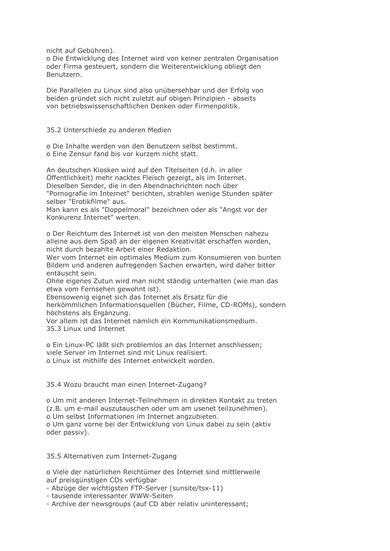nicht auf Gebühren).

o Die Entwicklung des Internet wird von keiner zentralen Organisation oder Firma gesteuert, sondern die Weiterentwicklung obliegt den Benutzern.

Die Parallelen zu Linux sind also unübersehbar und der Erfolg von beiden gründet sich nicht zuletzt auf obigen Prinzipien - abseits von betriebswissenschaftlichen Denken oder Firmenpolitik.

35.2 Unterschiede zu anderen Medien

o Die Inhalte werden von den Benutzern selbst bestimmt. o Eine Zensur fand bis vor kurzem nicht statt.

An deutschen Kiosken wird auf den Titelseiten (d.h. in aller Öffentlichkeit) mehr nacktes Fleisch gezeigt, als im Internet. Dieselben Sender, die in den Abendnachrichten noch über "Pornografie im Internet" berichten, strahlen wenige Stunden später selber "Erotikfilme" aus.

Man kann es als "Doppelmoral" bezeichnen oder als "Angst vor der Konkurenz Internet" werten

o Der Reichtum des Internet ist von den meisten Menschen nahezu alleine aus dem Spaß an der eigenen Kreativität erschaffen worden, nicht durch bezahlte Arbeit einer Redaktion.

Wer vom Internet ein optimales Medium zum Konsumieren von bunten Bildern und anderen aufregenden Sachen erwarten, wird daher bitter entäuscht sein.

Ohne eigenes Zutun wird man nicht ständig unterhalten (wie man das etwa vom Fernsehen gewohnt ist).

Ebensowenig eignet sich das Internet als Ersatz für die

herkömmlichen Informationsquellen (Bücher, Filme, CD-ROMs), sondern höchstens als Ergänzung.

Vor allem ist das Internet nämlich ein Kommunikationsmedium. 35.3 Linux und Internet

o Ein Linux-PC läßt sich problemlos an das Internet anschliessen; viele Server im Internet sind mit Linux realisiert. o Linux ist mithilfe des Internet entwickelt worden.

35.4 Wozu braucht man einen Internet-Zugang?

o Um mit anderen Internet-Teilnehmern in direkten Kontakt zu treten (z.B. um e-mail auszutauschen oder um am usenet teilzunehmen). o Um selbst Informationen im Internet angzubieten. o Um ganz vorne bei der Entwicklung von Linux dabei zu sein (aktiv oder passiv).

35.5 Alternativen zum Internet-Zugang

o Viele der natürlichen Reichtümer des Internet sind mittlerweile auf preisgünstigen CDs verfügbar

- Abzüge der wichtigsten FTP-Server (sunsite/tsx-11)

- tausende interessanter WWW-Seiten

- Archive der newsgroups (auf CD aber relativ uninteressant;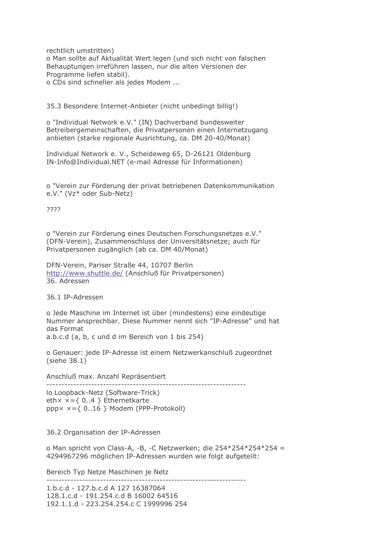rechtlich umstritten) o Man sollte auf Aktualität Wert legen (und sich nicht von falschen Behauptungen irreführen lassen, nur die alten Versionen der Programme liefen stabil).

o CDs sind schneller als jedes Modem ...

35.3 Besondere Internet-Anbieter (nicht unbedingt billig!)

o "Individual Network e.V." (IN) Dachverband bundesweiter Betreibergemeinschaften, die Privatpersonen einen Internetzugang anbieten (starke regionale Ausrichtung, ca. DM 20-40/Monat)

Individual Network e. V., Scheideweg 65, D-26121 Oldenburg IN-Info@Individual.NET (e-mail Adresse für Informationen)

o "Verein zur Förderung der privat betriebenen Datenkommunikation e.V." (Vz\* oder Sub-Netz)

????

o "Verein zur Förderung eines Deutschen Forschungsnetzes e.V." (DFN-Verein), Zusammenschluss der Universitätsnetze; auch für Privatpersonen zugänglich (ab ca. DM 40/Monat)

DFN-Verein, Pariser Straße 44, 10707 Berlin http://www.shuttle.de/ (Anschluß für Privatpersonen) 36. Adressen

36.1 IP-Adressen

o Jede Maschine im Internet ist über (mindestens) eine eindeutige Nummer ansprechbar. Diese Nummer nennt sich "IP-Adresse" und hat das Format

a.b.c.d (a, b, c und d im Bereich von 1 bis 254)

o Genauer: jede IP-Adresse ist einem Netzwerkanschluß zugeordnet  $(siehe 38.1)$ 

Anschluß max. Anzahl Repräsentiert

lo Loopback-Netz (Software-Trick) eth $x = \{ 0..4 \}$  Ethernetkarte  $pppx x = \{ 0..16 \}$  Modem (PPP-Protokoll)

36.2 Organisation der IP-Adressen

o Man spricht von Class-A, -B, -C Netzwerken; die 254\*254\*254\*254 = 4294967296 möglichen IP-Adressen wurden wie folgt aufgeteilt:

------------------------

Bereich Typ Netze Maschinen je Netz

1.b.c.d - 127.b.c.d A 127 16387064 128.1.c.d - 191.254.c.d B 16002 64516 192.1.1.d - 223.254.254.c C 1999996 254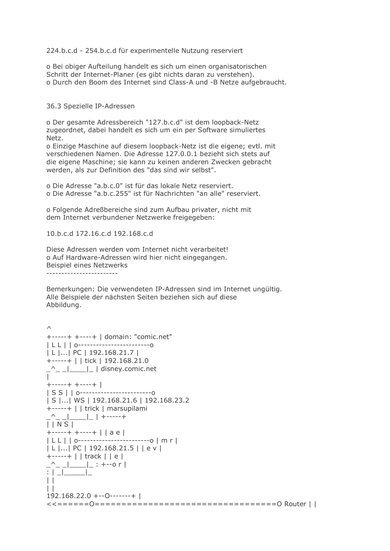224.b.c.d - 254.b.c.d für experimentelle Nutzung reserviert

o Bei obiger Aufteilung handelt es sich um einen organisatorischen Schritt der Internet-Planer (es gibt nichts daran zu verstehen). o Durch den Boom des Internet sind Class-A und -B Netze aufgebraucht.

36.3 Spezielle IP-Adressen

o Der gesamte Adressbereich "127.b.c.d" ist dem loopback-Netz zugeordnet, dabei handelt es sich um ein per Software simuliertes Netz.

o Einzige Maschine auf diesem loopback-Netz ist die eigene; evtl. mit verschiedenen Namen. Die Adresse 127.0.0.1 bezieht sich stets auf die eigene Maschine; sie kann zu keinen anderen Zwecken gebracht werden, als zur Definition des "das sind wir selbst".

o Die Adresse "a.b.c.0" ist für das lokale Netz reserviert. o Die Adresse "a.b.c.255" ist für Nachrichten "an alle" reserviert.

o Folgende Adreßbereiche sind zum Aufbau privater, nicht mit dem Internet verbundener Netzwerke freigegeben:

10.b.c.d 172.16.c.d 192.168.c.d

Diese Adressen werden vom Internet nicht verarbeitet! o Auf Hardware-Adressen wird hier nicht eingegangen. Beispiel eines Netzwerks \_\_\_\_\_\_\_\_\_\_\_\_\_\_\_\_\_\_\_\_\_\_\_\_\_\_\_

Bemerkungen: Die verwendeten IP-Adressen sind im Internet ungültig. Alle Beispiele der nächsten Seiten beziehen sich auf diese Abbildung,

```
\wedge+-----+ +----+ | domain: "comic.net"
|LL| | 0---------------------------0
| L |... | PC | 192.168.21.7 |
+-----+ | | tick | 192.168.21.0
\begin{array}{c}\n - \sim \text{---} \mid \text{---} \mid \text{disney.comic.net}\n \end{array}+ - - - + + + - - - + +|S \, S| | 0---------------------------0
| S |... | WS | 192.168.21.6 | 192.168.23.2
+-----+ | | trick | marsupilami
<u>|</u><br>|-<br>| _|__|__| | +-----+
| | N S |
+-----+ +----+ | | a e |
|LL| | 0--------------------------0 | m r |
|L|...|PC|192.168.21.5||ev|
+-----+ | | track | | e |
\frac{1}{2} \frac{1}{2} \frac{1}{2} \frac{1}{2} \frac{1}{2} \frac{1}{2}\perp\perp192.168.22.0 + -0 - - - - +
```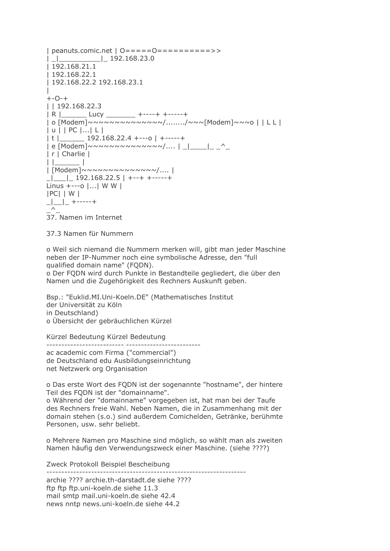$1192.168.21.1$  $|192.168.22.1$ | 192.168.22.2 192.168.23.1  $\overline{1}$  $+ -0-+$  $11192.168.22.3$ | R |\_\_\_\_\_\_\_ Lucy \_\_\_\_\_\_\_\_ +----+ +-----+ 10 Modem | NANANANANANANAN ( ... ... . / NAN Modem | NANO | | LL |  $|u|$  | PC  $|...|L|$  $|t|$  192.168.22.4 +---0 | +-----+  $|r|$  Charlie  $|$  $\Box$  $\vert$  | | 192.168.22.5 | +--+ +-----+ Linus  $+$ ---o |...| W W |  $|PC|$  | W |  $\Box$   $\Box$  + - - - - - +  $\wedge$ 37. Namen im Internet

37.3 Namen für Nummern

o Weil sich niemand die Nummern merken will, gibt man jeder Maschine neben der IP-Nummer noch eine symbolische Adresse, den "full qualified domain name" (FQDN).

o Der FODN wird durch Punkte in Bestandteile gegliedert, die über den Namen und die Zugehörigkeit des Rechners Auskunft geben.

Bsp.: "Euklid.MI.Uni-Koeln.DE" (Mathematisches Institut der Universität zu Köln in Deutschland) o Übersicht der gebräuchlichen Kürzel

Kürzel Bedeutung Kürzel Bedeutung

ac academic com Firma ("commercial") de Deutschland edu Ausbildungseinrichtung net Netzwerk org Organisation

o Das erste Wort des FQDN ist der sogenannte "hostname", der hintere Teil des FODN ist der "domainname".

o Während der "domainname" vorgegeben ist, hat man bei der Taufe des Rechners freie Wahl. Neben Namen, die in Zusammenhang mit der domain stehen (s.o.) sind außerdem Comichelden, Getränke, berühmte Personen, usw. sehr beliebt.

o Mehrere Namen pro Maschine sind möglich, so wählt man als zweiten Namen häufig den Verwendungszweck einer Maschine, (siehe ????)

Zweck Protokoll Beispiel Bescheibung 

archie ???? archie.th-darstadt.de siehe ????

ftp ftp ftp.uni-koeln.de siehe 11.3 mail smtp mail.uni-koeln.de siehe 42.4

news nntp news.uni-koeln.de siehe 44.2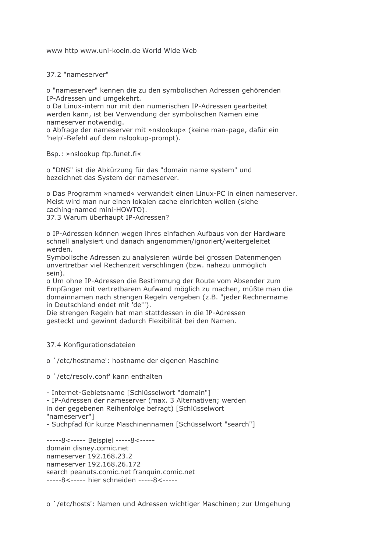www http www.uni-koeln.de World Wide Web

37.2 "nameserver"

o "nameserver" kennen die zu den symbolischen Adressen gehörenden IP-Adressen und umgekehrt.

o Da Linux-intern nur mit den numerischen IP-Adressen gearbeitet werden kann, ist bei Verwendung der symbolischen Namen eine nameserver notwendig.

o Abfrage der nameserver mit »nslookup« (keine man-page, dafür ein 'help'-Befehl auf dem nslookup-prompt).

Bsp.: »nslookup ftp.funet.fi«

o "DNS" ist die Abkürzung für das "domain name system" und bezeichnet das System der nameserver.

o Das Programm »named« verwandelt einen Linux-PC in einen nameserver. Meist wird man nur einen lokalen cache einrichten wollen (siehe caching-named mini-HOWTO). 37.3 Warum überhaupt IP-Adressen?

o IP-Adressen können wegen ihres einfachen Aufbaus von der Hardware schnell analysiert und danach angenommen/ignoriert/weitergeleitet

werden.

Symbolische Adressen zu analysieren würde bei grossen Datenmengen unvertretbar viel Rechenzeit verschlingen (bzw. nahezu unmöglich sein).

o Um ohne IP-Adressen die Bestimmung der Route vom Absender zum Empfänger mit vertretbarem Aufwand möglich zu machen, müßte man die domainnamen nach strengen Regeln vergeben (z.B. "jeder Rechnername in Deutschland endet mit 'de'").

Die strengen Regeln hat man stattdessen in die IP-Adressen gesteckt und gewinnt dadurch Flexibilität bei den Namen.

37.4 Konfigurationsdateien

o `/etc/hostname': hostname der eigenen Maschine

o `/etc/resolv.conf' kann enthalten

- Internet-Gebietsname [Schlüsselwort "domain"] - IP-Adressen der nameserver (max. 3 Alternativen; werden in der gegebenen Reihenfolge befragt) [Schlüsselwort "nameserver"] - Suchpfad für kurze Maschinennamen [Schüsselwort "search"]

-----8<----- Beispiel -----8<----domain disney.comic.net nameserver 192.168.23.2 nameserver 192.168.26.172 search peanuts.comic.net franquin.comic.net -----8<----- hier schneiden -----8<-----

o `/etc/hosts': Namen und Adressen wichtiger Maschinen; zur Umgehung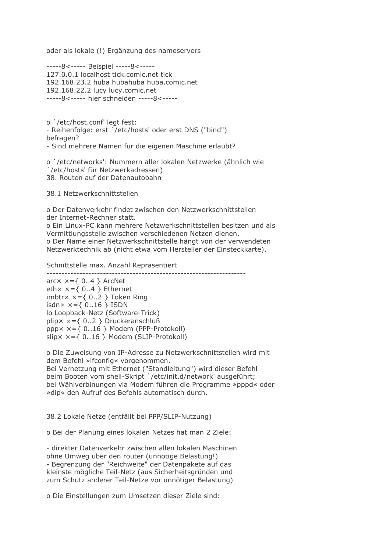oder als lokale (!) Ergänzung des nameservers

-----8<----- Beispiel -----8<-----127.0.0.1 localhost tick.comic.net tick 192.168.23.2 huba hubahuba huba.comic.net 192.168.22.2 lucy lucy.comic.net -----8<----- hier schneiden -----8<-----

o `/etc/host.conf' legt fest: - Reihenfolge: erst `/etc/hosts' oder erst DNS ("bind") befragen? - Sind mehrere Namen für die eigenen Maschine erlaubt?

o `/etc/networks': Nummern aller lokalen Netzwerke (ähnlich wie `/etc/hosts' für Netzwerkadressen) 38. Routen auf der Datenautobahn

38.1 Netzwerkschnittstellen

o Der Datenverkehr findet zwischen den Netzwerkschnittstellen der Internet-Rechner statt.

o Ein Linux-PC kann mehrere Netzwerkschnittstellen besitzen und als Vermittlungsstelle zwischen verschiedenen Netzen dienen. o Der Name einer Netzwerkschnittstelle hängt von der verwendeten Netzwerktechnik ab (nicht etwa vom Hersteller der Einsteckkarte).

Schnittstelle max. Anzahl Repräsentiert

 $\arccx \times = \{ 0..4 \}$  ArcNet eth $x \times = \{ 0..4 \}$  Ethernet imbtr $x \times = \{ 0..2 \}$  Token Ring isdn $\times$   $\times$  = { 0..16 } ISDN lo Loopback-Netz (Software-Trick)  $\text{plip} \times \text{x} = \{ 0..2 \}$  Druckeranschluß  $pppx \times = \{ 0..16 \}$  Modem (PPP-Protokoll)  $slipx x = \{ 0..16 \}$  Modem (SLIP-Protokoll)

o Die Zuweisung von IP-Adresse zu Netzwerkschnittstellen wird mit dem Befehl »ifconfig« vorgenommen. Bei Vernetzung mit Ethernet ("Standleitung") wird dieser Befehl beim Booten vom shell-Skript '/etc/init.d/network' ausgeführt; bei Wählverbinungen via Modem führen die Programme »pppd« oder » dip« den Aufruf des Befehls automatisch durch.

38.2 Lokale Netze (entfällt bei PPP/SLIP-Nutzung)

o Bei der Planung eines lokalen Netzes hat man 2 Ziele:

- direkter Datenverkehr zwischen allen Jokalen Maschinen ohne Umweg über den router (unnötige Belastung!) - Begrenzung der "Reichweite" der Datenpakete auf das kleinste mögliche Teil-Netz (aus Sicherheitsgründen und zum Schutz anderer Teil-Netze vor unnötiger Belastung)

o Die Einstellungen zum Umsetzen dieser Ziele sind: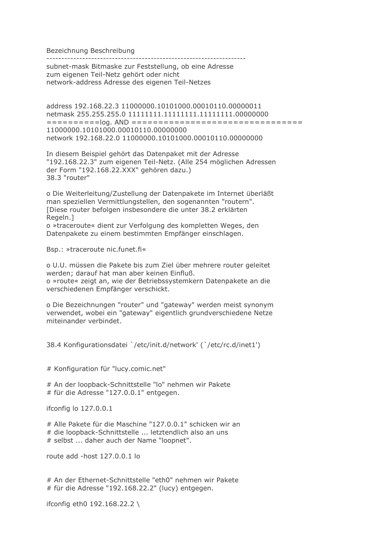Bezeichnung Beschreibung

----------------------------

subnet-mask Bitmaske zur Feststellung, ob eine Adresse zum eigenen Teil-Netz gehört oder nicht network-address Adresse des eigenen Teil-Netzes

address 192.168.22.3 11000000.10101000.00010110.00000011 netmask 255.255.255.0 111111111.11111111.1111111.00000000 11000000.10101000.00010110.00000000 network 192.168.22.0 11000000.10101000.00010110.00000000

In diesem Beispiel gehört das Datenpaket mit der Adresse "192.168.22.3" zum eigenen Teil-Netz. (Alle 254 möglichen Adressen der Form "192.168.22.XXX" gehören dazu.) 38.3 "router"

o Die Weiterleitung/Zustellung der Datenpakete im Internet überläßt man speziellen Vermittlungstellen, den sogenannten "routern". [Diese router befolgen insbesondere die unter 38.2 erklärten Regeln.1

o »traceroute« dient zur Verfolgung des kompletten Weges, den Datenpakete zu einem bestimmten Empfänger einschlagen.

Bsp.: »traceroute nic.funet.fi«

o U.U. müssen die Pakete bis zum Ziel über mehrere router geleitet werden; darauf hat man aber keinen Einfluß. o »route« zeigt an, wie der Betriebssystemkern Datenpakete an die verschiedenen Empfänger verschickt.

o Die Bezeichnungen "router" und "gateway" werden meist synonym verwendet, wobei ein "gateway" eigentlich grundverschiedene Netze miteinander verbindet.

38.4 Konfigurationsdatei `/etc/init.d/network' (`/etc/rc.d/inet1')

# Konfiguration für "lucy.comic.net"

# An der loopback-Schnittstelle "lo" nehmen wir Pakete # für die Adresse "127.0.0.1" entgegen.

ifconfig lo 127.0.0.1

# Alle Pakete für die Maschine "127.0.0.1" schicken wir an # die loopback-Schnittstelle ... letztendlich also an uns # selbst ... daher auch der Name "loopnet".

route add -host  $127.0.0.1$  lo

# An der Ethernet-Schnittstelle "eth0" nehmen wir Pakete # für die Adresse "192.168.22.2" (lucy) entgegen.

ifconfig eth0 192.168.22.2 \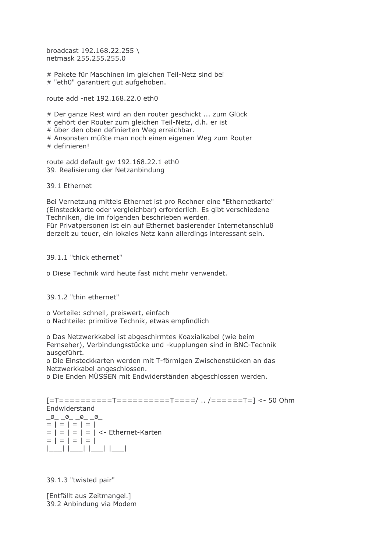broadcast 192.168.22.255 \ netmask 255.255.255.0

# Pakete für Maschinen im gleichen Teil-Netz sind bei # "eth0" garantiert gut aufgehoben.

route add -net 192.168.22.0 eth0

# Der ganze Rest wird an den router geschickt ... zum Glück

# gehört der Router zum gleichen Teil-Netz, d.h. er ist

# über den oben definierten Weg erreichbar.

# Ansonsten müßte man noch einen eigenen Weg zum Router # definieren!

route add default gw 192.168.22.1 eth0 39. Realisierung der Netzanbindung

39.1 Ethernet

Bei Vernetzung mittels Ethernet ist pro Rechner eine "Ethernetkarte" (Einsteckkarte oder vergleichbar) erforderlich. Es gibt verschiedene Techniken, die im folgenden beschrieben werden. Für Privatpersonen ist ein auf Ethernet basierender Internetanschluß derzeit zu teuer, ein lokales Netz kann allerdings interessant sein.

39.1.1 "thick ethernet"

o Diese Technik wird heute fast nicht mehr verwendet.

39.1.2 "thin ethernet"

o Vorteile: schnell, preiswert, einfach

o Nachteile: primitive Technik, etwas empfindlich

o Das Netzwerkkabel ist abgeschirmtes Koaxialkabel (wie beim Fernseher), Verbindungsstücke und -kupplungen sind in BNC-Technik ausgeführt.

o Die Einsteckkarten werden mit T-förmigen Zwischenstücken an das Netzwerkkabel angeschlossen.

o Die Enden MÜSSEN mit Endwiderständen abgeschlossen werden.

[=T===========T==========T====/ .. /======T=] <- 50 Ohm Endwiderstand

 $\boxed{\emptyset\_ \_ \emptyset\_ \_ \emptyset\_ \_ \emptyset\_}$  $= | = | = | = |$  $= | = | = | = | <$ - Ethernet-Karten  $= | = | = | = |$ 

39.1.3 "twisted pair"

[Entfällt aus Zeitmangel.] 39.2 Anbindung via Modem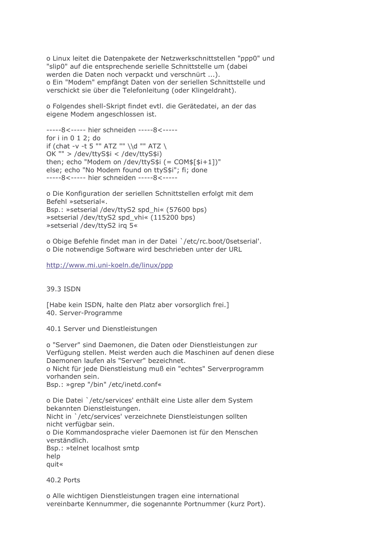o Linux leitet die Datenpakete der Netzwerkschnittstellen "ppp0" und "slip0" auf die entsprechende serielle Schnittstelle um (dabei werden die Daten noch verpackt und verschnürt ...). o Ein "Modem" empfängt Daten von der seriellen Schnittstelle und verschickt sie über die Telefonleitung (oder Klingeldraht).

o Folgendes shell-Skript findet evtl. die Gerätedatei, an der das eigene Modem angeschlossen ist.

-----8<----- hier schneiden -----8<----for  $i$  in  $0$  1 2; do if (chat -v -t 5 "" ATZ "" \\d "" ATZ \ OK "" > /dev/ttyS\$i < /dev/ttyS\$i) then; echo "Modem on /dev/ttyS\$i (= COM\$[\$i+1])" else; echo "No Modem found on ttyS\$i"; fi; done -----8<----- hier schneiden -----8<-----

o Die Konfiguration der seriellen Schnittstellen erfolgt mit dem Befehl »setserial«. Bsp.: »setserial /dev/ttyS2 spd\_hi« (57600 bps) » setserial /dev/ttyS2 spd vhi« (115200 bps) »setserial /dev/ttyS2 irg 5«

o Obige Befehle findet man in der Datei `/etc/rc.boot/0setserial'. o Die notwendige Software wird beschrieben unter der URL

http://www.mi.uni-koeln.de/linux/ppp

39.3 ISDN

[Habe kein ISDN, halte den Platz aber vorsorglich frei.] 40. Server-Programme

40.1 Server und Dienstleistungen

o "Server" sind Daemonen, die Daten oder Dienstleistungen zur Verfügung stellen. Meist werden auch die Maschinen auf denen diese Daemonen laufen als "Server" bezeichnet. o Nicht für jede Dienstleistung muß ein "echtes" Serverprogramm vorhanden sein. Bsp.: »grep "/bin" /etc/inetd.conf«

o Die Datei `/etc/services' enthält eine Liste aller dem System bekannten Dienstleistungen. Nicht in `/etc/services' verzeichnete Dienstleistungen sollten nicht verfügbar sein. o Die Kommandosprache vieler Daemonen ist für den Menschen verständlich. Bsp.: »telnet localhost smtp help quit«

40.2 Ports

o Alle wichtigen Dienstleistungen tragen eine international vereinbarte Kennummer, die sogenannte Portnummer (kurz Port).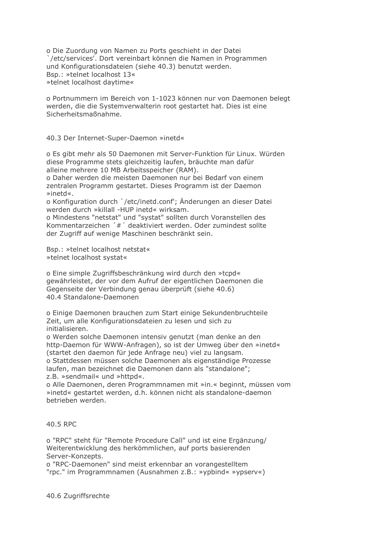o Die Zuordung von Namen zu Ports geschieht in der Datei /etc/services'. Dort vereinbart können die Namen in Programmen und Konfigurationsdateien (siehe 40.3) benutzt werden. Bsp.: »telnet localhost 13« »telnet localhost daytime«

o Portnummern im Bereich von 1-1023 können nur von Daemonen belegt werden, die die Systemverwalterin root gestartet hat. Dies ist eine Sicherheitsmaßnahme.

40.3 Der Internet-Super-Daemon »inetd«

o Es gibt mehr als 50 Daemonen mit Server-Funktion für Linux. Würden diese Programme stets gleichzeitig laufen, bräuchte man dafür alleine mehrere 10 MB Arbeitsspeicher (RAM).

o Daher werden die meisten Daemonen nur bei Bedarf von einem zentralen Programm gestartet. Dieses Programm ist der Daemon »inetd«.

o Konfiguration durch `/etc/inetd.conf'; Änderungen an dieser Datei werden durch »killall -HUP inetd« wirksam.

o Mindestens "netstat" und "systat" sollten durch Voranstellen des Kommentarzeichen '#' deaktiviert werden. Oder zumindest sollte der Zugriff auf wenige Maschinen beschränkt sein.

Bsp.: »telnet localhost netstat« »telnet localhost systat«

o Eine simple Zugriffsbeschränkung wird durch den »tcpd« gewährleistet, der vor dem Aufruf der eigentlichen Daemonen die Gegenseite der Verbindung genau überprüft (siehe 40.6) 40.4 Standalone-Daemonen

o Einige Daemonen brauchen zum Start einige Sekundenbruchteile Zeit, um alle Konfigurationsdateien zu lesen und sich zu initialisieren.

o Werden solche Daemonen intensiv genutzt (man denke an den http-Daemon für WWW-Anfragen), so ist der Umweg über den »inetd« (startet den daemon für jede Anfrage neu) viel zu langsam. o Stattdessen müssen solche Daemonen als eigenständige Prozesse

laufen, man bezeichnet die Daemonen dann als "standalone"; z.B. »sendmail« und »httpd«.

o Alle Daemonen, deren Programmnamen mit »in.« beginnt, müssen vom »inetd« gestartet werden, d.h. können nicht als standalone-daemon betrieben werden.

# 40.5 RPC

o "RPC" steht für "Remote Procedure Call" und ist eine Ergänzung/ Weiterentwicklung des herkömmlichen, auf ports basierenden Server-Konzepts.

o "RPC-Daemonen" sind meist erkennbar an vorangestelltem "rpc." im Programmnamen (Ausnahmen z.B.: »ypbind« »ypserv«)

40.6 Zugriffsrechte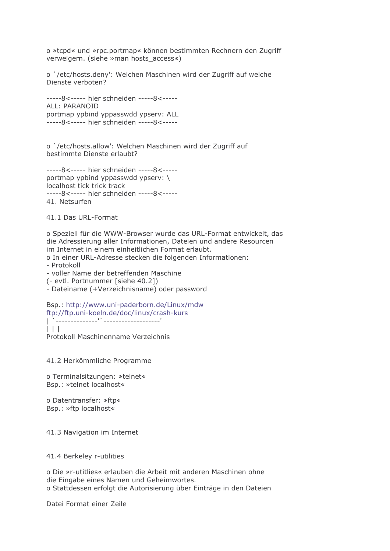o »tcpd« und »rpc.portmap« können bestimmten Rechnern den Zugriff verweigern. (siehe »man hosts access«)

o `/etc/hosts.deny': Welchen Maschinen wird der Zugriff auf welche Dienste verboten?

-----8<----- hier schneiden -----8<-----ALL: PARANOID portmap ypbind yppasswdd ypserv: ALL -----8<----- hier schneiden -----8<-----

o `/etc/hosts.allow': Welchen Maschinen wird der Zugriff auf bestimmte Dienste erlaubt?

-----8<----- hier schneiden -----8<----portmap vpbind vppasswdd vpserv: \ localhost tick trick track -----8<----- hier schneiden -----8<-----41. Netsurfen

41.1 Das URL-Format

o Speziell für die WWW-Browser wurde das URL-Format entwickelt, das die Adressierung aller Informationen, Dateien und andere Resourcen im Internet in einem einheitlichen Format erlaubt.

o In einer URL-Adresse stecken die folgenden Informationen:

- Protokoll

- voller Name der betreffenden Maschine

(- evtl. Portnummer [siehe 40.2])

- Dateiname (+Verzeichnisname) oder password

Bsp.: http://www.uni-paderborn.de/Linux/mdw ftp://ftp.uni-koeln.de/doc/linux/crash-kurs

 $\Box$ 

Protokoll Maschinenname Verzeichnis

41.2 Herkömmliche Programme

o Terminalsitzungen: »telnet« Bsp.: »telnet localhost«

o Datentransfer: »ftp« Bsp.: »ftp localhost«

41.3 Navigation im Internet

41.4 Berkeley r-utilities

o Die »r-utitlies« erlauben die Arbeit mit anderen Maschinen ohne die Eingabe eines Namen und Geheimwortes. o Stattdessen erfolgt die Autorisierung über Einträge in den Dateien

Datei Format einer Zeile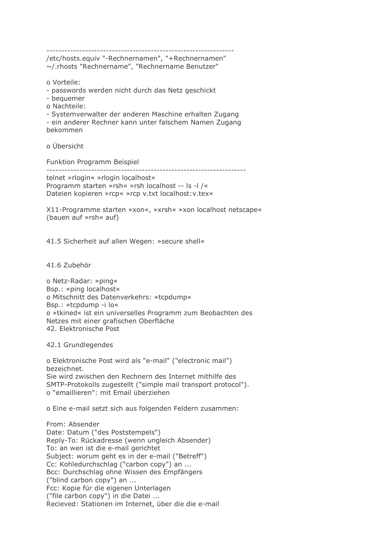/etc/hosts.equiv "-Rechnernamen", "+Rechnernamen" ~/.rhosts "Rechnername", "Rechnername Benutzer"

o Vorteile:

- passwords werden nicht durch das Netz geschickt

- bequemer

o Nachteile:

- Systemverwalter der anderen Maschine erhalten Zugang

- ein anderer Rechner kann unter falschem Namen Zugang bekommen

o Ühersicht

Funktion Programm Beispiel

------------------------------------------------------------------

telnet »rlogin« »rlogin localhost« Programm starten »rsh« »rsh localhost -- Is -I /« Dateien kopieren »rcp« »rcp v.txt localhost: v.tex«

X11-Programme starten »xon«, »xrsh« »xon localhost netscape« (bauen auf »rsh« auf)

41.5 Sicherheit auf allen Wegen: »secure shell«

41.6 Zubehör

o Netz-Radar: »ping« Bsp.: »ping localhost« o Mitschnitt des Datenverkehrs: »tcpdump« Bsp.: »tcpdump -i lo« o »tkined« ist ein universelles Programm zum Beobachten des Netzes mit einer grafischen Oberfläche 42. Elektronische Post

42.1 Grundlegendes

o Elektronische Post wird als "e-mail" ("electronic mail") bezeichnet. Sie wird zwischen den Rechnern des Internet mithilfe des SMTP-Protokolls zugestellt ("simple mail transport protocol"). o "emaillieren": mit Email überziehen

o Eine e-mail setzt sich aus folgenden Feldern zusammen:

From: Absender Date: Datum ("des Poststempels") Reply-To: Rückadresse (wenn ungleich Absender) To: an wen ist die e-mail gerichtet Subject: worum geht es in der e-mail ("Betreff") Cc: Kohledurchschlag ("carbon copy") an ... Bcc: Durchschlag ohne Wissen des Empfängers ("blind carbon copy") an ... Fcc: Kopie für die eigenen Unterlagen ("file carbon copy") in die Datei ... Recieved: Stationen im Internet, über die die e-mail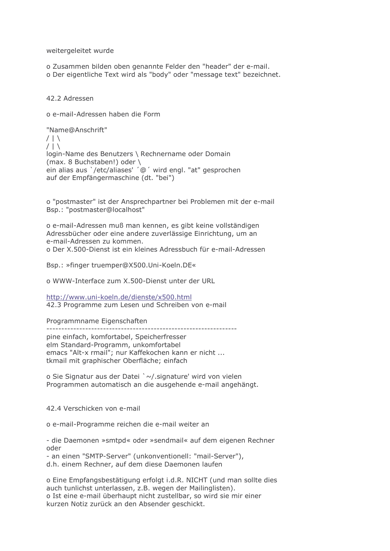weitergeleitet wurde

o Zusammen bilden oben genannte Felder den "header" der e-mail. o Der eigentliche Text wird als "body" oder "message text" bezeichnet.

42.2 Adressen

o e-mail-Adressen haben die Form

"Name@Anschrift"  $/ \perp \setminus$  $/$ | \ login-Name des Benutzers \ Rechnername oder Domain (max. 8 Buchstaben!) oder \ ein alias aus `/etc/aliases' ´@ ´ wird engl. "at" gesprochen auf der Empfängermaschine (dt. "bei")

o "postmaster" ist der Ansprechpartner bei Problemen mit der e-mail Bsp.: "postmaster@localhost"

o e-mail-Adressen muß man kennen, es gibt keine vollständigen Adressbücher oder eine andere zuverlässige Einrichtung, um an e-mail-Adressen zu kommen. o Der X.500-Dienst ist ein kleines Adressbuch für e-mail-Adressen

Bsp.: »finger truemper@X500.Uni-Koeln.DE«

o WWW-Interface zum X.500-Dienst unter der URL

http://www.uni-koeln.de/dienste/x500.html 42.3 Programme zum Lesen und Schreiben von e-mail

Programmname Eigenschaften

pine einfach, komfortabel, Speicherfresser

elm Standard-Programm, unkomfortabel emacs "Alt-x rmail"; nur Kaffekochen kann er nicht ... tkmail mit graphischer Oberfläche; einfach

o Sie Signatur aus der Datei `~/.signature' wird von vielen Programmen automatisch an die ausgehende e-mail angehängt.

42 4 Verschicken von e-mail

o e-mail-Programme reichen die e-mail weiter an

- die Daemonen »smtpd« oder »sendmail« auf dem eigenen Rechner oder

- an einen "SMTP-Server" (unkonventionell: "mail-Server"), d.h. einem Rechner, auf dem diese Daemonen laufen

o Eine Empfangsbestätigung erfolgt i.d.R. NICHT (und man sollte dies auch tunlichst unterlassen, z.B. wegen der Mailinglisten). o Ist eine e-mail überhaupt nicht zustellbar, so wird sie mir einer kurzen Notiz zurück an den Absender geschickt.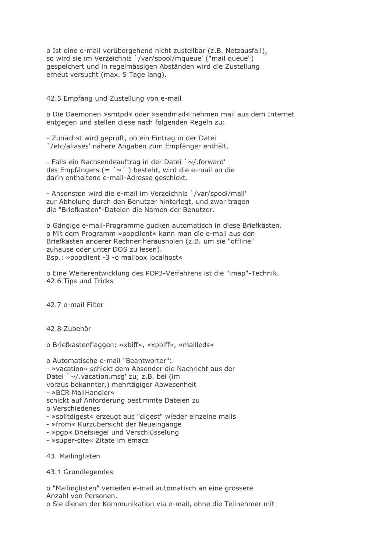o Ist eine e-mail vorübergehend nicht zustellbar (z.B. Netzausfall), so wird sie im Verzeichnis `/var/spool/mqueue' ("mail queue") gespeichert und in regelmässigen Abständen wird die Zustellung erneut versucht (max. 5 Tage lang).

42.5 Empfang und Zustellung von e-mail

o Die Daemonen »smtpd« oder »sendmail« nehmen mail aus dem Internet entgegen und stellen diese nach folgenden Regeln zu:

- Zunächst wird geprüft, ob ein Eintrag in der Datei '/etc/aliases' nähere Angaben zum Empfänger enthält.

- Falls ein Nachsendeauftrag in der Datei `~/.forward' des Empfängers (= ' $\sim$ ') besteht, wird die e-mail an die darin enthaltene e-mail-Adresse geschickt.

- Ansonsten wird die e-mail im Verzeichnis `/var/spool/mail' zur Abholung durch den Benutzer hinterlegt, und zwar tragen die "Briefkasten"-Dateien die Namen der Benutzer.

o Gängige e-mail-Programme gucken automatisch in diese Briefkästen. o Mit dem Programm »popclient« kann man die e-mail aus den Briefkästen anderer Rechner herausholen (z.B. um sie "offline" zuhause oder unter DOS zu lesen). Bsp.: »popclient -3 -o mailbox localhost«

o Eine Weiterentwicklung des POP3-Verfahrens ist die "imap"-Technik. 42.6 Tips und Tricks

42.7 e-mail Filter

42.8 Zubehör

o Briefkastenflaggen: »xbiff«, »xpbiff«, »mailleds«

o Automatische e-mail "Beantworter": - »vacation« schickt dem Absender die Nachricht aus der Datei `~/.vacation.msq' zu: z.B. bei (im voraus bekannter,) mehrtägiger Abwesenheit - »BCR MailHandler« schickt auf Anforderung bestimmte Dateien zu o Verschiedenes - »splitdigest« erzeugt aus "digest" wieder einzelne mails

- »from« Kurzübersicht der Neueingänge
- »pgp« Briefsiegel und Verschlüsselung
- »super-cite« Zitate im emacs
- 43. Mailinglisten

# 43.1 Grundlegendes

o "Mailinglisten" verteilen e-mail automatisch an eine grössere Anzahl von Personen.

o Sie dienen der Kommunikation via e-mail, ohne die Teilnehmer mit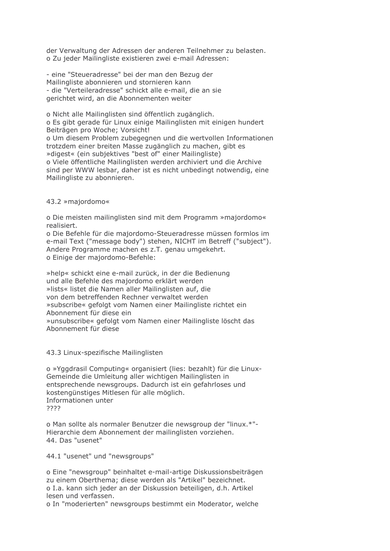der Verwaltung der Adressen der anderen Teilnehmer zu belasten. o Zu jeder Mailingliste existieren zwei e-mail Adressen:

- eine "Steueradresse" bei der man den Bezug der Mailingliste abonnieren und stornieren kann - die "Verteileradresse" schickt alle e-mail, die an sie gerichtet wird, an die Abonnementen weiter

o Nicht alle Mailinglisten sind öffentlich zugänglich. o Es gibt gerade für Linux einige Mailinglisten mit einigen hundert Beiträgen pro Woche; Vorsicht! o Um diesem Problem zubegegnen und die wertvollen Informationen trotzdem einer breiten Masse zugänglich zu machen, gibt es »digest« (ein subjektives "best of" einer Mailingliste) o Viele öffentliche Mailinglisten werden archiviert und die Archive sind per WWW lesbar, daher ist es nicht unbedingt notwendig, eine Mailingliste zu abonnieren.

# 43.2 »majordomo«

o Die meisten mailinglisten sind mit dem Programm »majordomo« realisiert.

o Die Befehle für die majordomo-Steueradresse müssen formlos im e-mail Text ("message body") stehen, NICHT im Betreff ("subject"). Andere Programme machen es z.T. genau umgekehrt. o Einige der majordomo-Befehle:

»help« schickt eine e-mail zurück, in der die Bedienung und alle Befehle des majordomo erklärt werden »lists« listet die Namen aller Mailinglisten auf, die von dem betreffenden Rechner verwaltet werden »subscribe« gefolgt vom Namen einer Mailingliste richtet ein Abonnement für diese ein »unsubscribe« gefolgt vom Namen einer Mailingliste löscht das Abonnement für diese

# 43.3 Linux-spezifische Mailinglisten

o »Yggdrasil Computing« organisiert (lies: bezahlt) für die Linux-Gemeinde die Umleitung aller wichtigen Mailinglisten in entsprechende newsgroups. Dadurch ist ein gefahrloses und kostengünstiges Mitlesen für alle möglich. Informationen unter 7777

o Man sollte als normaler Benutzer die newsgroup der "linux.\*"-Hierarchie dem Abonnement der mailinglisten vorziehen. 44. Das "usenet"

44.1 "usenet" und "newsgroups"

o Eine "newsgroup" beinhaltet e-mail-artige Diskussionsbeiträgen zu einem Oberthema; diese werden als "Artikel" bezeichnet. o I.a. kann sich jeder an der Diskussion beteiligen, d.h. Artikel lesen und verfassen.

o In "moderierten" newsgroups bestimmt ein Moderator, welche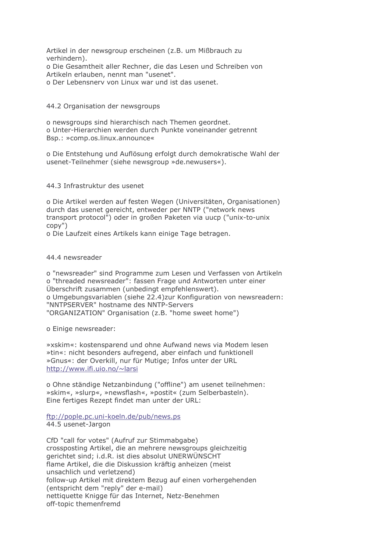Artikel in der newsgroup erscheinen (z.B. um Mißbrauch zu verhindern).

o Die Gesamtheit aller Rechner, die das Lesen und Schreiben von Artikeln erlauben, nennt man "usenet".

o Der Lebensnery von Linux war und ist das usenet.

44.2 Organisation der newsgroups

o newsgroups sind hierarchisch nach Themen geordnet. o Unter-Hierarchien werden durch Punkte voneinander getrennt Bsp.: »comp.os.linux.announce«

o Die Entstehung und Auflösung erfolgt durch demokratische Wahl der usenet-Teilnehmer (siehe newsgroup »de.newusers«).

#### 44.3 Infrastruktur des usenet

o Die Artikel werden auf festen Wegen (Universitäten, Organisationen) durch das usenet gereicht, entweder per NNTP ("network news transport protocol") oder in großen Paketen via uucp ("unix-to-unix  $copy")$ 

o Die Laufzeit eines Artikels kann einige Tage betragen.

44.4 newsreader

o "newsreader" sind Programme zum Lesen und Verfassen von Artikeln o "threaded newsreader": fassen Frage und Antworten unter einer Überschrift zusammen (unbedingt empfehlenswert). o Umgebungsvariablen (siehe 22.4)zur Konfiguration von newsreadern: "NNTPSERVER" hostname des NNTP-Servers "ORGANIZATION" Organisation (z.B. "home sweet home")

o Einige newsreader:

»xskim«: kostensparend und ohne Aufwand news via Modem lesen »tin«: nicht besonders aufregend, aber einfach und funktionell »Gnus«: der Overkill, nur für Mutige; Infos unter der URL http://www.ifi.uio.no/~larsi

o Ohne ständige Netzanbindung ("offline") am usenet teilnehmen: »skim«, »slurp«, »newsflash«, »postit« (zum Selberbasteln). Eine fertiges Rezept findet man unter der URL:

ftp://pople.pc.uni-koeln.de/pub/news.ps 44.5 usenet-Jargon

CfD "call for votes" (Aufruf zur Stimmabgabe) crossposting Artikel, die an mehrere newsgroups gleichzeitig gerichtet sind; i.d.R. ist dies absolut UNERWÜNSCHT flame Artikel, die die Diskussion kräftig anheizen (meist unsachlich und verletzend) follow-up Artikel mit direktem Bezug auf einen vorhergehenden (entspricht dem "reply" der e-mail) nettiquette Knigge für das Internet, Netz-Benehmen off-topic themenfremd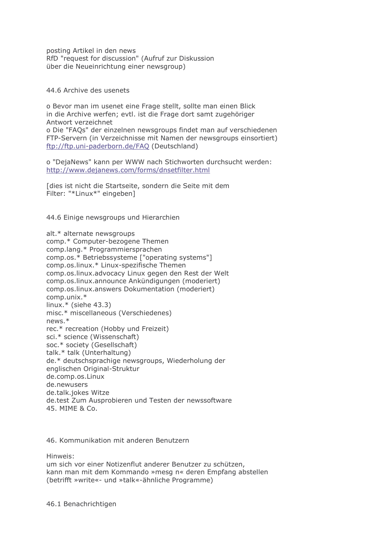posting Artikel in den news RfD "request for discussion" (Aufruf zur Diskussion über die Neueinrichtung einer newsgroup)

44.6 Archive des usenets

o Bevor man im usenet eine Frage stellt, sollte man einen Blick in die Archive werfen; evtl. ist die Frage dort samt zugehöriger Antwort verzeichnet o Die "FAOs" der einzelnen newsgroups findet man auf verschiedenen FTP-Servern (in Verzeichnisse mit Namen der newsgroups einsortiert) ftp://ftp.uni-paderborn.de/FAQ (Deutschland)

o "DejaNews" kann per WWW nach Stichworten durchsucht werden: http://www.dejanews.com/forms/dnsetfilter.html

I dies ist nicht die Startseite, sondern die Seite mit dem Filter: "\*Linux\*" eingeben]

44.6 Einige newsgroups und Hierarchien

alt.\* alternate newsgroups comp.\* Computer-bezogene Themen comp.lang.\* Programmiersprachen comp.os.\* Betriebssysteme ["operating systems"] comp.os.linux.\* Linux-spezifische Themen comp.os.linux.advocacy Linux gegen den Rest der Welt comp.os.linux.announce Ankündigungen (moderiert) comp.os.linux.answers Dokumentation (moderiert) comp.unix.\* linux.\* (siehe  $43.3$ ) misc.\* miscellaneous (Verschiedenes)  $news.*$ rec.\* recreation (Hobby und Freizeit) sci.\* science (Wissenschaft) soc.\* society (Gesellschaft) talk.\* talk (Unterhaltung) de.\* deutschsprachige newsgroups, Wiederholung der englischen Original-Struktur de.comp.os.Linux de.newusers de.talk.jokes Witze de.test Zum Ausprobieren und Testen der newssoftware 45 MIMF & Co

46. Kommunikation mit anderen Benutzern

Hinweis:

um sich vor einer Notizenflut anderer Benutzer zu schützen, kann man mit dem Kommando »mesg n« deren Empfang abstellen (betrifft »write«- und »talk«-ähnliche Programme)

46.1 Benachrichtigen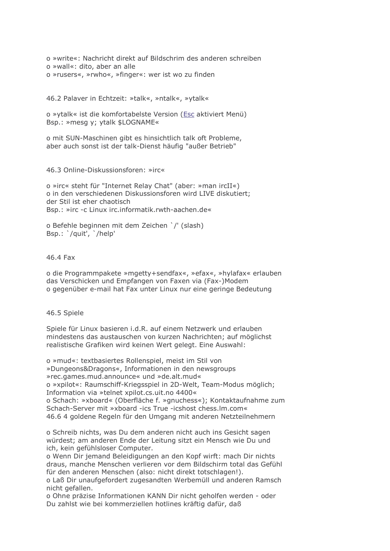o »write«: Nachricht direkt auf Bildschrim des anderen schreiben o »wall«: dito, aber an alle o »rusers«, »rwho«, »finger«: wer ist wo zu finden

46.2 Palaver in Echtzeit: »talk«, »ntalk«, »ytalk«

o »ytalk« ist die komfortabelste Version (Esc aktiviert Menü) Bsp.: »mesg y; ytalk \$LOGNAME«

o mit SUN-Maschinen gibt es hinsichtlich talk oft Probleme, aber auch sonst ist der talk-Dienst häufig "außer Betrieb"

46.3 Online-Diskussionsforen: »irc«

o »irc« steht für "Internet Relay Chat" (aber: »man ircII«) o in den verschiedenen Diskussionsforen wird LIVE diskutiert; der Stil ist eher chaotisch Bsp.: »irc -c Linux irc.informatik.rwth-aachen.de«

o Befehle beginnen mit dem Zeichen `/' (slash) Bsp.: '/quit', '/help'

#### 46.4 Fax

o die Programmpakete »mgetty+sendfax«, »efax«, »hylafax« erlauben das Verschicken und Empfangen von Faxen via (Fax-)Modem o gegenüber e-mail hat Fax unter Linux nur eine geringe Bedeutung

# 46.5 Spiele

Spiele für Linux basieren i.d.R. auf einem Netzwerk und erlauben mindestens das austauschen von kurzen Nachrichten; auf möglichst realistische Grafiken wird keinen Wert gelegt. Eine Auswahl:

o »mud«: textbasiertes Rollenspiel, meist im Stil von »Dungeons&Dragons«, Informationen in den newsgroups »rec.games.mud.announce« und »de.alt.mud« o »xpilot«: Raumschiff-Kriegsspiel in 2D-Welt, Team-Modus möglich; Information via »telnet xpilot.cs.uit.no 4400« o Schach: »xboard« (Oberfläche f. »gnuchess«); Kontaktaufnahme zum Schach-Server mit »xboard -ics True -icshost chess.lm.com« 46.6 4 goldene Regeln für den Umgang mit anderen Netzteilnehmern

o Schreib nichts, was Du dem anderen nicht auch ins Gesicht sagen würdest; am anderen Ende der Leitung sitzt ein Mensch wie Du und ich, kein gefühlsloser Computer.

o Wenn Dir jemand Beleidigungen an den Kopf wirft: mach Dir nichts draus, manche Menschen verlieren vor dem Bildschirm total das Gefühl für den anderen Menschen (also: nicht direkt totschlagen!).

o Laß Dir unaufgefordert zugesandten Werbemüll und anderen Ramsch nicht gefallen.

o Ohne präzise Informationen KANN Dir nicht geholfen werden - oder Du zahlst wie bei kommerziellen hotlines kräftig dafür, daß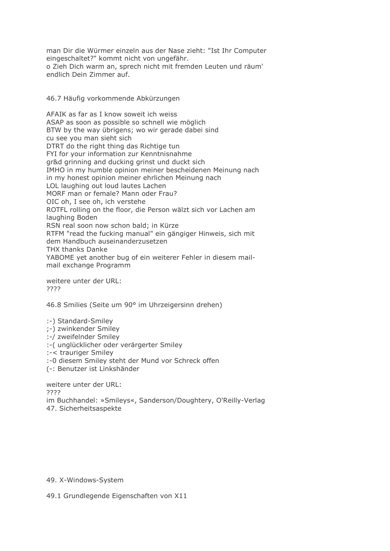man Dir die Würmer einzeln aus der Nase zieht: "Ist Ihr Computer eingeschaltet?" kommt nicht von ungefähr. o Zieh Dich warm an, sprech nicht mit fremden Leuten und räum' endlich Dein Zimmer auf.

# 46.7 Häufig vorkommende Abkürzungen

AFAIK as far as I know soweit ich weiss ASAP as soon as possible so schnell wie möglich BTW by the way übrigens; wo wir gerade dabei sind cu see you man sieht sich DTRT do the right thing das Richtige tun FYI for your information zur Kenntnisnahme gr&d grinning and ducking grinst und duckt sich IMHO in my humble opinion meiner bescheidenen Meinung nach in my honest opinion meiner ehrlichen Meinung nach LOL laughing out loud lautes Lachen MORF man or female? Mann oder Frau? OIC oh, I see oh, ich verstehe ROTFL rolling on the floor, die Person wälzt sich vor Lachen am laughing Boden RSN real soon now schon bald; in Kürze RTFM "read the fucking manual" ein gängiger Hinweis, sich mit dem Handbuch auseinanderzusetzen THX thanks Danke YABOME yet another bug of ein weiterer Fehler in diesem mailmail exchange Programm

weitere unter der URL: 7777

46.8 Smilies (Seite um 90° im Uhrzeigersinn drehen)

:-) Standard-Smiley

- :-) zwinkender Smiley
- :-/ zweifelnder Smiley
- :- (unglücklicher oder verärgerter Smiley
- :-< trauriger Smiley
- :- 0 diesem Smiley steht der Mund vor Schreck offen
- (-: Benutzer ist Linkshänder

weitere unter der URL: 2222 im Buchhandel: »Smileys«, Sanderson/Doughtery, O'Reilly-Verlag 47. Sicherheitsaspekte

# 49. X-Windows-System

49.1 Grundlegende Eigenschaften von X11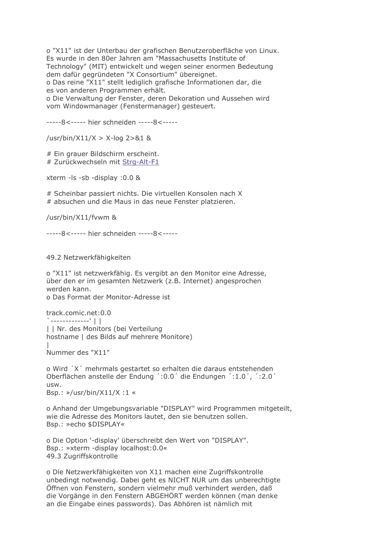o "X11" ist der Unterbau der grafischen Benutzeroberfläche von Linux. Es wurde in den 80er Jahren am "Massachusetts Institute of Technology" (MIT) entwickelt und wegen seiner enormen Bedeutung dem dafür gegründeten "X Consortium" übereignet. o Das reine "X11" stellt lediglich grafische Informationen dar, die es von anderen Programmen erhält.

o Die Verwaltung der Fenster, deren Dekoration und Aussehen wird vom Windowmanager (Fenstermanager) gesteuert.

-----8<----- hier schneiden -----8<-----

/usr/bin/X11/X > X-log 2>&1 &

# Ein grauer Bildschirm erscheint. # Zurückwechseln mit Strg-Alt-F1

xterm -ls -sb -display :0.0 &

# Scheinbar passiert nichts. Die virtuellen Konsolen nach X # absuchen und die Maus in das neue Fenster platzieren.

/usr/bin/X11/fvwm &

-----8<----- hier schneiden -----8<-----

49.2 Netzwerkfähigkeiten

o "X11" ist netzwerkfähig. Es vergibt an den Monitor eine Adresse, über den er im gesamten Netzwerk (z.B. Internet) angesprochen werden kann. o Das Format der Monitor-Adresse ist

track.comic.net:0.0  $\left| \cdot \right|$ | | Nr. des Monitors (bei Verteilung hostname | des Bilds auf mehrere Monitore)

Nummer des "X11"

o Wird 'X' mehrmals gestartet so erhalten die daraus entstehenden Oberflächen anstelle der Endung ': 0.0' die Endungen ': 1.0', ': 2.0' usw. Bsp.:  $\frac{1}{2}$ /usr/bin/X11/X :1 «

o Anhand der Umgebungsvariable "DISPLAY" wird Programmen mitgeteilt, wie die Adresse des Monitors lautet, den sie benutzen sollen. Bsp.: »echo \$DISPLAY«

o Die Option '-display' überschreibt den Wert von "DISPLAY". Bsp.: »xterm -display localhost:0.0« 49.3 Zugriffskontrolle

o Die Netzwerkfähigkeiten von X11 machen eine Zugriffskontrolle unbedingt notwendig. Dabei geht es NICHT NUR um das unberechtigte Öffnen von Fenstern, sondern vielmehr muß verhindert werden, daß die Vorgänge in den Fenstern ABGEHÖRT werden können (man denke an die Eingabe eines passwords). Das Abhören ist nämlich mit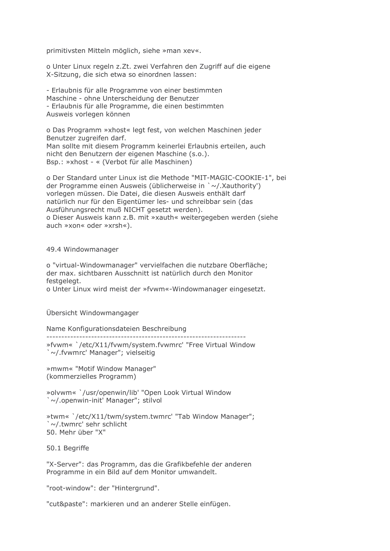primitivsten Mitteln möglich, siehe »man xev«.

o Unter Linux regeln z.Zt. zwei Verfahren den Zugriff auf die eigene X-Sitzung, die sich etwa so einordnen lassen:

- Erlaubnis für alle Programme von einer bestimmten Maschine - ohne Unterscheidung der Benutzer - Erlaubnis für alle Programme, die einen bestimmten Ausweis vorlegen können

o Das Programm »xhost« legt fest, von welchen Maschinen jeder Benutzer zugreifen darf. Man sollte mit diesem Programm keinerlei Erlaubnis erteilen, auch nicht den Benutzern der eigenen Maschine (s.o.). Bsp.: »xhost - « (Verbot für alle Maschinen)

o Der Standard unter Linux ist die Methode "MIT-MAGIC-COOKIE-1", bei der Programme einen Ausweis (üblicherweise in `~/.Xauthority') vorlegen müssen. Die Datei, die diesen Ausweis enthält darf natürlich nur für den Eigentümer les- und schreibbar sein (das Ausführungsrecht muß NICHT gesetzt werden). o Dieser Ausweis kann z.B. mit »xauth« weitergegeben werden (siehe auch »xon« oder »xrsh«).

#### 49.4 Windowmanager

o "virtual-Windowmanager" vervielfachen die nutzbare Oberfläche; der max. sichtbaren Ausschnitt ist natürlich durch den Monitor festgelegt.

o Unter Linux wird meist der »fvwm«-Windowmanager eingesetzt.

Übersicht Windowmangager

Name Konfigurationsdateien Beschreibung

-----------------------------

»fvwm« '/etc/X11/fvwm/system.fvwmrc' "Free Virtual Window `~/.fvwmrc' Manager"; vielseitig

»mwm« "Motif Window Manager" (kommerzielles Programm)

»olvwm« '/usr/openwin/lib' "Open Look Virtual Window `~/.openwin-init' Manager"; stilvol

»twm« '/etc/X11/twm/system.twmrc' "Tab Window Manager"; `~/.twmrc' sehr schlicht 50. Mehr über "X"

50.1 Beariffe

"X-Server": das Programm, das die Grafikbefehle der anderen Programme in ein Bild auf dem Monitor umwandelt.

"root-window": der "Hintergrund".

"cut&paste": markieren und an anderer Stelle einfügen.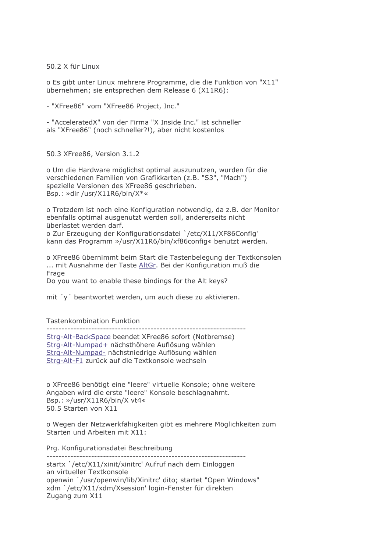50.2 X für Linux

o Es gibt unter Linux mehrere Programme, die die Funktion von "X11" übernehmen; sie entsprechen dem Release 6 (X11R6):

- "XFree86" vom "XFree86 Project, Inc."

- "AcceleratedX" von der Firma "X Inside Inc." ist schneller als "XFree86" (noch schneller?!), aber nicht kostenlos

50.3 XFree86, Version 3.1.2

o Um die Hardware möglichst optimal auszunutzen, wurden für die verschiedenen Familien von Grafikkarten (z.B. "S3", "Mach") spezielle Versionen des XFree86 geschrieben. Bsp.: »dir /usr/X11R6/bin/X\*«

o Trotzdem ist noch eine Konfiguration notwendig, da z.B. der Monitor ebenfalls optimal ausgenutzt werden soll, andererseits nicht überlastet werden darf. o Zur Erzeugung der Konfigurationsdatei `/etc/X11/XF86Config' kann das Programm »/usr/X11R6/bin/xf86config« benutzt werden.

o XFree86 übernimmt beim Start die Tastenbelegung der Textkonsolen ... mit Ausnahme der Taste AltGr. Bei der Konfiguration muß die Frage Do you want to enable these bindings for the Alt keys?

mit 'y' beantwortet werden, um auch diese zu aktivieren.

#### Tastenkombination Funktion

Strg-Alt-BackSpace beendet XFree86 sofort (Notbremse) Strg-Alt-Numpad+ nächsthöhere Auflösung wählen Strg-Alt-Numpad- nächstniedrige Auflösung wählen Strg-Alt-F1 zurück auf die Textkonsole wechseln

o XFree86 benötigt eine "leere" virtuelle Konsole; ohne weitere Angaben wird die erste "leere" Konsole beschlagnahmt. Bsp.:  $\frac{1}{2}$ /usr/X11R6/bin/X vt4« 50 5 Starten von X11

o Wegen der Netzwerkfähigkeiten gibt es mehrere Möglichkeiten zum Starten und Arbeiten mit X11:

Pra. Konfigurationsdatei Beschreibung

startx '/etc/X11/xinit/xinitrc' Aufruf nach dem Einloggen an virtueller Textkonsole openwin '/usr/openwin/lib/Xinitrc' dito; startet "Open Windows" xdm `/etc/X11/xdm/Xsession' login-Fenster für direkten Zugang zum X11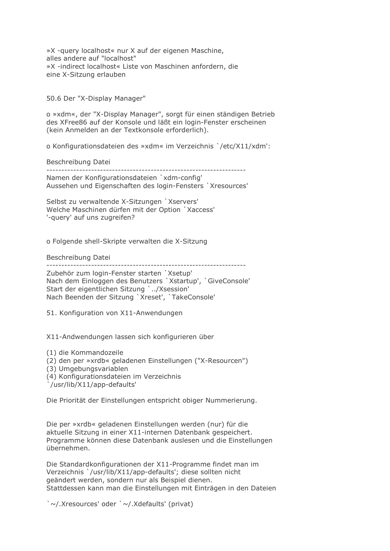»X -query localhost« nur X auf der eigenen Maschine, alles andere auf "localhost" »X -indirect localhost« Liste von Maschinen anfordern, die eine X-Sitzung erlauben

50.6 Der "X-Display Manager"

o »xdm«, der "X-Display Manager", sorgt für einen ständigen Betrieb des XFree86 auf der Konsole und läßt ein login-Fenster erscheinen (kein Anmelden an der Textkonsole erforderlich).

o Konfigurationsdateien des »xdm« im Verzeichnis `/etc/X11/xdm':

Beschreibung Datei

Namen der Konfigurationsdateien `xdm-config' Aussehen und Eigenschaften des Jogin-Fensters `Xresources'

Selbst zu verwaltende X-Sitzungen `Xservers' Welche Maschinen dürfen mit der Option `Xaccess' '-query' auf uns zugreifen?

o Folgende shell-Skripte verwalten die X-Sitzung

Beschreibung Datei

Zubehör zum login-Fenster starten `Xsetup' Nach dem Einloggen des Benutzers `Xstartup', `GiveConsole' Start der eigentlichen Sitzung `../Xsession' Nach Beenden der Sitzung 'Xreset', 'TakeConsole'

51. Konfiguration von X11-Anwendungen

X11-Andwendungen lassen sich konfigurieren über

(1) die Kommandozeile

(2) den per »xrdb« geladenen Einstellungen ("X-Resourcen")

(3) Umgebungsvariablen

(4) Konfigurationsdateien im Verzeichnis

/usr/lib/X11/app-defaults'

Die Priorität der Einstellungen entspricht obiger Nummerierung.

Die per »xrdb« geladenen Einstellungen werden (nur) für die aktuelle Sitzung in einer X11-internen Datenbank gespeichert. Programme können diese Datenbank auslesen und die Einstellungen übernehmen.

Die Standardkonfigurationen der X11-Programme findet man im Verzeichnis `/usr/lib/X11/app-defaults'; diese sollten nicht geändert werden, sondern nur als Beispiel dienen. Stattdessen kann man die Einstellungen mit Einträgen in den Dateien

`~/.Xresources' oder `~/.Xdefaults' (privat)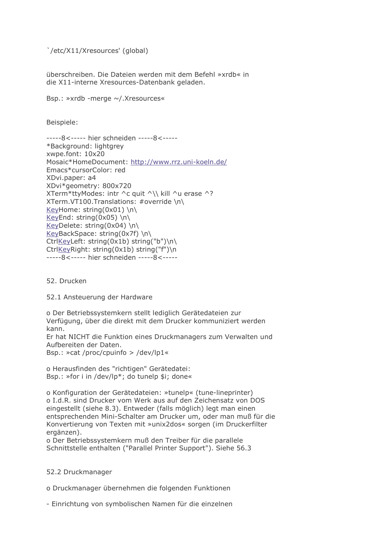`/etc/X11/Xresources' (global)

überschreiben. Die Dateien werden mit dem Befehl »xrdb« in die X11-interne Xresources-Datenbank geladen.

Bsp.: »xrdb -merge ~/.Xresources«

Beispiele:

-----8<----- hier schneiden -----8<-----\*Background: lightgrey xwpe.font: 10x20 Mosaic\*HomeDocument: http://www.rrz.uni-koeln.de/ Emacs\*cursorColor: red XDvi.paper: a4 XDvi\*geometry: 800x720 XTerm\*ttyModes: intr ^c quit ^\\ kill ^u erase ^? XTerm.VT100.Translations: #override \n\ KeyHome: string(0x01) \n\ KeyEnd: string(0x05) \n\ KeyDelete: string(0x04) \n\ KeyBackSpace: string(0x7f) \n\ CtrlKeyLeft: string(0x1b) string("b")\n\ CtrlKeyRight: string(0x1b) string("f")\n -----8<----- hier schneiden -----8<-----

52. Drucken

52.1 Ansteuerung der Hardware

o Der Betriebssystemkern stellt lediglich Gerätedateien zur Verfügung, über die direkt mit dem Drucker kommuniziert werden kann. Er hat NICHT die Funktion eines Druckmanagers zum Verwalten und Aufbereiten der Daten. Bsp.: »cat /proc/cpuinfo > /dev/lp1«

o Herausfinden des "richtigen" Gerätedatei: Bsp.: »for i in /dev/lp\*; do tunelp \$i; done«

o Konfiguration der Gerätedateien: »tunelp« (tune-lineprinter) o I.d.R. sind Drucker vom Werk aus auf den Zeichensatz von DOS eingestellt (siehe 8.3). Entweder (falls möglich) legt man einen entsprechenden Mini-Schalter am Drucker um, oder man muß für die Konvertierung von Texten mit »unix2dos« sorgen (im Druckerfilter ergänzen).

o Der Betriebssystemkern muß den Treiber für die parallele Schnittstelle enthalten ("Parallel Printer Support"). Siehe 56.3

# 52.2 Druckmanager

o Druckmanager übernehmen die folgenden Funktionen

- Einrichtung von symbolischen Namen für die einzelnen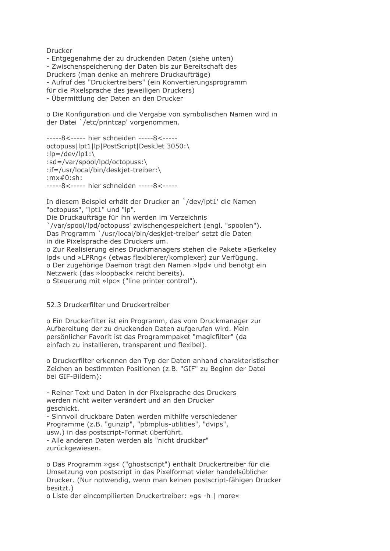Drucker

- Entgegenahme der zu druckenden Daten (siehe unten) - Zwischenspeicherung der Daten bis zur Bereitschaft des Druckers (man denke an mehrere Druckaufträge) - Aufruf des "Druckertreibers" (ein Konvertierungsprogramm für die Pixelsprache des jeweiligen Druckers) - Übermittlung der Daten an den Drucker

o Die Konfiguration und die Vergabe von symbolischen Namen wird in der Datei `/etc/printcap' vorgenommen.

-----8<----- hier schneiden -----8<----octopuss|lpt1|lp|PostScript|DeskJet 3050:\ : $\vert p = / \text{dev}/\text{lp1:} \rangle$ :sd=/var/spool/lpd/octopuss:\ :if=/usr/local/bin/deskiet-treiber:\ : $mx#0:sh:$  $---8$  <----- hier schneiden -----8 <-----

In diesem Beispiel erhält der Drucker an `/dev/lpt1' die Namen "octopuss", "lpt1" und "lp". Die Druckaufträge für ihn werden im Verzeichnis `/var/spool/lpd/octopuss' zwischengespeichert (engl. "spoolen"). Das Programm `/usr/local/bin/deskiet-treiber' setzt die Daten in die Pixelsprache des Druckers um. o Zur Realisierung eines Druckmanagers stehen die Pakete »Berkeley Ipd« und »LPRng« (etwas flexiblerer/komplexer) zur Verfügung. o Der zugehörige Daemon trägt den Namen »lpd« und benötgt ein Netzwerk (das »loopback« reicht bereits). o Steuerung mit »lpc« ("line printer control").

# 52.3 Druckerfilter und Druckertreiber

o Ein Druckerfilter ist ein Programm, das vom Druckmanager zur Aufbereitung der zu druckenden Daten aufgerufen wird. Mein persönlicher Favorit ist das Programmpaket "magicfilter" (da einfach zu installieren, transparent und flexibel).

o Druckerfilter erkennen den Typ der Daten anhand charakteristischer Zeichen an bestimmten Positionen (z.B. "GIF" zu Beginn der Datei bei GIF-Bildern):

- Reiner Text und Daten in der Pixelsprache des Druckers werden nicht weiter verändert und an den Drucker geschickt.

- Sinnvoll druckbare Daten werden mithilfe verschiedener Programme (z.B. "gunzip", "pbmplus-utilities", "dvips", usw.) in das postscript-Format überführt. - Alle anderen Daten werden als "nicht druckbar" zurückgewiesen.

o Das Programm »gs« ("ghostscript") enthält Druckertreiber für die Umsetzung von postscript in das Pixelformat vieler handelsüblicher Drucker. (Nur notwendig, wenn man keinen postscript-fähigen Drucker besitzt.)

o Liste der eincompilierten Druckertreiber: »gs -h | more«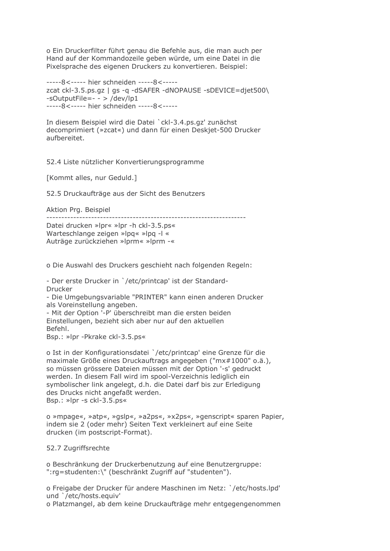o Ein Druckerfilter führt genau die Befehle aus, die man auch per Hand auf der Kommandozeile geben würde, um eine Datei in die Pixelsprache des eigenen Druckers zu konvertieren. Beispiel:

```
-----8<----- hier schneiden -----8<-----
zcat ckl-3.5.ps.qz | qs -q -dSAFER -dNOPAUSE -sDEVICE=djet500\
-sOutputFile=- - > /dev/lp1
-----8<----- hier schneiden -----8<-----
```
In diesem Beispiel wird die Datei `ckl-3.4.ps.gz' zunächst decomprimiert (»zcat«) und dann für einen Deskjet-500 Drucker aufbereitet.

52.4 Liste nützlicher Konvertierungsprogramme

[Kommt alles, nur Geduld.]

52.5 Druckaufträge aus der Sicht des Benutzers

Aktion Prg. Beispiel

Datei drucken »Ipr« »Ipr -h ckl-3.5.ps«

Warteschlange zeigen »lpg« »lpg -l « Auträge zurückziehen »lprm« »lprm -«

o Die Auswahl des Druckers geschieht nach folgenden Regeln:

- Der erste Drucker in `/etc/printcap' ist der Standard-Drucker

- Die Umgebungsvariable "PRINTER" kann einen anderen Drucker als Voreinstellung angeben.

- Mit der Option '-P' überschreibt man die ersten beiden Einstellungen, bezieht sich aber nur auf den aktuellen Befehl.

Bsp.: »lpr -Pkrake ckl-3.5.ps«

o Ist in der Konfigurationsdatei `/etc/printcap' eine Grenze für die maximale Größe eines Druckauftrags angegeben ("mx#1000" o.ä.), so müssen grössere Dateien müssen mit der Option '-s' gedruckt werden. In diesem Fall wird im spool-Verzeichnis lediglich ein symbolischer link angelegt, d.h. die Datei darf bis zur Erledigung des Drucks nicht angefaßt werden. Bsp.: »lpr -s ckl-3.5.ps«

o »mpage«, »atp«, »gslp«, »a2ps«, »x2ps«, »genscript« sparen Papier, indem sie 2 (oder mehr) Seiten Text verkleinert auf eine Seite drucken (im postscript-Format).

# 52.7 Zugriffsrechte

o Beschränkung der Druckerbenutzung auf eine Benutzergruppe: ":rg=studenten:\" (beschränkt Zugriff auf "studenten").

o Freigabe der Drucker für andere Maschinen im Netz: `/etc/hosts.lpd' und '/etc/hosts.equiv'

o Platzmangel, ab dem keine Druckaufträge mehr entgegengenommen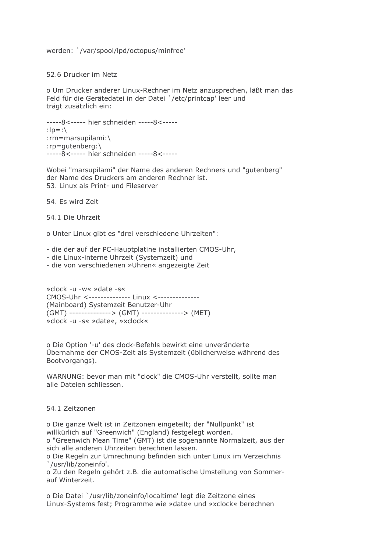werden: `/var/spool/lpd/octopus/minfree'

52.6 Drucker im Netz

o Um Drucker anderer Linux-Rechner im Netz anzusprechen, läßt man das Feld für die Gerätedatei in der Datei `/etc/printcap' leer und trägt zusätzlich ein:

-----8<----- hier schneiden -----8<-----: $lp=:$ :rm=marsupilami:\ : $rp = q$ utenberg: -----8<----- hier schneiden -----8<-----

Wobei "marsupilami" der Name des anderen Rechners und "gutenberg" der Name des Druckers am anderen Rechner ist. 53. Linux als Print- und Fileserver

54. Es wird Zeit

54.1 Die Uhrzeit

o Unter Linux gibt es "drei verschiedene Uhrzeiten":

- die der auf der PC-Hauptplatine installierten CMOS-Uhr,

- die Linux-interne Uhrzeit (Systemzeit) und

- die von verschiedenen »Uhren« angezeigte Zeit

»clock -u -w« »date -s« CMOS-Uhr <-------------- Linux <--------------(Mainboard) Systemzeit Benutzer-Uhr (GMT) --------------> (GMT) --------------> (MET) »clock -u -s« »date«, »xclock«

o Die Option '-u' des clock-Befehls bewirkt eine unveränderte Übernahme der CMOS-Zeit als Systemzeit (üblicherweise während des Bootvorgangs).

WARNUNG: bevor man mit "clock" die CMOS-Uhr verstellt, sollte man alle Dateien schliessen.

#### 54 1 Zeitzonen

o Die ganze Welt ist in Zeitzonen eingeteilt; der "Nullpunkt" ist willkürlich auf "Greenwich" (England) festgelegt worden. o "Greenwich Mean Time" (GMT) ist die sogenannte Normalzeit, aus der

sich alle anderen Uhrzeiten berechnen lassen.

o Die Regeln zur Umrechnung befinden sich unter Linux im Verzeichnis '/usr/lib/zoneinfo'.

o Zu den Regeln gehört z.B. die automatische Umstellung von Sommerauf Winterzeit.

o Die Datei `/usr/lib/zoneinfo/localtime' legt die Zeitzone eines Linux-Systems fest; Programme wie »date« und »xclock« berechnen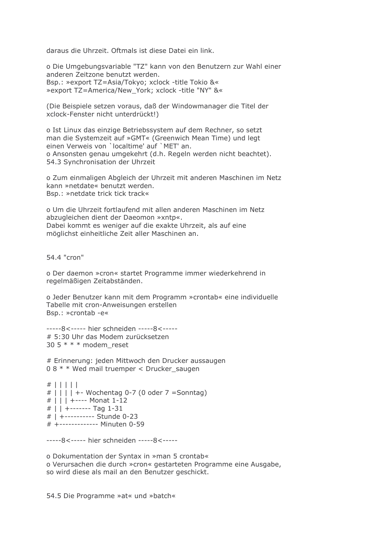daraus die Uhrzeit. Oftmals ist diese Datei ein link.

o Die Umgebungsvariable "TZ" kann von den Benutzern zur Wahl einer anderen Zeitzone benutzt werden. Bsp.: »export TZ=Asia/Tokyo; xclock -title Tokio &« » export TZ=America/New York; xclock -title "NY" &

(Die Beispiele setzen voraus, daß der Windowmanager die Titel der xclock-Fenster nicht unterdrückt!)

o Ist Linux das einzige Betriebssystem auf dem Rechner, so setzt man die Systemzeit auf »GMT« (Greenwich Mean Time) und legt einen Verweis von 'localtime' auf 'MET' an. o Ansonsten genau umgekehrt (d.h. Regeln werden nicht beachtet). 54.3 Synchronisation der Uhrzeit

o Zum einmaligen Abgleich der Uhrzeit mit anderen Maschinen im Netz kann »netdate« benutzt werden. Bsp.: »netdate trick tick track«

o Um die Uhrzeit fortlaufend mit allen anderen Maschinen im Netz abzugleichen dient der Daeomon »xntp«. Dabei kommt es weniger auf die exakte Uhrzeit, als auf eine möglichst einheitliche Zeit aller Maschinen an.

54.4 "cron"

o Der daemon »cron« startet Programme immer wiederkehrend in regelmäßigen Zeitabständen.

o Jeder Benutzer kann mit dem Programm »crontab« eine individuelle Tabelle mit cron-Anweisungen erstellen Bsp.: »crontab -e«

-----8<----- hier schneiden -----8<-----# 5:30 Uhr das Modem zurücksetzen 30 5  $* * *$  modem\_reset

# Erinnerung: jeden Mittwoch den Drucker aussaugen 08 \* \* Wed mail truemper < Drucker saugen

 $#$  | | | | | #  $||| + 2$  Wochentag 0-7 (0 oder 7 = Sonntag) # | | | +---- Monat 1-12 #  $|$  | +------- Tag 1-31 # | +---------- Stunde 0-23 # +------------- Minuten 0-59

-----8<----- hier schneiden -----8<-----

o Dokumentation der Syntax in »man 5 crontab« o Verursachen die durch »cron« gestarteten Programme eine Ausgabe, so wird diese als mail an den Benutzer geschickt.

54.5 Die Programme »at« und »batch«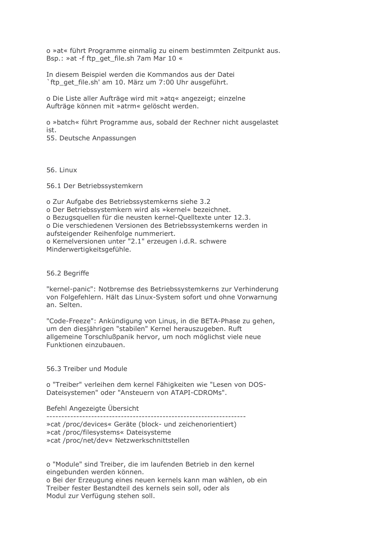o »at« führt Programme einmalig zu einem bestimmten Zeitpunkt aus. Bsp.: »at -f ftp get file.sh 7am Mar 10 «

In diesem Beispiel werden die Kommandos aus der Datei `ftp get file.sh' am 10. März um 7:00 Uhr ausgeführt.

o Die Liste aller Aufträge wird mit »atg« angezeigt; einzelne Aufträge können mit »atrm« gelöscht werden.

o »batch« führt Programme aus, sobald der Rechner nicht ausgelastet ist.

55. Deutsche Anpassungen

56. Linux

56.1 Der Betriebssystemkern

o Zur Aufgabe des Betriebssystemkerns siehe 3.2 o Der Betriebssystemkern wird als »kernel« bezeichnet. o Bezugsquellen für die neusten kernel-Quelltexte unter 12.3. o Die verschiedenen Versionen des Betriebssystemkerns werden in aufsteigender Reihenfolge nummeriert. o Kernelversionen unter "2.1" erzeugen i.d.R. schwere Minderwertigkeitsgefühle.

56.2 Begriffe

"kernel-panic": Notbremse des Betriebssystemkerns zur Verhinderung von Folgefehlern. Hält das Linux-System sofort und ohne Vorwarnung an. Selten.

"Code-Freeze": Ankündigung von Linus, in die BETA-Phase zu gehen, um den diesjährigen "stabilen" Kernel herauszugeben. Ruft allgemeine Torschlußpanik hervor, um noch möglichst viele neue Funktionen einzubauen.

56.3 Treiber und Module

o "Treiber" verleihen dem kernel Fähigkeiten wie "Lesen von DOS-Dateisystemen" oder "Ansteuern von ATAPI-CDROMs".

Befehl Angezeigte Übersicht

» cat /proc/devices« Geräte (block- und zeichenorientiert) » cat /proc/filesystems« Dateisysteme » cat /proc/net/dev« Netzwerkschnittstellen

o "Module" sind Treiber, die im laufenden Betrieb in den kernel eingebunden werden können.

o Bei der Erzeugung eines neuen kernels kann man wählen, ob ein Treiber fester Bestandteil des kernels sein soll, oder als Modul zur Verfügung stehen soll.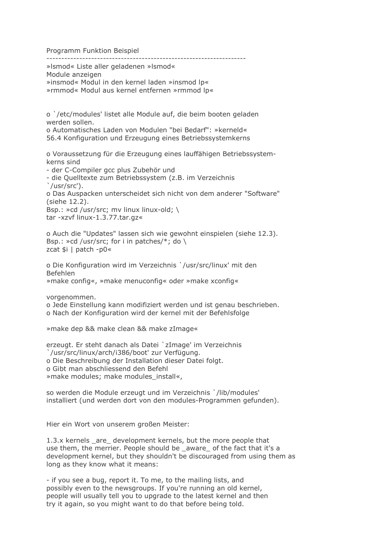Programm Funktion Beispiel

»Ismod« Liste aller geladenen »Ismod« Module anzeigen »insmod« Modul in den kernel laden »insmod lp« »rmmod« Modul aus kernel entfernen »rmmod lp«

o `/etc/modules' listet alle Module auf, die beim booten geladen werden sollen. o Automatisches Laden von Modulen "bei Bedarf": »kerneld«

56.4 Konfiguration und Erzeugung eines Betriebssystemkerns

o Voraussetzung für die Erzeugung eines lauffähigen Betriebssystemkerns sind

- der C-Compiler gcc plus Zubehör und

- die Ouelltexte zum Betriebssystem (z.B. im Verzeichnis  $\degree$ /usr/src $\degree$ ).

o Das Auspacken unterscheidet sich nicht von dem anderer "Software" (siehe 12.2).

Bsp.: »cd /usr/src; mv linux linux-old; \ tar -xzvf linux-1.3.77.tar.gz«

o Auch die "Updates" lassen sich wie gewohnt einspielen (siehe 12.3). Bsp.: »cd /usr/src; for i in patches/\*; do \ zcat \$i | patch -p0«

o Die Konfiguration wird im Verzeichnis `/usr/src/linux' mit den **Befehlen** »make config«, »make menuconfig« oder »make xconfig«

vorgenommen.

o Jede Einstellung kann modifiziert werden und ist genau beschrieben. o Nach der Konfiguration wird der kernel mit der Befehlsfolge

»make dep && make clean && make zImage«

erzeugt. Er steht danach als Datei `zImage' im Verzeichnis /usr/src/linux/arch/i386/boot' zur Verfügung. o Die Beschreibung der Installation dieser Datei folgt. o Gibt man abschliessend den Befehl » make modules; make modules\_install«,

so werden die Module erzeugt und im Verzeichnis `/lib/modules' installiert (und werden dort von den modules-Programmen gefunden).

Hier ein Wort von unserem großen Meister:

1.3.x kernels \_are\_ development kernels, but the more people that use them, the merrier. People should be aware of the fact that it's a development kernel, but they shouldn't be discouraged from using them as long as they know what it means:

- if you see a bug, report it. To me, to the mailing lists, and possibly even to the newsgroups. If you're running an old kernel, people will usually tell you to upgrade to the latest kernel and then try it again, so you might want to do that before being told.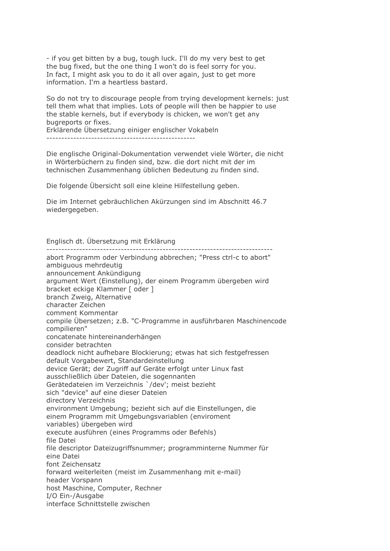- if you get bitten by a bug, tough luck. I'll do my very best to get the bug fixed, but the one thing I won't do is feel sorry for you. In fact, I might ask you to do it all over again, just to get more information. I'm a heartless bastard.

So do not try to discourage people from trying development kernels: just tell them what that implies. Lots of people will then be happier to use the stable kernels, but if everybody is chicken, we won't get any bugreports or fixes.

Erklärende Übersetzung einiger englischer Vokabeln

Die englische Original-Dokumentation verwendet viele Wörter, die nicht in Wörterbüchern zu finden sind, bzw. die dort nicht mit der im technischen Zusammenhang üblichen Bedeutung zu finden sind.

Die folgende Übersicht soll eine kleine Hilfestellung geben.

Die im Internet gebräuchlichen Akürzungen sind im Abschnitt 46.7 wiedergegeben.

Englisch dt. Übersetzung mit Erklärung

abort Programm oder Verbindung abbrechen; "Press ctrl-c to abort" ambiguous mehrdeutig announcement Ankündigung argument Wert (Einstellung), der einem Programm übergeben wird bracket eckige Klammer [ oder ] branch Zweig, Alternative character Zeichen comment Kommentar compile Übersetzen; z.B. "C-Programme in ausführbaren Maschinencode compilieren" concatenate hintereinanderhängen consider betrachten deadlock nicht aufhebare Blockierung; etwas hat sich festgefressen default Vorgabewert, Standardeinstellung device Gerät; der Zugriff auf Geräte erfolgt unter Linux fast ausschließlich über Dateien, die sogennanten Gerätedateien im Verzeichnis '/dev'; meist bezieht sich "device" auf eine dieser Dateien directory Verzeichnis environment Umgebung; bezieht sich auf die Einstellungen, die einem Programm mit Umgebungsvariablen (enviroment variables) übergeben wird execute ausführen (eines Programms oder Befehls) file Datei file descriptor Dateizugriffsnummer: programminterne Nummer für eine Datei font Zeichensatz forward weiterleiten (meist im Zusammenhang mit e-mail) header Vorspann host Maschine, Computer, Rechner I/O Ein-/Ausgabe interface Schnittstelle zwischen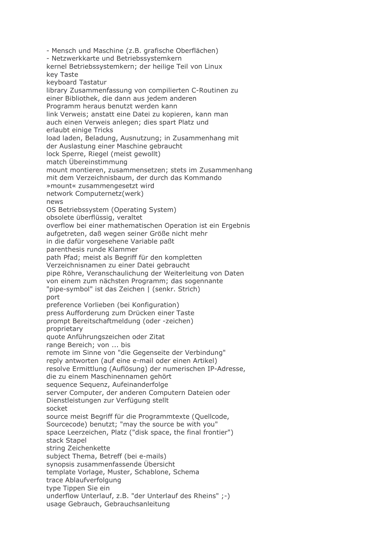- Mensch und Maschine (z.B. grafische Oberflächen) - Netzwerkkarte und Betriebssystemkern kernel Betriebssystemkern; der heilige Teil von Linux key Taste keyboard Tastatur library Zusammenfassung von compilierten C-Routinen zu einer Bibliothek, die dann aus jedem anderen Programm heraus benutzt werden kann link Verweis; anstatt eine Datei zu kopieren, kann man auch einen Verweis anlegen; dies spart Platz und erlaubt einige Tricks load laden, Beladung, Ausnutzung; in Zusammenhang mit der Auslastung einer Maschine gebraucht lock Sperre, Riegel (meist gewollt) match Übereinstimmung mount montieren, zusammensetzen; stets im Zusammenhang mit dem Verzeichnisbaum, der durch das Kommando »mount« zusammengesetzt wird network Computernetz(werk) news OS Betriebssystem (Operating System) obsolete überflüssig, veraltet overflow bei einer mathematischen Operation ist ein Ergebnis aufgetreten, daß wegen seiner Größe nicht mehr in die dafür vorgesehene Variable paßt parenthesis runde Klammer path Pfad; meist als Begriff für den kompletten Verzeichnisnamen zu einer Datei gebraucht pipe Röhre, Veranschaulichung der Weiterleitung von Daten von einem zum nächsten Programm; das sogennante "pipe-symbol" ist das Zeichen | (senkr. Strich) port preference Vorlieben (bei Konfiguration) press Aufforderung zum Drücken einer Taste prompt Bereitschaftmeldung (oder -zeichen) proprietary quote Anführungszeichen oder Zitat range Bereich; von ... bis remote im Sinne von "die Gegenseite der Verbindung" reply antworten (auf eine e-mail oder einen Artikel) resolve Ermittlung (Auflösung) der numerischen IP-Adresse, die zu einem Maschinennamen gehört sequence Sequenz, Aufeinanderfolge server Computer, der anderen Computern Dateien oder Dienstleistungen zur Verfügung stellt socket source meist Begriff für die Programmtexte (Quellcode, Sourcecode) benutzt; "may the source be with you" space Leerzeichen, Platz ("disk space, the final frontier") stack Stapel string Zeichenkette subject Thema, Betreff (bei e-mails) synopsis zusammenfassende Übersicht template Vorlage, Muster, Schablone, Schema trace Ablaufverfolgung type Tippen Sie ein underflow Unterlauf, z.B. "der Unterlauf des Rheins" ;-) usage Gebrauch, Gebrauchsanleitung